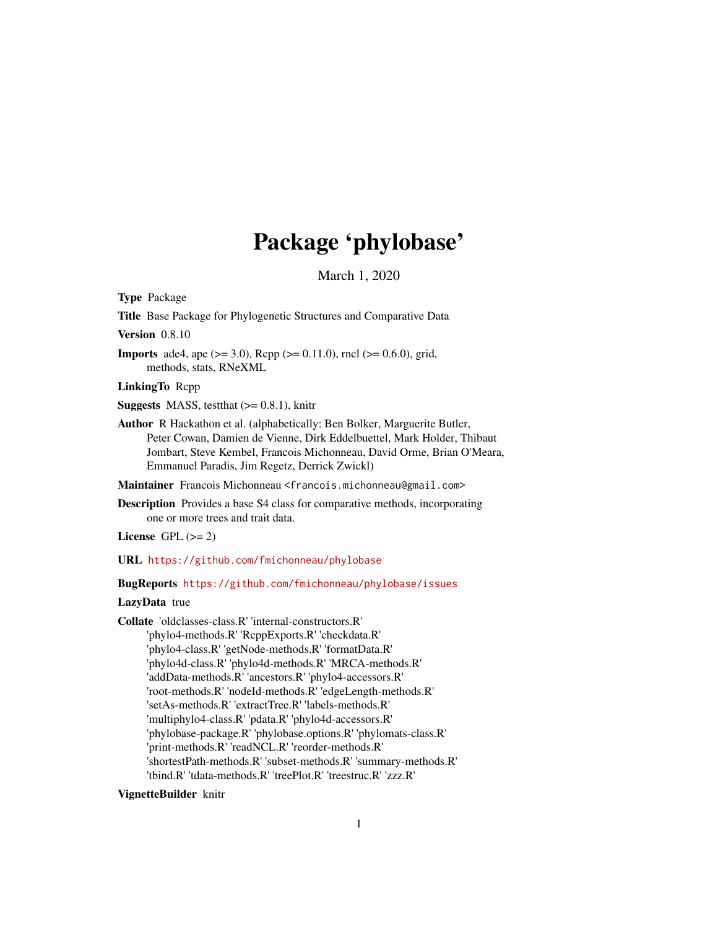# Package 'phylobase'

March 1, 2020

<span id="page-0-0"></span>Type Package

Title Base Package for Phylogenetic Structures and Comparative Data

Version 0.8.10

**Imports** ade4, ape ( $>= 3.0$ ), Rcpp ( $>= 0.11.0$ ), rncl ( $>= 0.6.0$ ), grid, methods, stats, RNeXML

LinkingTo Rcpp

**Suggests** MASS, test that  $(>= 0.8.1)$ , knitr

Author R Hackathon et al. (alphabetically: Ben Bolker, Marguerite Butler, Peter Cowan, Damien de Vienne, Dirk Eddelbuettel, Mark Holder, Thibaut Jombart, Steve Kembel, Francois Michonneau, David Orme, Brian O'Meara, Emmanuel Paradis, Jim Regetz, Derrick Zwickl)

Maintainer Francois Michonneau <francois.michonneau@gmail.com>

Description Provides a base S4 class for comparative methods, incorporating one or more trees and trait data.

License GPL  $(>= 2)$ 

URL <https://github.com/fmichonneau/phylobase>

BugReports <https://github.com/fmichonneau/phylobase/issues>

### LazyData true

Collate 'oldclasses-class.R' 'internal-constructors.R' 'phylo4-methods.R' 'RcppExports.R' 'checkdata.R' 'phylo4-class.R' 'getNode-methods.R' 'formatData.R' 'phylo4d-class.R' 'phylo4d-methods.R' 'MRCA-methods.R' 'addData-methods.R' 'ancestors.R' 'phylo4-accessors.R' 'root-methods.R' 'nodeId-methods.R' 'edgeLength-methods.R' 'setAs-methods.R' 'extractTree.R' 'labels-methods.R' 'multiphylo4-class.R' 'pdata.R' 'phylo4d-accessors.R' 'phylobase-package.R' 'phylobase.options.R' 'phylomats-class.R' 'print-methods.R' 'readNCL.R' 'reorder-methods.R' 'shortestPath-methods.R' 'subset-methods.R' 'summary-methods.R' 'tbind.R' 'tdata-methods.R' 'treePlot.R' 'treestruc.R' 'zzz.R'

### VignetteBuilder knitr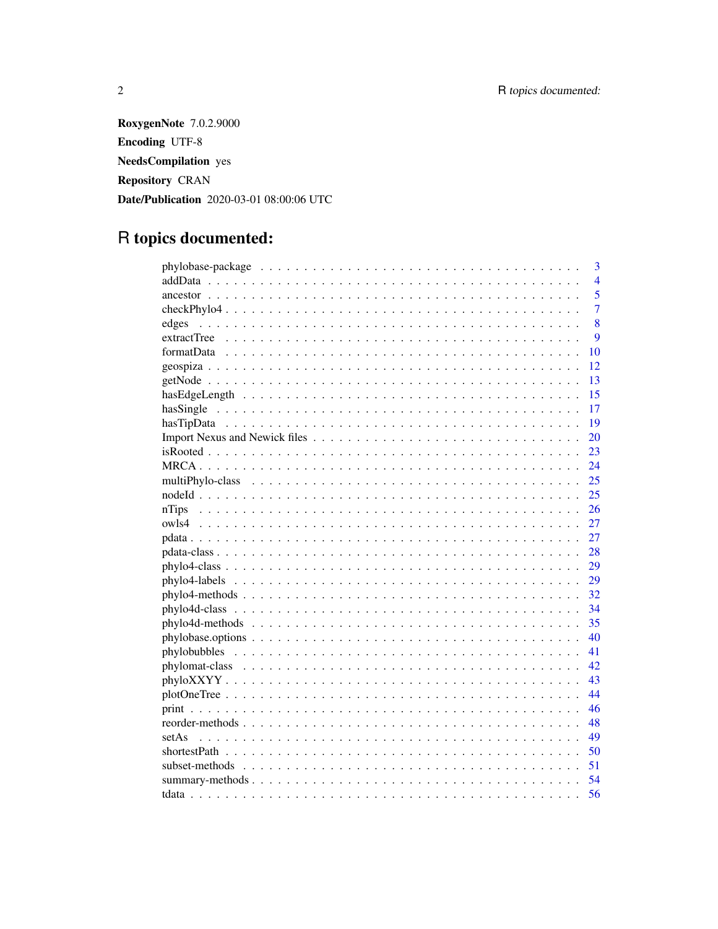**RoxygenNote** 7.0.2.9000 **Encoding UTF-8 NeedsCompilation** yes Repository CRAN Date/Publication 2020-03-01 08:00:06 UTC

# R topics documented:

| 3                                                                                                                  |
|--------------------------------------------------------------------------------------------------------------------|
| $\overline{4}$                                                                                                     |
| 5                                                                                                                  |
| $\overline{7}$                                                                                                     |
| 8<br>edges                                                                                                         |
| 9                                                                                                                  |
| 10                                                                                                                 |
| 12                                                                                                                 |
| 13                                                                                                                 |
| 15<br>has Edge Length $\ldots \ldots \ldots \ldots \ldots \ldots \ldots \ldots \ldots \ldots \ldots \ldots \ldots$ |
| 17                                                                                                                 |
| 19                                                                                                                 |
| 20                                                                                                                 |
| 23                                                                                                                 |
| 24                                                                                                                 |
| 25                                                                                                                 |
| 25                                                                                                                 |
| 26                                                                                                                 |
| 27                                                                                                                 |
| 27                                                                                                                 |
| 28                                                                                                                 |
| 29                                                                                                                 |
| 29                                                                                                                 |
| 32                                                                                                                 |
| 34                                                                                                                 |
| 35                                                                                                                 |
| $phylobase. options \ldots \ldots \ldots \ldots \ldots \ldots \ldots \ldots \ldots \ldots \ldots \ldots$<br>40     |
| 41                                                                                                                 |
| 42                                                                                                                 |
| 43                                                                                                                 |
| 44                                                                                                                 |
| 46                                                                                                                 |
| 48                                                                                                                 |
| 49                                                                                                                 |
| 50                                                                                                                 |
| 51                                                                                                                 |
| 54                                                                                                                 |
| 56                                                                                                                 |

 $\overline{2}$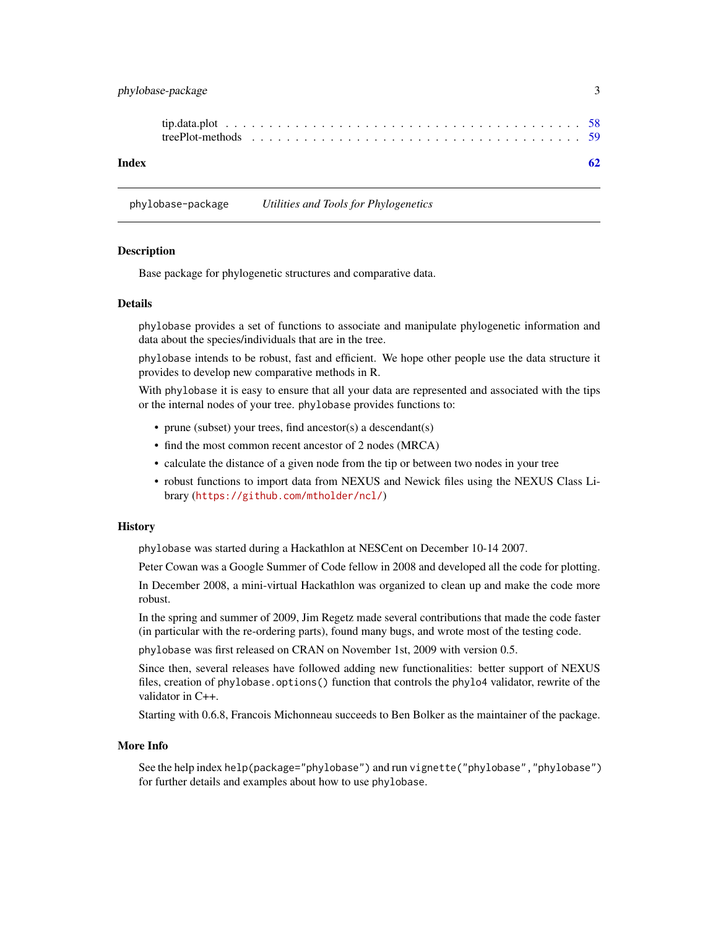<span id="page-2-0"></span>phylobase-package 3

| Index |  |  |  |  |  |  |  |  |  |  |  |  |  |  |  |  |
|-------|--|--|--|--|--|--|--|--|--|--|--|--|--|--|--|--|

phylobase-package *Utilities and Tools for Phylogenetics*

#### Description

Base package for phylogenetic structures and comparative data.

### Details

phylobase provides a set of functions to associate and manipulate phylogenetic information and data about the species/individuals that are in the tree.

phylobase intends to be robust, fast and efficient. We hope other people use the data structure it provides to develop new comparative methods in R.

With phylobase it is easy to ensure that all your data are represented and associated with the tips or the internal nodes of your tree. phylobase provides functions to:

- prune (subset) your trees, find ancestor(s) a descendant(s)
- find the most common recent ancestor of 2 nodes (MRCA)
- calculate the distance of a given node from the tip or between two nodes in your tree
- robust functions to import data from NEXUS and Newick files using the NEXUS Class Library (<https://github.com/mtholder/ncl/>)

#### **History**

phylobase was started during a Hackathlon at NESCent on December 10-14 2007.

Peter Cowan was a Google Summer of Code fellow in 2008 and developed all the code for plotting.

In December 2008, a mini-virtual Hackathlon was organized to clean up and make the code more robust.

In the spring and summer of 2009, Jim Regetz made several contributions that made the code faster (in particular with the re-ordering parts), found many bugs, and wrote most of the testing code.

phylobase was first released on CRAN on November 1st, 2009 with version 0.5.

Since then, several releases have followed adding new functionalities: better support of NEXUS files, creation of phylobase.options() function that controls the phylo4 validator, rewrite of the validator in C++.

Starting with 0.6.8, Francois Michonneau succeeds to Ben Bolker as the maintainer of the package.

#### More Info

See the help index help(package="phylobase") and run vignette("phylobase","phylobase") for further details and examples about how to use phylobase.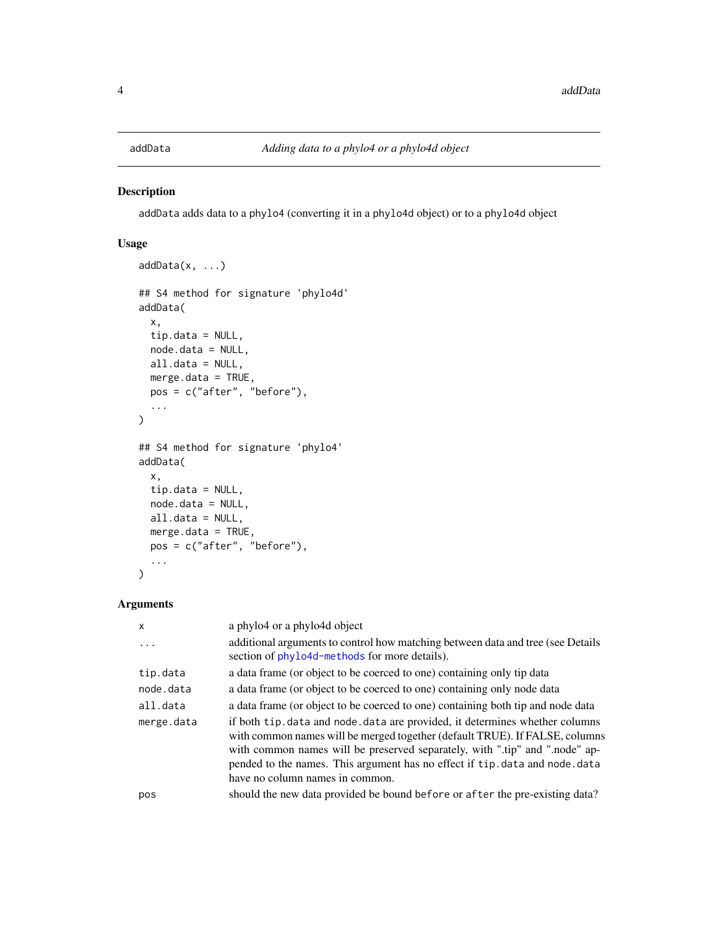<span id="page-3-0"></span>

### Description

addData adds data to a phylo4 (converting it in a phylo4d object) or to a phylo4d object

### Usage

```
addData(x, ...)
## S4 method for signature 'phylo4d'
addData(
  x,
  tip.data = NULL,node.data = NULL,
 all.data = NULL,
 merge.data = TRUE,
 pos = c("after", "before"),
  ...
\overline{\phantom{a}}## S4 method for signature 'phylo4'
addData(
 x,
  tip.data = NULL,
 node.data = NULL,
 all.data = NULL,
 merge.data = TRUE,
 pos = c("after", "before"),
  ...
)
```
### Arguments

| $\mathsf{x}$ | a phylo4 or a phylo4d object                                                                                                                                                                                                                                                                                                                                  |
|--------------|---------------------------------------------------------------------------------------------------------------------------------------------------------------------------------------------------------------------------------------------------------------------------------------------------------------------------------------------------------------|
| .            | additional arguments to control how matching between data and tree (see Details<br>section of phylo4d-methods for more details).                                                                                                                                                                                                                              |
| tip.data     | a data frame (or object to be coerced to one) containing only tip data                                                                                                                                                                                                                                                                                        |
| node.data    | a data frame (or object to be coerced to one) containing only node data                                                                                                                                                                                                                                                                                       |
| all.data     | a data frame (or object to be coerced to one) containing both tip and node data                                                                                                                                                                                                                                                                               |
| merge.data   | if both tip. data and node. data are provided, it determines whether columns<br>with common names will be merged together (default TRUE). If FALSE, columns<br>with common names will be preserved separately, with ".tip" and ".node" ap-<br>pended to the names. This argument has no effect if tip. data and node. data<br>have no column names in common. |
| pos          | should the new data provided be bound before or after the pre-existing data?                                                                                                                                                                                                                                                                                  |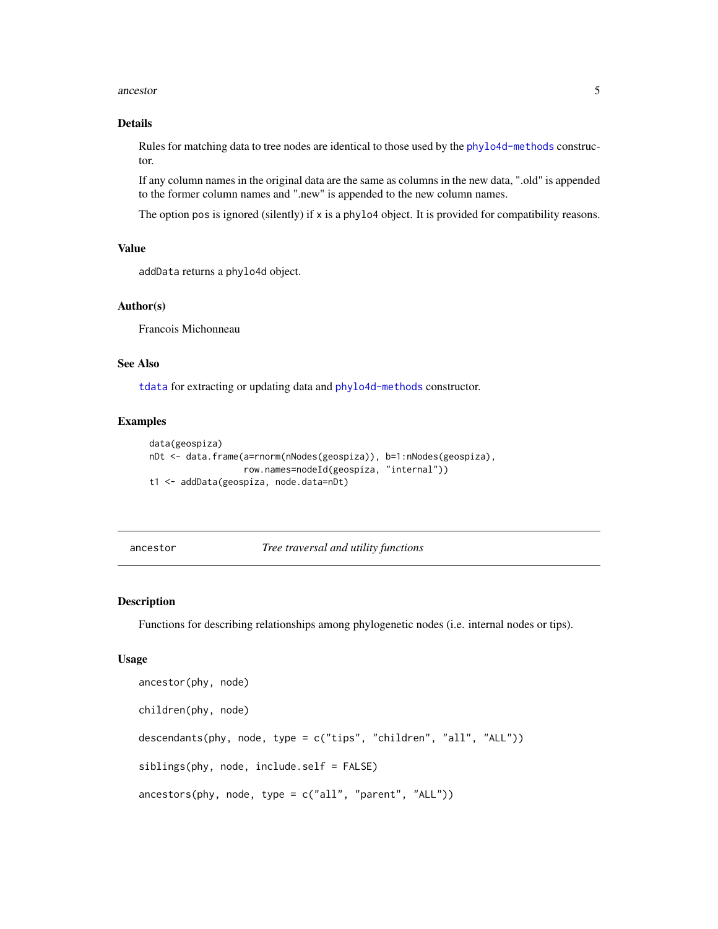#### <span id="page-4-0"></span>ancestor 5

#### Details

Rules for matching data to tree nodes are identical to those used by the [phylo4d-methods](#page-34-1) constructor.

If any column names in the original data are the same as columns in the new data, ".old" is appended to the former column names and ".new" is appended to the new column names.

The option pos is ignored (silently) if x is a phylo4 object. It is provided for compatibility reasons.

### Value

addData returns a phylo4d object.

#### Author(s)

Francois Michonneau

### See Also

[tdata](#page-55-1) for extracting or updating data and [phylo4d-methods](#page-34-1) constructor.

#### Examples

```
data(geospiza)
nDt <- data.frame(a=rnorm(nNodes(geospiza)), b=1:nNodes(geospiza),
                  row.names=nodeId(geospiza, "internal"))
t1 <- addData(geospiza, node.data=nDt)
```
<span id="page-4-2"></span>ancestor *Tree traversal and utility functions*

### <span id="page-4-1"></span>Description

Functions for describing relationships among phylogenetic nodes (i.e. internal nodes or tips).

#### Usage

```
ancestor(phy, node)
children(phy, node)
descendants(phy, node, type = c("tips", "children", "all", "ALL"))
siblings(phy, node, include.self = FALSE)
ancestors(phy, node, type = c("all", "parent", "ALL"))
```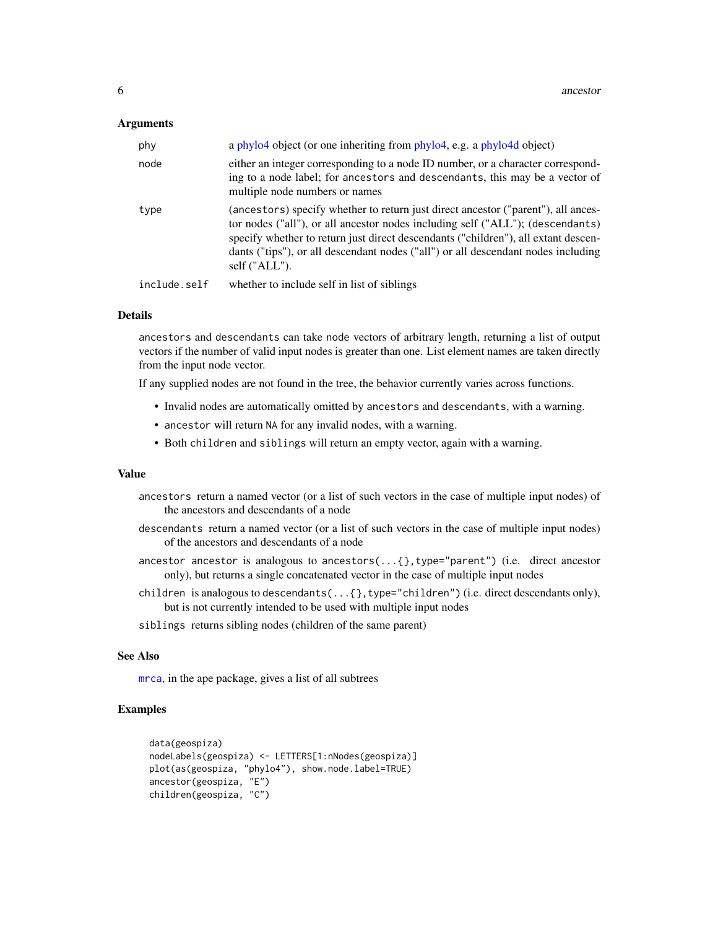#### <span id="page-5-0"></span>Arguments

| phy          | a phylo4 object (or one inheriting from phylo4, e.g. a phylo4d object)                                                                                                                                                                                                                                                                                          |
|--------------|-----------------------------------------------------------------------------------------------------------------------------------------------------------------------------------------------------------------------------------------------------------------------------------------------------------------------------------------------------------------|
| node         | either an integer corresponding to a node ID number, or a character correspond-<br>ing to a node label; for ancestors and descendants, this may be a vector of<br>multiple node numbers or names                                                                                                                                                                |
| type         | (ancestors) specify whether to return just direct ancestor ("parent"), all ances-<br>tor nodes ("all"), or all ancestor nodes including self ("ALL"); (descendants)<br>specify whether to return just direct descendants ("children"), all extant descen-<br>dants ("tips"), or all descendant nodes ("all") or all descendant nodes including<br>self ("ALL"). |
| include.self | whether to include self in list of siblings                                                                                                                                                                                                                                                                                                                     |

#### Details

ancestors and descendants can take node vectors of arbitrary length, returning a list of output vectors if the number of valid input nodes is greater than one. List element names are taken directly from the input node vector.

If any supplied nodes are not found in the tree, the behavior currently varies across functions.

- Invalid nodes are automatically omitted by ancestors and descendants, with a warning.
- ancestor will return NA for any invalid nodes, with a warning.
- Both children and siblings will return an empty vector, again with a warning.

#### Value

- ancestors return a named vector (or a list of such vectors in the case of multiple input nodes) of the ancestors and descendants of a node
- descendants return a named vector (or a list of such vectors in the case of multiple input nodes) of the ancestors and descendants of a node
- ancestor ancestor is analogous to ancestors(...{},type="parent") (i.e. direct ancestor only), but returns a single concatenated vector in the case of multiple input nodes
- children is analogous to descendants(...{},type="children") (i.e. direct descendants only), but is not currently intended to be used with multiple input nodes
- siblings returns sibling nodes (children of the same parent)

#### See Also

[mrca](#page-0-0), in the ape package, gives a list of all subtrees

#### Examples

```
data(geospiza)
nodeLabels(geospiza) <- LETTERS[1:nNodes(geospiza)]
plot(as(geospiza, "phylo4"), show.node.label=TRUE)
ancestor(geospiza, "E")
children(geospiza, "C")
```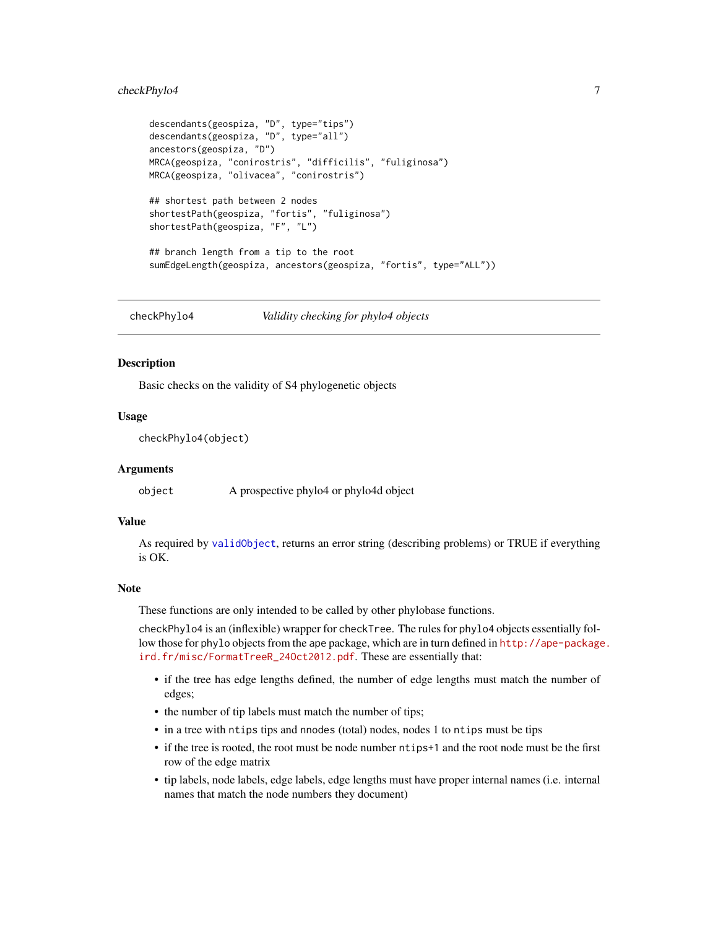### <span id="page-6-0"></span>checkPhylo4 7

```
descendants(geospiza, "D", type="tips")
descendants(geospiza, "D", type="all")
ancestors(geospiza, "D")
MRCA(geospiza, "conirostris", "difficilis", "fuliginosa")
MRCA(geospiza, "olivacea", "conirostris")
## shortest path between 2 nodes
shortestPath(geospiza, "fortis", "fuliginosa")
shortestPath(geospiza, "F", "L")
## branch length from a tip to the root
sumEdgeLength(geospiza, ancestors(geospiza, "fortis", type="ALL"))
```
<span id="page-6-1"></span>checkPhylo4 *Validity checking for phylo4 objects*

#### Description

Basic checks on the validity of S4 phylogenetic objects

#### Usage

checkPhylo4(object)

### **Arguments**

object A prospective phylo4 or phylo4d object

### Value

As required by [validObject](#page-0-0), returns an error string (describing problems) or TRUE if everything is OK.

#### **Note**

These functions are only intended to be called by other phylobase functions.

checkPhylo4 is an (inflexible) wrapper for checkTree. The rules for phylo4 objects essentially follow those for phylo objects from the ape package, which are in turn defined in [http://ape-package](http://ape-package.ird.fr/misc/FormatTreeR_24Oct2012.pdf). [ird.fr/misc/FormatTreeR\\_24Oct2012.pdf](http://ape-package.ird.fr/misc/FormatTreeR_24Oct2012.pdf). These are essentially that:

- if the tree has edge lengths defined, the number of edge lengths must match the number of edges;
- the number of tip labels must match the number of tips;
- in a tree with ntips tips and nnodes (total) nodes, nodes 1 to ntips must be tips
- if the tree is rooted, the root must be node number ntips+1 and the root node must be the first row of the edge matrix
- tip labels, node labels, edge labels, edge lengths must have proper internal names (i.e. internal names that match the node numbers they document)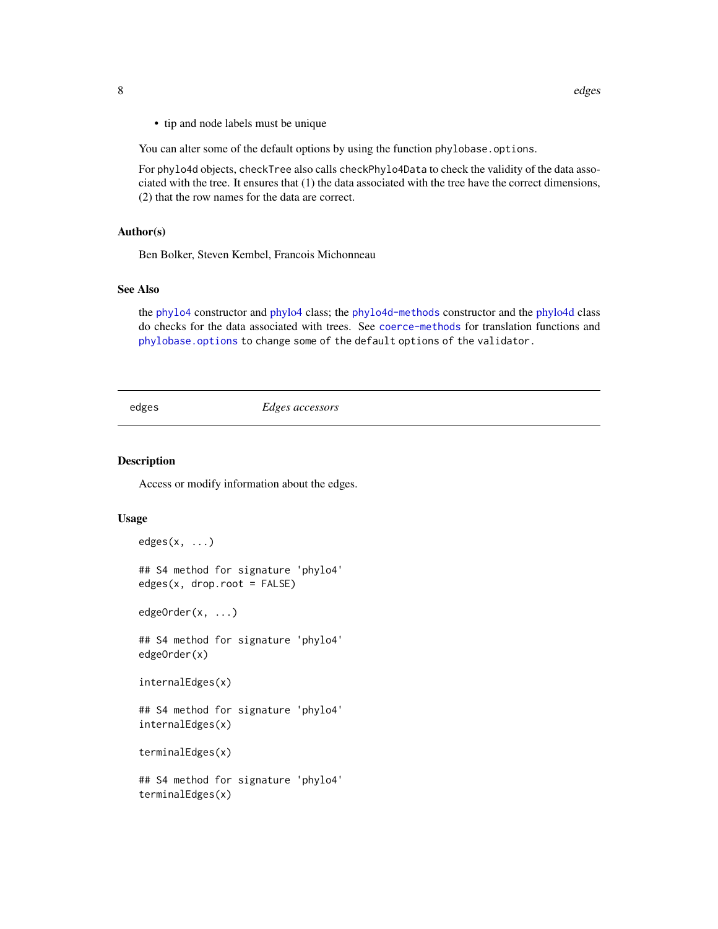<span id="page-7-0"></span>• tip and node labels must be unique

You can alter some of the default options by using the function phylobase.options.

For phylo4d objects, checkTree also calls checkPhylo4Data to check the validity of the data associated with the tree. It ensures that (1) the data associated with the tree have the correct dimensions, (2) that the row names for the data are correct.

#### Author(s)

Ben Bolker, Steven Kembel, Francois Michonneau

### See Also

the [phylo4](#page-31-1) constructor and [phylo4](#page-28-1) class; the [phylo4d-methods](#page-34-1) constructor and the [phylo4d](#page-33-1) class do checks for the data associated with trees. See [coerce-methods](#page-0-0) for translation functions and [phylobase.options](#page-39-1) to change some of the default options of the validator.

### edges *Edges accessors*

#### Description

Access or modify information about the edges.

#### Usage

```
edges(x, \ldots)## S4 method for signature 'phylo4'
edges(x, drop(root = FALSE)
```
edgeOrder(x, ...)

## S4 method for signature 'phylo4' edgeOrder(x)

```
internalEdges(x)
```
## S4 method for signature 'phylo4' internalEdges(x)

terminalEdges(x)

## S4 method for signature 'phylo4' terminalEdges(x)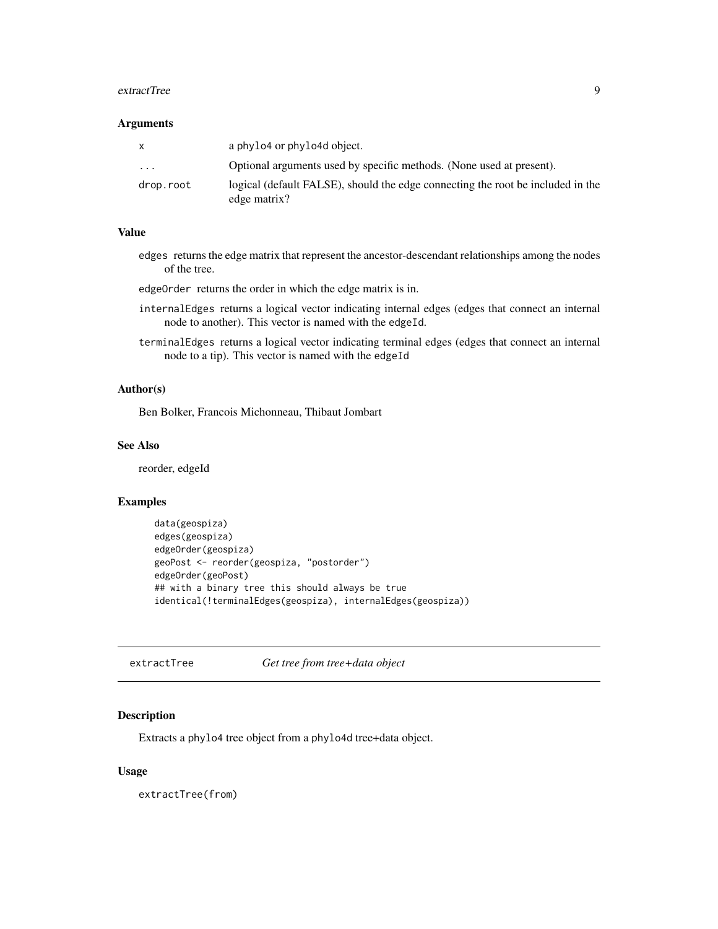#### <span id="page-8-0"></span>extractTree 9

#### **Arguments**

|           | a phylo4 or phylo4d object.                                                                     |
|-----------|-------------------------------------------------------------------------------------------------|
| $\ddotsc$ | Optional arguments used by specific methods. (None used at present).                            |
| drop.root | logical (default FALSE), should the edge connecting the root be included in the<br>edge matrix? |

#### Value

edges returns the edge matrix that represent the ancestor-descendant relationships among the nodes of the tree.

edgeOrder returns the order in which the edge matrix is in.

- internalEdges returns a logical vector indicating internal edges (edges that connect an internal node to another). This vector is named with the edgeId.
- terminalEdges returns a logical vector indicating terminal edges (edges that connect an internal node to a tip). This vector is named with the edgeId

#### Author(s)

Ben Bolker, Francois Michonneau, Thibaut Jombart

#### See Also

reorder, edgeId

### Examples

```
data(geospiza)
edges(geospiza)
edgeOrder(geospiza)
geoPost <- reorder(geospiza, "postorder")
edgeOrder(geoPost)
## with a binary tree this should always be true
identical(!terminalEdges(geospiza), internalEdges(geospiza))
```
<span id="page-8-1"></span>extractTree *Get tree from tree+data object*

### Description

Extracts a phylo4 tree object from a phylo4d tree+data object.

#### Usage

extractTree(from)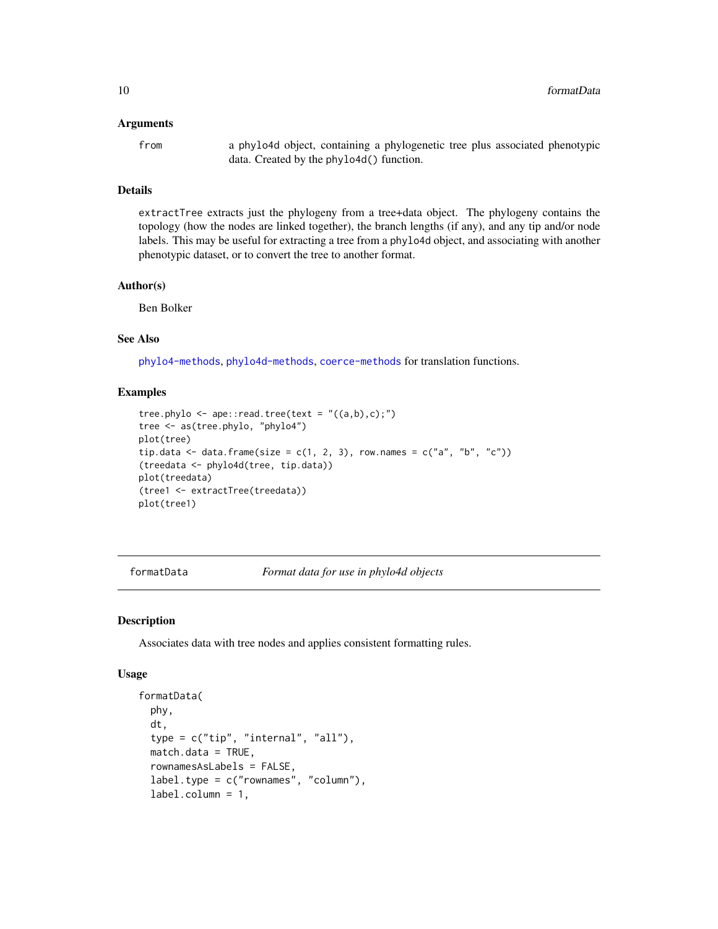#### <span id="page-9-0"></span>Arguments

from a phylo4d object, containing a phylogenetic tree plus associated phenotypic data. Created by the phylo4d() function.

#### Details

extractTree extracts just the phylogeny from a tree+data object. The phylogeny contains the topology (how the nodes are linked together), the branch lengths (if any), and any tip and/or node labels. This may be useful for extracting a tree from a phylo4d object, and associating with another phenotypic dataset, or to convert the tree to another format.

### Author(s)

Ben Bolker

### See Also

[phylo4-methods](#page-31-2), [phylo4d-methods](#page-34-1), [coerce-methods](#page-0-0) for translation functions.

### Examples

```
tree.phylo \leq ape:: read.tree(text = "((a,b),c);")
tree <- as(tree.phylo, "phylo4")
plot(tree)
tip.data <- data.frame(size = c(1, 2, 3), row.names = c("a", "b", "c"))
(treedata <- phylo4d(tree, tip.data))
plot(treedata)
(tree1 <- extractTree(treedata))
plot(tree1)
```
formatData *Format data for use in phylo4d objects*

#### Description

Associates data with tree nodes and applies consistent formatting rules.

#### Usage

```
formatData(
  phy,
  dt,
  type = c("tip", "internal", "all"),match.data = TRUE,
  rownamesAsLabels = FALSE,
  label.type = c("rownames", "column"),
  label.column = 1,
```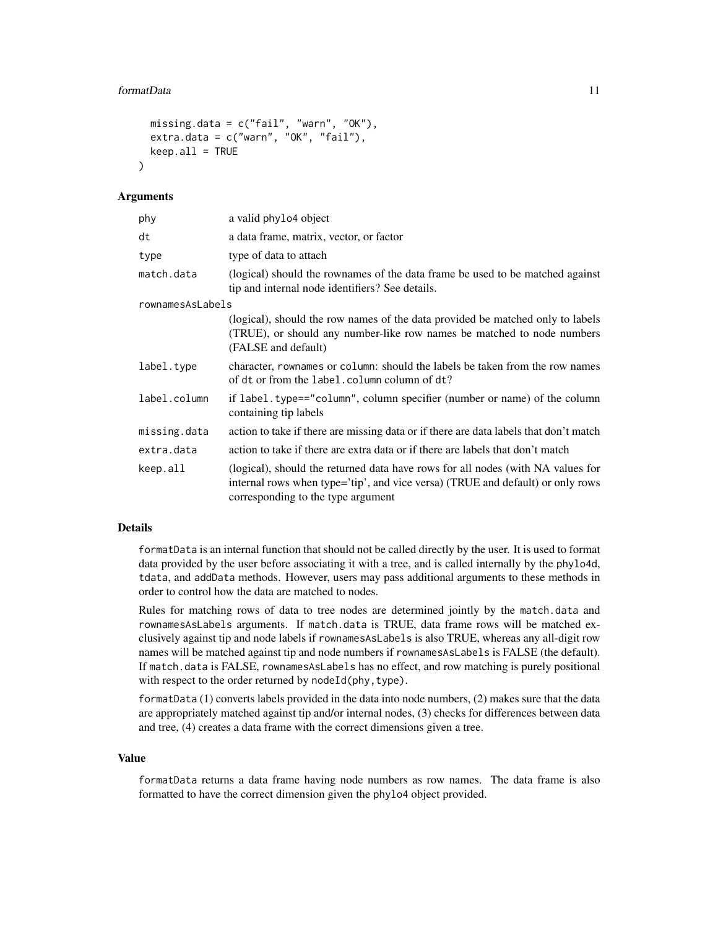#### formatData 11

```
missing.data = c("fail", "warn", "OK"),
extra.data = c("warn", "OK", "fail"),keep.al1 = TRUE
```
#### Arguments

 $\lambda$ 

| phy              | a valid phylo4 object                                                                                                                                                                                   |
|------------------|---------------------------------------------------------------------------------------------------------------------------------------------------------------------------------------------------------|
| dt               | a data frame, matrix, vector, or factor                                                                                                                                                                 |
| type             | type of data to attach                                                                                                                                                                                  |
| match.data       | (logical) should the rownames of the data frame be used to be matched against<br>tip and internal node identifiers? See details.                                                                        |
| rownamesAsLabels |                                                                                                                                                                                                         |
|                  | (logical), should the row names of the data provided be matched only to labels<br>(TRUE), or should any number-like row names be matched to node numbers<br>(FALSE and default)                         |
| label.type       | character, rownames or column: should the labels be taken from the row names<br>of dt or from the label.column column of dt?                                                                            |
| label.column     | if label. type=="column", column specifier (number or name) of the column<br>containing tip labels                                                                                                      |
| missing.data     | action to take if there are missing data or if there are data labels that don't match                                                                                                                   |
| extra.data       | action to take if there are extra data or if there are labels that don't match                                                                                                                          |
| keep.all         | (logical), should the returned data have rows for all nodes (with NA values for<br>internal rows when type='tip', and vice versa) (TRUE and default) or only rows<br>corresponding to the type argument |

#### Details

formatData is an internal function that should not be called directly by the user. It is used to format data provided by the user before associating it with a tree, and is called internally by the phylo4d, tdata, and addData methods. However, users may pass additional arguments to these methods in order to control how the data are matched to nodes.

Rules for matching rows of data to tree nodes are determined jointly by the match.data and rownamesAsLabels arguments. If match.data is TRUE, data frame rows will be matched exclusively against tip and node labels if rownamesAsLabels is also TRUE, whereas any all-digit row names will be matched against tip and node numbers if rownamesAsLabels is FALSE (the default). If match.data is FALSE, rownamesAsLabels has no effect, and row matching is purely positional with respect to the order returned by nodeId(phy, type).

formatData (1) converts labels provided in the data into node numbers, (2) makes sure that the data are appropriately matched against tip and/or internal nodes, (3) checks for differences between data and tree, (4) creates a data frame with the correct dimensions given a tree.

#### Value

formatData returns a data frame having node numbers as row names. The data frame is also formatted to have the correct dimension given the phylo4 object provided.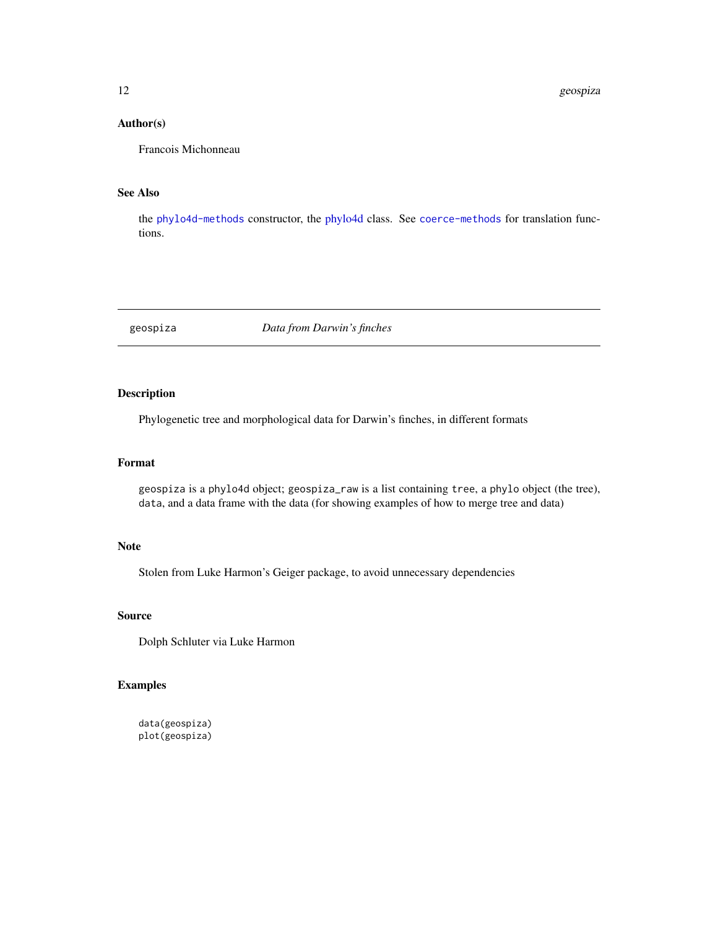### <span id="page-11-0"></span>Author(s)

Francois Michonneau

### See Also

the [phylo4d-methods](#page-34-1) constructor, the [phylo4d](#page-33-1) class. See [coerce-methods](#page-0-0) for translation functions.

geospiza *Data from Darwin's finches*

### Description

Phylogenetic tree and morphological data for Darwin's finches, in different formats

### Format

geospiza is a phylo4d object; geospiza\_raw is a list containing tree, a phylo object (the tree), data, and a data frame with the data (for showing examples of how to merge tree and data)

#### Note

Stolen from Luke Harmon's Geiger package, to avoid unnecessary dependencies

#### Source

Dolph Schluter via Luke Harmon

### Examples

data(geospiza) plot(geospiza)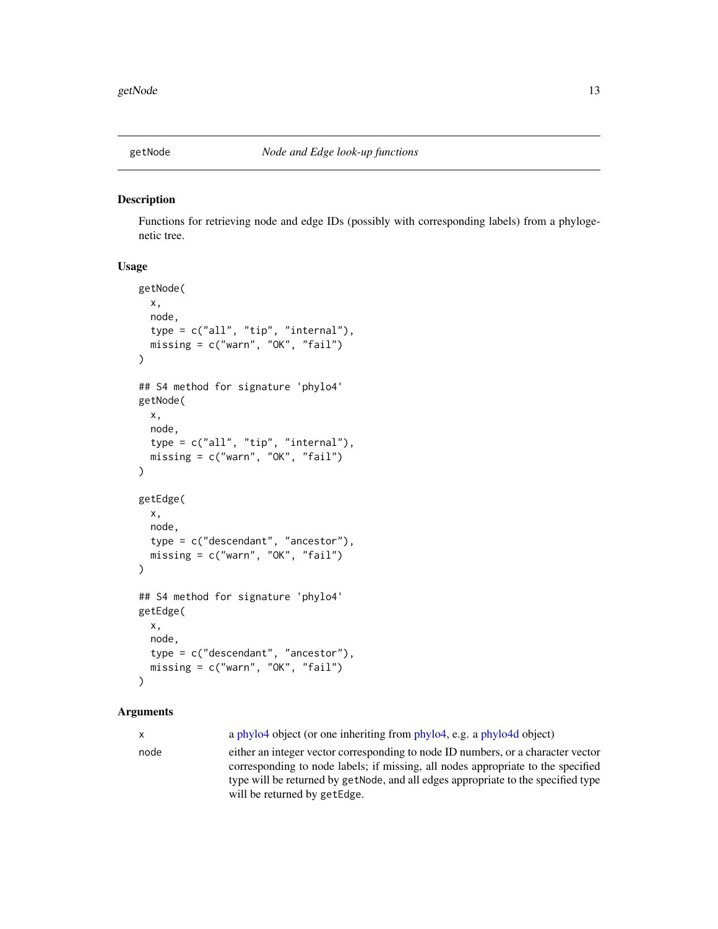<span id="page-12-0"></span>

### Description

Functions for retrieving node and edge IDs (possibly with corresponding labels) from a phylogenetic tree.

#### Usage

```
getNode(
  x,
  node,
  type = c("all", "tip", "internal"),missing = c("warn", "OK", "fail")
)
## S4 method for signature 'phylo4'
getNode(
  x,
 node,
  type = c("all", "tip", "internal"),
 missing = c("warn", "OK", "fail")
\lambdagetEdge(
  x,
  node,
  type = c("descendant", "ancestor"),
 missing = c("warn", "OK", "fail")
\lambda## S4 method for signature 'phylo4'
getEdge(
  x,
  node,
  type = c("descendant", "ancestor"),
 missing = c("warn", "OK", "fail")
)
```
### Arguments

x a [phylo4](#page-28-1) object (or one inheriting from [phylo4,](#page-28-1) e.g. a [phylo4d](#page-33-1) object)

node either an integer vector corresponding to node ID numbers, or a character vector corresponding to node labels; if missing, all nodes appropriate to the specified type will be returned by getNode, and all edges appropriate to the specified type will be returned by getEdge.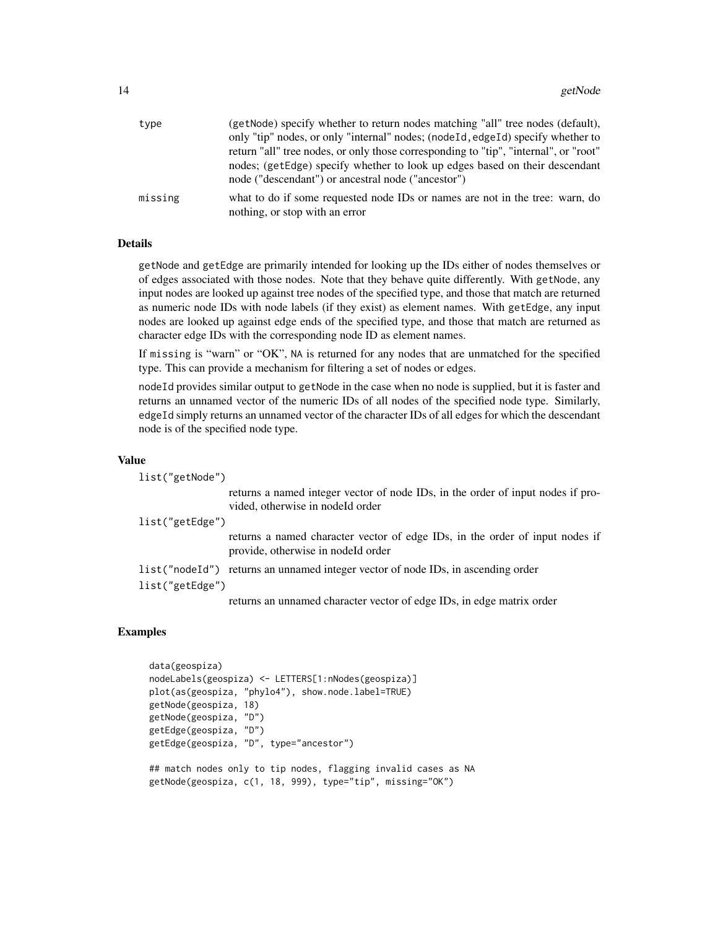| type    | (getNode) specify whether to return nodes matching "all" tree nodes (default),                                                    |
|---------|-----------------------------------------------------------------------------------------------------------------------------------|
|         | only "tip" nodes, or only "internal" nodes; (node Id, edge Id) specify whether to                                                 |
|         | return "all" tree nodes, or only those corresponding to "tip", "internal", or "root"                                              |
|         | nodes; (getEdge) specify whether to look up edges based on their descendant<br>node ("descendant") or ancestral node ("ancestor") |
| missing | what to do if some requested node IDs or names are not in the tree: warn, do                                                      |
|         | nothing, or stop with an error                                                                                                    |

#### Details

getNode and getEdge are primarily intended for looking up the IDs either of nodes themselves or of edges associated with those nodes. Note that they behave quite differently. With getNode, any input nodes are looked up against tree nodes of the specified type, and those that match are returned as numeric node IDs with node labels (if they exist) as element names. With getEdge, any input nodes are looked up against edge ends of the specified type, and those that match are returned as character edge IDs with the corresponding node ID as element names.

If missing is "warn" or "OK", NA is returned for any nodes that are unmatched for the specified type. This can provide a mechanism for filtering a set of nodes or edges.

nodeId provides similar output to getNode in the case when no node is supplied, but it is faster and returns an unnamed vector of the numeric IDs of all nodes of the specified node type. Similarly, edgeId simply returns an unnamed vector of the character IDs of all edges for which the descendant node is of the specified node type.

#### Value

| list("getNode") |                                                                                                                     |
|-----------------|---------------------------------------------------------------------------------------------------------------------|
|                 | returns a named integer vector of node IDs, in the order of input nodes if pro-<br>vided, otherwise in nodeId order |
| list("getEdge") |                                                                                                                     |
|                 | returns a named character vector of edge IDs, in the order of input nodes if<br>provide, otherwise in nodeld order  |
|                 | list ("nodeId") returns an unnamed integer vector of node IDs, in ascending order                                   |
| list("getEdge") |                                                                                                                     |
|                 | returns an unnamed character vector of edge IDs, in edge matrix order                                               |

### Examples

```
data(geospiza)
nodeLabels(geospiza) <- LETTERS[1:nNodes(geospiza)]
plot(as(geospiza, "phylo4"), show.node.label=TRUE)
getNode(geospiza, 18)
getNode(geospiza, "D")
getEdge(geospiza, "D")
getEdge(geospiza, "D", type="ancestor")
## match nodes only to tip nodes, flagging invalid cases as NA
getNode(geospiza, c(1, 18, 999), type="tip", missing="OK")
```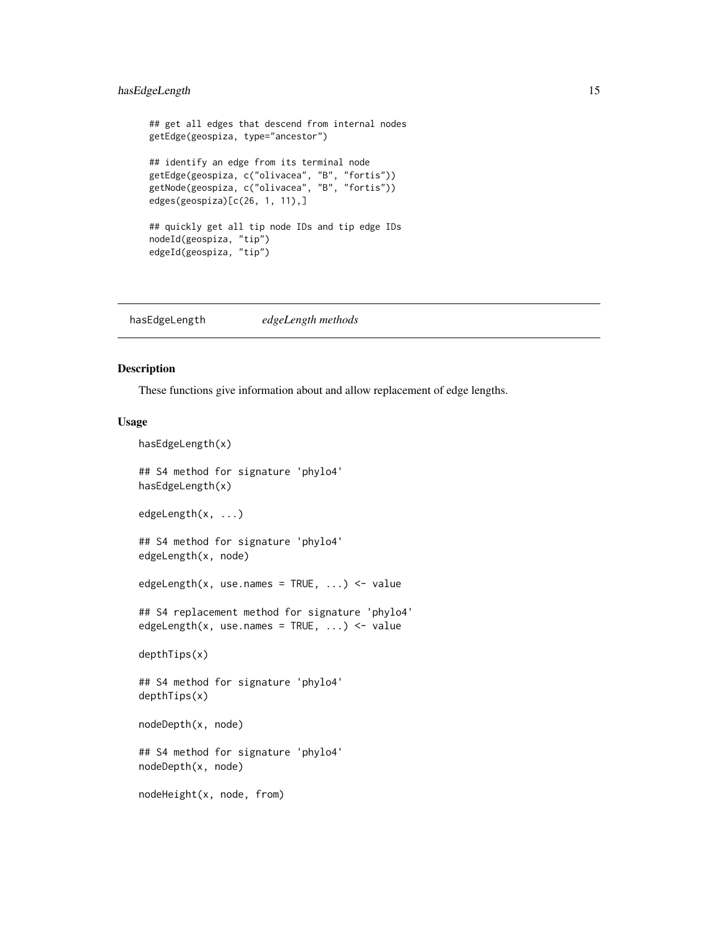### <span id="page-14-0"></span>hasEdgeLength 15

```
## get all edges that descend from internal nodes
getEdge(geospiza, type="ancestor")
## identify an edge from its terminal node
getEdge(geospiza, c("olivacea", "B", "fortis"))
getNode(geospiza, c("olivacea", "B", "fortis"))
edges(geospiza)[c(26, 1, 11),]
## quickly get all tip node IDs and tip edge IDs
nodeId(geospiza, "tip")
edgeId(geospiza, "tip")
```
hasEdgeLength *edgeLength methods*

#### Description

These functions give information about and allow replacement of edge lengths.

#### Usage

```
hasEdgeLength(x)
## S4 method for signature 'phylo4'
hasEdgeLength(x)
edgeLength(x, ...)
## S4 method for signature 'phylo4'
edgeLength(x, node)
edgeLength(x, use.names = TRUE, \ldots) <- value
## S4 replacement method for signature 'phylo4'
edgeLength(x, use.names = TRUE, \ldots) <- value
depthTips(x)
## S4 method for signature 'phylo4'
depthTips(x)
nodeDepth(x, node)
## S4 method for signature 'phylo4'
nodeDepth(x, node)
nodeHeight(x, node, from)
```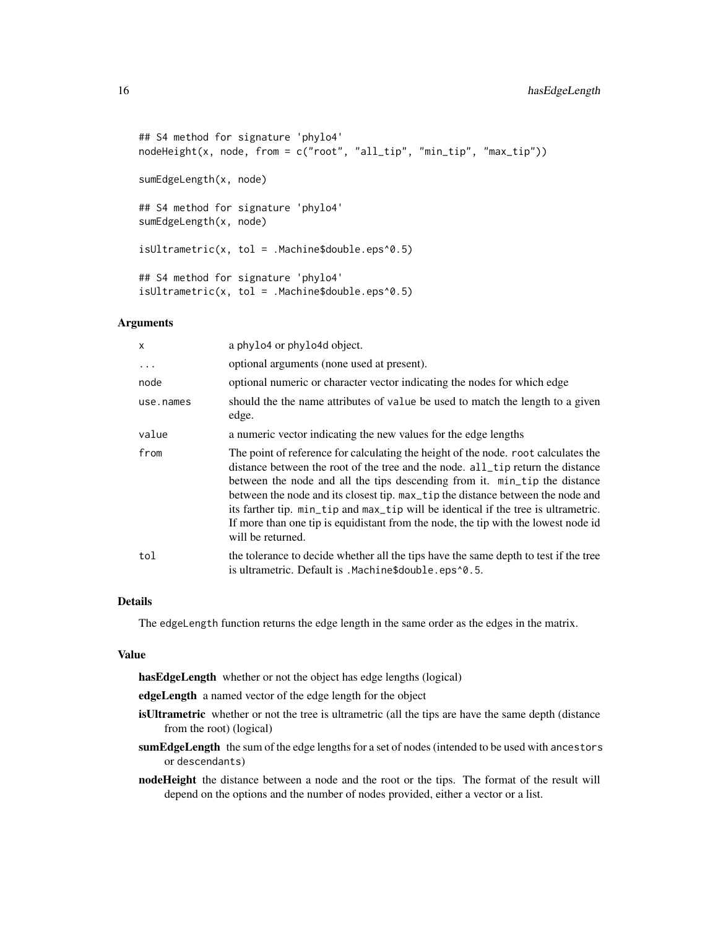```
## S4 method for signature 'phylo4'
nodeHeight(x, node, from = c("root", "all_tip", "min_tip", "max_tip"))
sumEdgeLength(x, node)
## S4 method for signature 'phylo4'
sumEdgeLength(x, node)
isultrametric(x, tol = .Machine$double.eps^0.5)## S4 method for signature 'phylo4'
isultrametric(x, tol = .Machine$double.eps^0.5)
```
### Arguments

| $\mathsf{x}$ | a phylo4 or phylo4d object.                                                                                                                                                                                                                                                                                                                                                                                                                                                                                                             |
|--------------|-----------------------------------------------------------------------------------------------------------------------------------------------------------------------------------------------------------------------------------------------------------------------------------------------------------------------------------------------------------------------------------------------------------------------------------------------------------------------------------------------------------------------------------------|
| $\cdots$     | optional arguments (none used at present).                                                                                                                                                                                                                                                                                                                                                                                                                                                                                              |
| node         | optional numeric or character vector indicating the nodes for which edge                                                                                                                                                                                                                                                                                                                                                                                                                                                                |
| use.names    | should the the name attributes of value be used to match the length to a given<br>edge.                                                                                                                                                                                                                                                                                                                                                                                                                                                 |
| value        | a numeric vector indicating the new values for the edge lengths                                                                                                                                                                                                                                                                                                                                                                                                                                                                         |
| from         | The point of reference for calculating the height of the node, root calculates the<br>distance between the root of the tree and the node. all_tip return the distance<br>between the node and all the tips descending from it. min_tip the distance<br>between the node and its closest tip. max_tip the distance between the node and<br>its farther tip. min_tip and max_tip will be identical if the tree is ultrametric.<br>If more than one tip is equidistant from the node, the tip with the lowest node id<br>will be returned. |
| tol          | the tolerance to decide whether all the tips have the same depth to test if the tree<br>is ultrametric. Default is . Machine\$double.eps^0.5.                                                                                                                                                                                                                                                                                                                                                                                           |

### Details

The edgeLength function returns the edge length in the same order as the edges in the matrix.

#### Value

hasEdgeLength whether or not the object has edge lengths (logical)

edgeLength a named vector of the edge length for the object

- isUltrametric whether or not the tree is ultrametric (all the tips are have the same depth (distance from the root) (logical)
- sumEdgeLength the sum of the edge lengths for a set of nodes (intended to be used with ancestors or descendants)
- nodeHeight the distance between a node and the root or the tips. The format of the result will depend on the options and the number of nodes provided, either a vector or a list.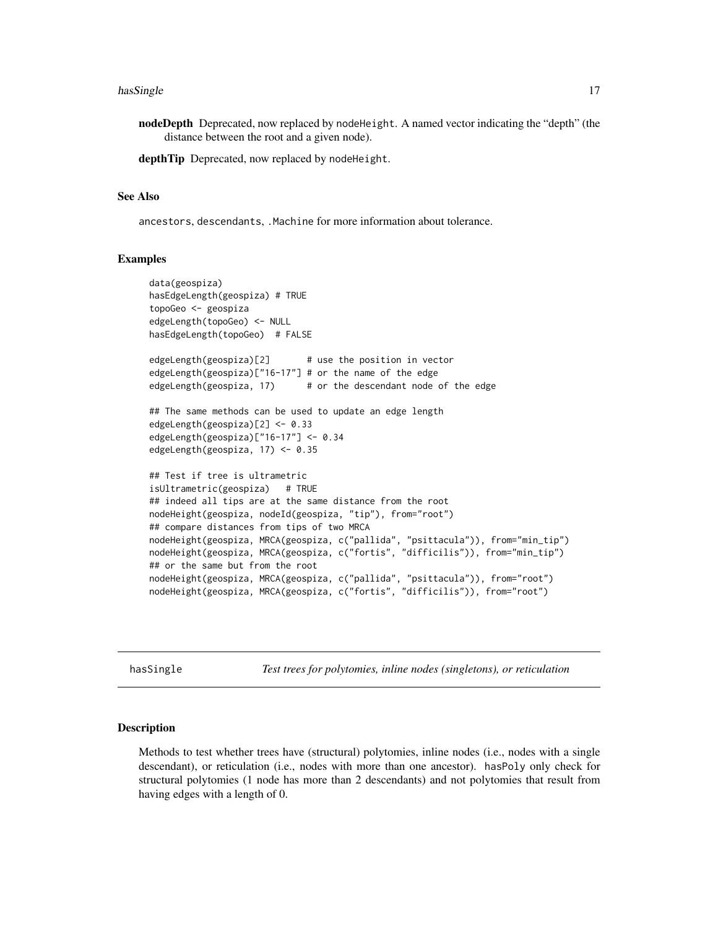#### <span id="page-16-0"></span>hasSingle 17

nodeDepth Deprecated, now replaced by nodeHeight. A named vector indicating the "depth" (the distance between the root and a given node).

depthTip Deprecated, now replaced by nodeHeight.

#### See Also

ancestors, descendants, .Machine for more information about tolerance.

#### Examples

```
data(geospiza)
hasEdgeLength(geospiza) # TRUE
topoGeo <- geospiza
edgeLength(topoGeo) <- NULL
hasEdgeLength(topoGeo) # FALSE
edgeLength(geospiza)[2] # use the position in vector
edgeLength(geospiza)["16-17"] # or the name of the edge
edgeLength(geospiza, 17) # or the descendant node of the edge
## The same methods can be used to update an edge length
edgeLength(geospiza)[2] <- 0.33
edgeLength(geospiza)["16-17"] <- 0.34
edgeLength(geospiza, 17) <- 0.35
## Test if tree is ultrametric
isUltrametric(geospiza) # TRUE
## indeed all tips are at the same distance from the root
nodeHeight(geospiza, nodeId(geospiza, "tip"), from="root")
## compare distances from tips of two MRCA
nodeHeight(geospiza, MRCA(geospiza, c("pallida", "psittacula")), from="min_tip")
nodeHeight(geospiza, MRCA(geospiza, c("fortis", "difficilis")), from="min_tip")
## or the same but from the root
nodeHeight(geospiza, MRCA(geospiza, c("pallida", "psittacula")), from="root")
nodeHeight(geospiza, MRCA(geospiza, c("fortis", "difficilis")), from="root")
```
hasSingle *Test trees for polytomies, inline nodes (singletons), or reticulation*

### Description

Methods to test whether trees have (structural) polytomies, inline nodes (i.e., nodes with a single descendant), or reticulation (i.e., nodes with more than one ancestor). hasPoly only check for structural polytomies (1 node has more than 2 descendants) and not polytomies that result from having edges with a length of 0.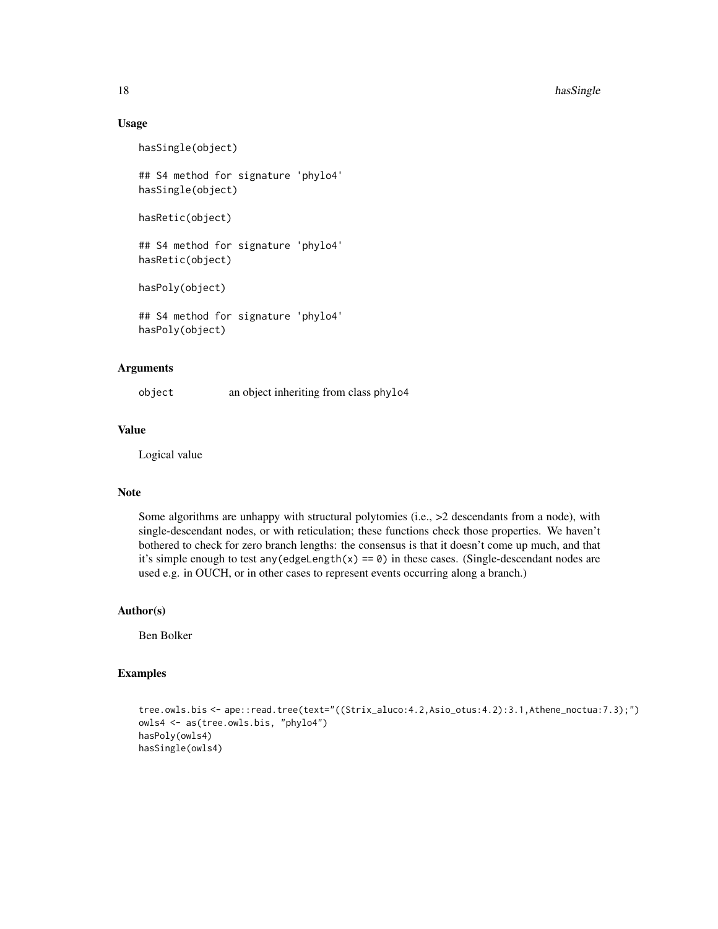18 has Single 2012 and 2013 and 2013 and 2013 and 2013 and 2013 and 2013 and 2013 and 2013 and 2013 and 2013 and 2013 and 2013 and 2013 and 2013 and 2013 and 2013 and 2013 and 2013 and 2013 and 2013 and 2013 and 2013 and 2

#### Usage

```
hasSingle(object)
```
## S4 method for signature 'phylo4' hasSingle(object)

```
hasRetic(object)
```
## S4 method for signature 'phylo4' hasRetic(object)

hasPoly(object)

## S4 method for signature 'phylo4' hasPoly(object)

#### Arguments

object an object inheriting from class phylo4

#### Value

Logical value

#### Note

Some algorithms are unhappy with structural polytomies (i.e., >2 descendants from a node), with single-descendant nodes, or with reticulation; these functions check those properties. We haven't bothered to check for zero branch lengths: the consensus is that it doesn't come up much, and that it's simple enough to test any (edgeLength(x) ==  $\emptyset$ ) in these cases. (Single-descendant nodes are used e.g. in OUCH, or in other cases to represent events occurring along a branch.)

#### Author(s)

Ben Bolker

#### Examples

```
tree.owls.bis <- ape::read.tree(text="((Strix_aluco:4.2,Asio_otus:4.2):3.1,Athene_noctua:7.3);")
owls4 <- as(tree.owls.bis, "phylo4")
hasPoly(owls4)
hasSingle(owls4)
```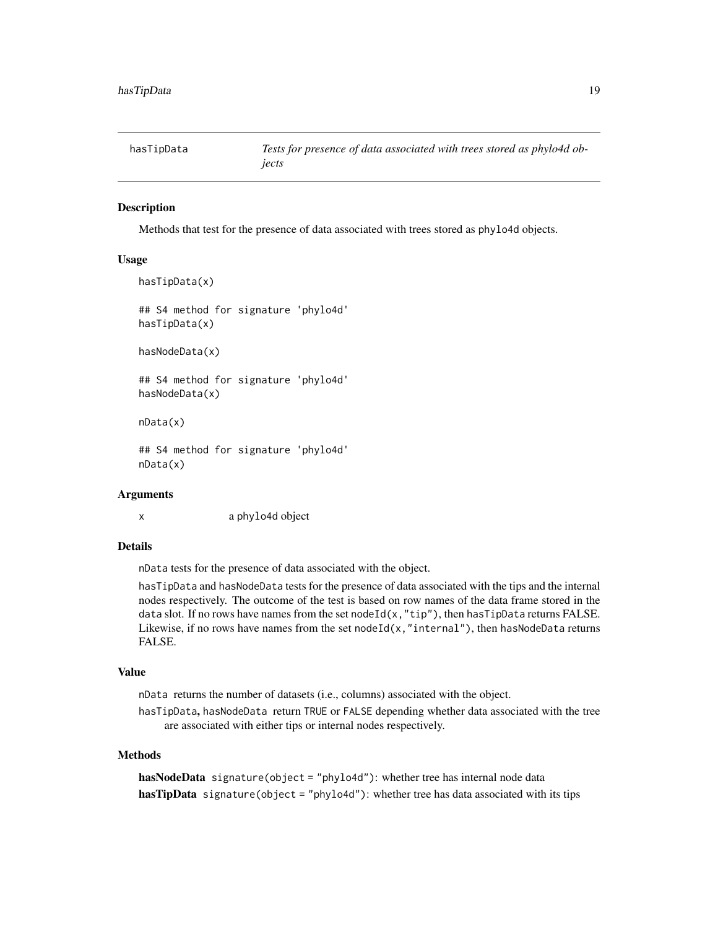<span id="page-18-0"></span>hasTipData *Tests for presence of data associated with trees stored as phylo4d objects*

#### **Description**

Methods that test for the presence of data associated with trees stored as phylo4d objects.

#### Usage

```
hasTipData(x)
## S4 method for signature 'phylo4d'
hasTipData(x)
hasNodeData(x)
## S4 method for signature 'phylo4d'
hasNodeData(x)
nData(x)
```
## S4 method for signature 'phylo4d' nData(x)

#### Arguments

x a phylo4d object

#### **Details**

nData tests for the presence of data associated with the object.

hasTipData and hasNodeData tests for the presence of data associated with the tips and the internal nodes respectively. The outcome of the test is based on row names of the data frame stored in the data slot. If no rows have names from the set node $Id(x, "tip")$ , then has TipData returns FALSE. Likewise, if no rows have names from the set nodeId(x, "internal"), then hasNodeData returns FALSE.

### Value

nData returns the number of datasets (i.e., columns) associated with the object.

hasTipData, hasNodeData return TRUE or FALSE depending whether data associated with the tree are associated with either tips or internal nodes respectively.

#### Methods

```
hasNodeData signature(object = "phylo4d"): whether tree has internal node data
hasTipData signature(object = "phylo4d"): whether tree has data associated with its tips
```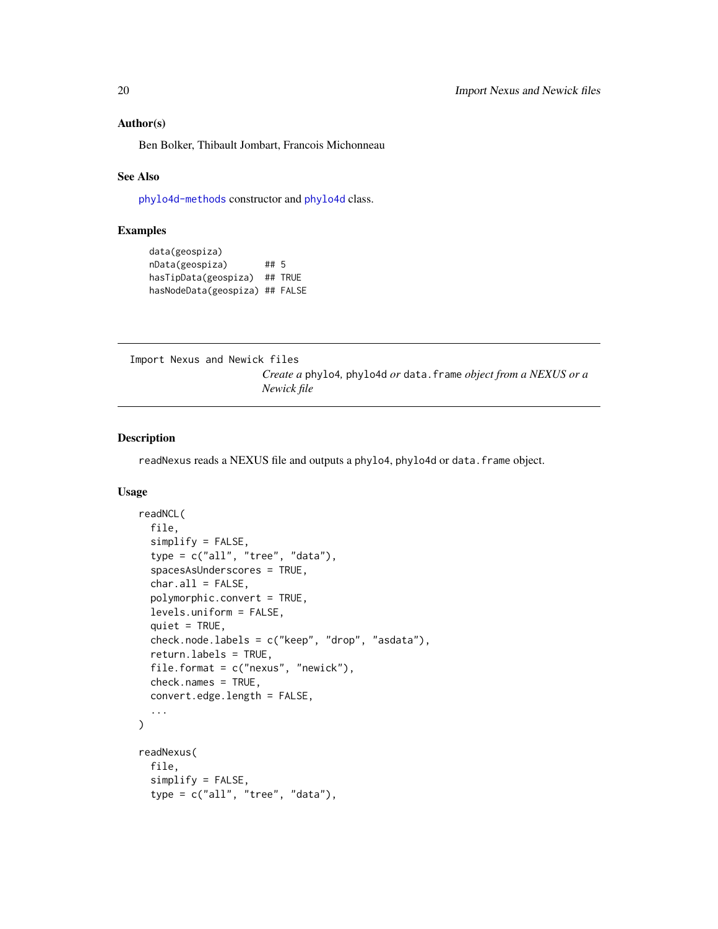#### <span id="page-19-0"></span>Author(s)

Ben Bolker, Thibault Jombart, Francois Michonneau

#### See Also

[phylo4d-methods](#page-34-1) constructor and [phylo4d](#page-33-1) class.

#### Examples

```
data(geospiza)
nData(geospiza) ## 5
hasTipData(geospiza) ## TRUE
hasNodeData(geospiza) ## FALSE
```
Import Nexus and Newick files

*Create a* phylo4*,* phylo4d *or* data.frame *object from a NEXUS or a Newick file*

### Description

readNexus reads a NEXUS file and outputs a phylo4, phylo4d or data. frame object.

#### Usage

```
readNCL(
  file,
  simplify = FALSE,
  type = c("all", "tree", "data"),spacesAsUnderscores = TRUE,
  char.al1 = FALSE,polymorphic.convert = TRUE,
  levels.uniform = FALSE,
  quiet = TRUE,check.node.labels = c("keep", "drop", "asdata"),return.labels = TRUE,
  file.format = c("nexus", "newick"),
 check.names = TRUE,
  convert.edge.length = FALSE,
  ...
\mathcal{L}readNexus(
  file,
  simplify = FALSE,
  type = c("all", "tree", "data"),
```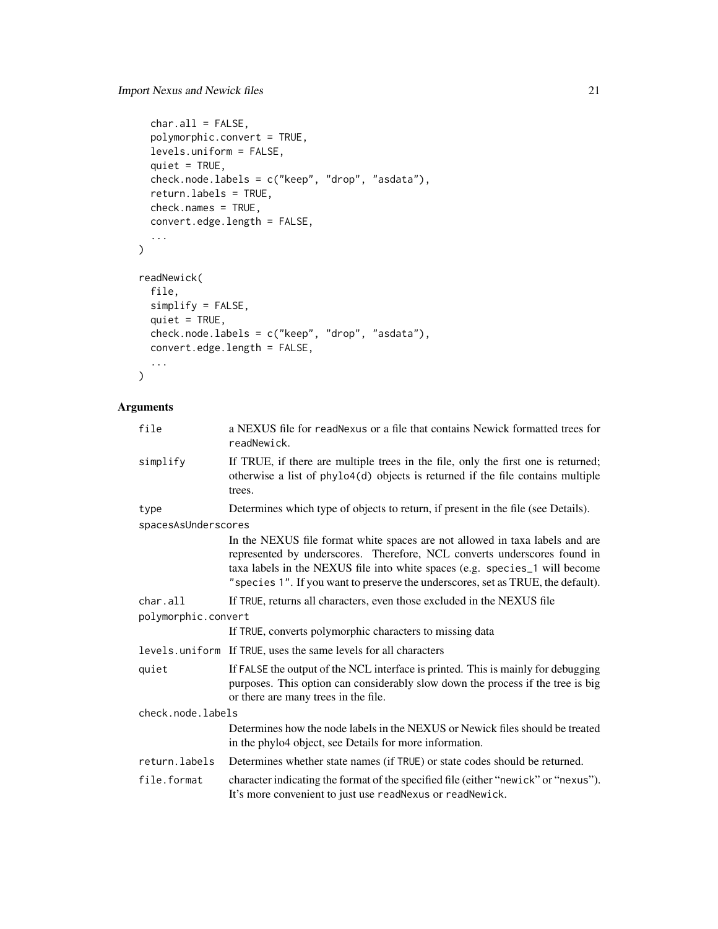```
char.al1 = FALSE,polymorphic.convert = TRUE,
  levels.uniform = FALSE,
  quiet = TRUE,
 check.node.labels = c("keep", "drop", "asdata"),
  return.labels = TRUE,
  check.names = TRUE,
 convert.edge.length = FALSE,
  ...
\mathcal{L}readNewick(
  file,
  simplify = FALSE,
 quiet = TRUE,
 check.node.labels = c("keep", "drop", "asdata"),
 convert.edge.length = FALSE,
  ...
)
```
### Arguments

| file                | a NEXUS file for readNexus or a file that contains Newick formatted trees for<br>readNewick.                                                                                                                                                                                                                                |
|---------------------|-----------------------------------------------------------------------------------------------------------------------------------------------------------------------------------------------------------------------------------------------------------------------------------------------------------------------------|
| simplify            | If TRUE, if there are multiple trees in the file, only the first one is returned;<br>otherwise a list of phylo4(d) objects is returned if the file contains multiple<br>trees.                                                                                                                                              |
| type                | Determines which type of objects to return, if present in the file (see Details).                                                                                                                                                                                                                                           |
| spacesAsUnderscores |                                                                                                                                                                                                                                                                                                                             |
|                     | In the NEXUS file format white spaces are not allowed in taxa labels and are<br>represented by underscores. Therefore, NCL converts underscores found in<br>taxa labels in the NEXUS file into white spaces (e.g. species_1 will become<br>"species 1". If you want to preserve the underscores, set as TRUE, the default). |
| char.all            | If TRUE, returns all characters, even those excluded in the NEXUS file                                                                                                                                                                                                                                                      |
| polymorphic.convert |                                                                                                                                                                                                                                                                                                                             |
|                     | If TRUE, converts polymorphic characters to missing data                                                                                                                                                                                                                                                                    |
|                     | levels.uniform If TRUE, uses the same levels for all characters                                                                                                                                                                                                                                                             |
| quiet               | If FALSE the output of the NCL interface is printed. This is mainly for debugging<br>purposes. This option can considerably slow down the process if the tree is big<br>or there are many trees in the file.                                                                                                                |
| check.node.labels   |                                                                                                                                                                                                                                                                                                                             |
|                     | Determines how the node labels in the NEXUS or Newick files should be treated<br>in the phylo4 object, see Details for more information.                                                                                                                                                                                    |
| return.labels       | Determines whether state names (if TRUE) or state codes should be returned.                                                                                                                                                                                                                                                 |
| file.format         | character indicating the format of the specified file (either "newick" or "nexus").<br>It's more convenient to just use readNexus or readNewick.                                                                                                                                                                            |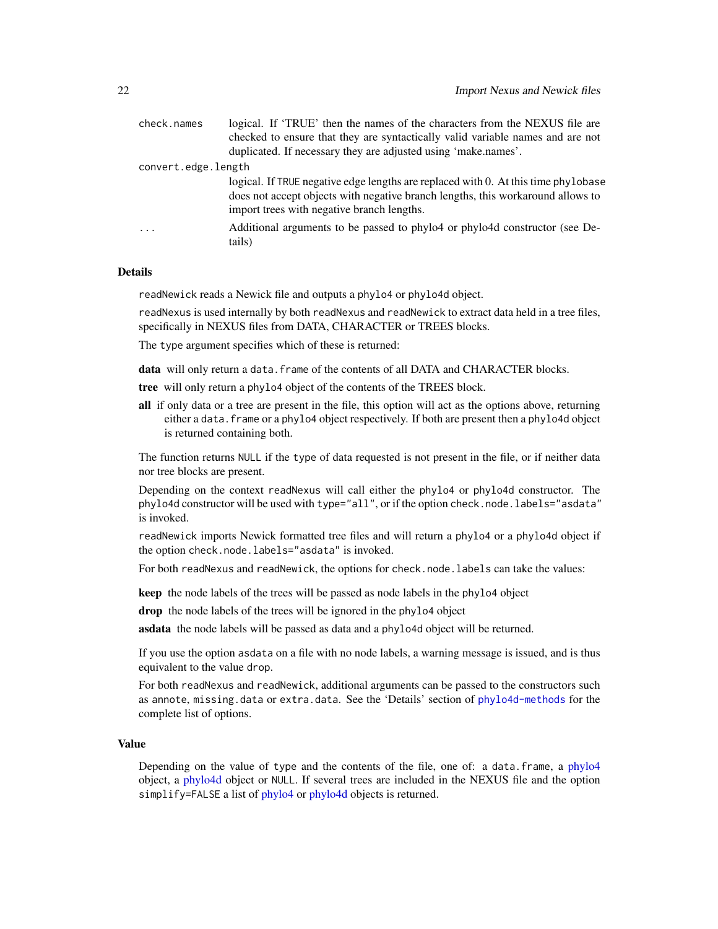<span id="page-21-0"></span>

| check.names         | logical. If 'TRUE' then the names of the characters from the NEXUS file are           |
|---------------------|---------------------------------------------------------------------------------------|
|                     | checked to ensure that they are syntactically valid variable names and are not        |
|                     | duplicated. If necessary they are adjusted using 'make.names'.                        |
| convert.edge.length |                                                                                       |
|                     | logical. If TRUE negative edge lengths are replaced with 0. At this time phylobase    |
|                     | does not accept objects with negative branch lengths, this workaround allows to       |
|                     | import trees with negative branch lengths.                                            |
| $\cdots$            | Additional arguments to be passed to phylo4 or phylo4d constructor (see De-<br>tails) |
|                     |                                                                                       |

#### Details

readNewick reads a Newick file and outputs a phylo4 or phylo4d object.

readNexus is used internally by both readNexus and readNewick to extract data held in a tree files, specifically in NEXUS files from DATA, CHARACTER or TREES blocks.

The type argument specifies which of these is returned:

data will only return a data. frame of the contents of all DATA and CHARACTER blocks.

tree will only return a phylo4 object of the contents of the TREES block.

all if only data or a tree are present in the file, this option will act as the options above, returning either a data. frame or a phylo4 object respectively. If both are present then a phylo4d object is returned containing both.

The function returns NULL if the type of data requested is not present in the file, or if neither data nor tree blocks are present.

Depending on the context readNexus will call either the phylo4 or phylo4d constructor. The phylo4d constructor will be used with type="all", or if the option check.node.labels="asdata" is invoked.

readNewick imports Newick formatted tree files and will return a phylo4 or a phylo4d object if the option check.node.labels="asdata" is invoked.

For both readNexus and readNewick, the options for check.node.labels can take the values:

keep the node labels of the trees will be passed as node labels in the phylo4 object

drop the node labels of the trees will be ignored in the phylo4 object

asdata the node labels will be passed as data and a phylo4d object will be returned.

If you use the option asdata on a file with no node labels, a warning message is issued, and is thus equivalent to the value drop.

For both readNexus and readNewick, additional arguments can be passed to the constructors such as annote, missing.data or extra.data. See the 'Details' section of [phylo4d-methods](#page-34-1) for the complete list of options.

#### Value

Depending on the value of type and the contents of the file, one of: a data.frame, a [phylo4](#page-28-1) object, a [phylo4d](#page-33-1) object or NULL. If several trees are included in the NEXUS file and the option simplify=FALSE a list of [phylo4](#page-28-1) or [phylo4d](#page-33-1) objects is returned.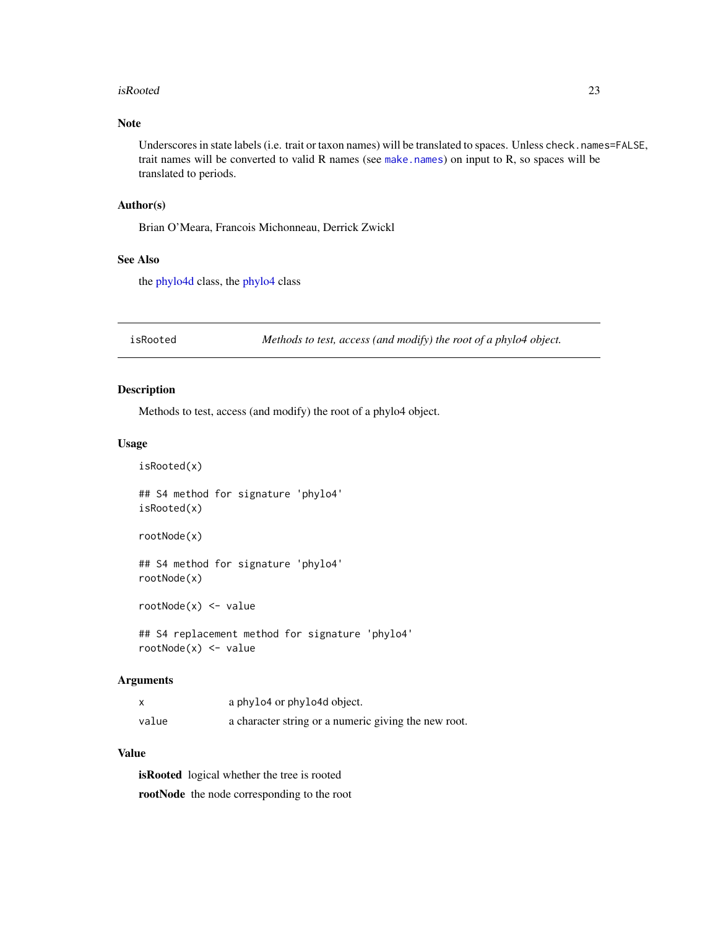#### <span id="page-22-0"></span>isRooted 23

### Note

Underscores in state labels (i.e. trait or taxon names) will be translated to spaces. Unless check.names=FALSE, trait names will be converted to valid R names (see [make.names](#page-0-0)) on input to R, so spaces will be translated to periods.

### Author(s)

Brian O'Meara, Francois Michonneau, Derrick Zwickl

### See Also

the [phylo4d](#page-33-1) class, the [phylo4](#page-28-1) class

isRooted *Methods to test, access (and modify) the root of a phylo4 object.*

#### Description

Methods to test, access (and modify) the root of a phylo4 object.

### Usage

isRooted(x)

## S4 method for signature 'phylo4' isRooted(x)

rootNode(x)

## S4 method for signature 'phylo4' rootNode(x)

rootNode(x) <- value

## S4 replacement method for signature 'phylo4' rootNode(x) <- value

#### Arguments

|       | a phylo4 or phylo4d object.                          |
|-------|------------------------------------------------------|
| value | a character string or a numeric giving the new root. |

#### Value

isRooted logical whether the tree is rooted rootNode the node corresponding to the root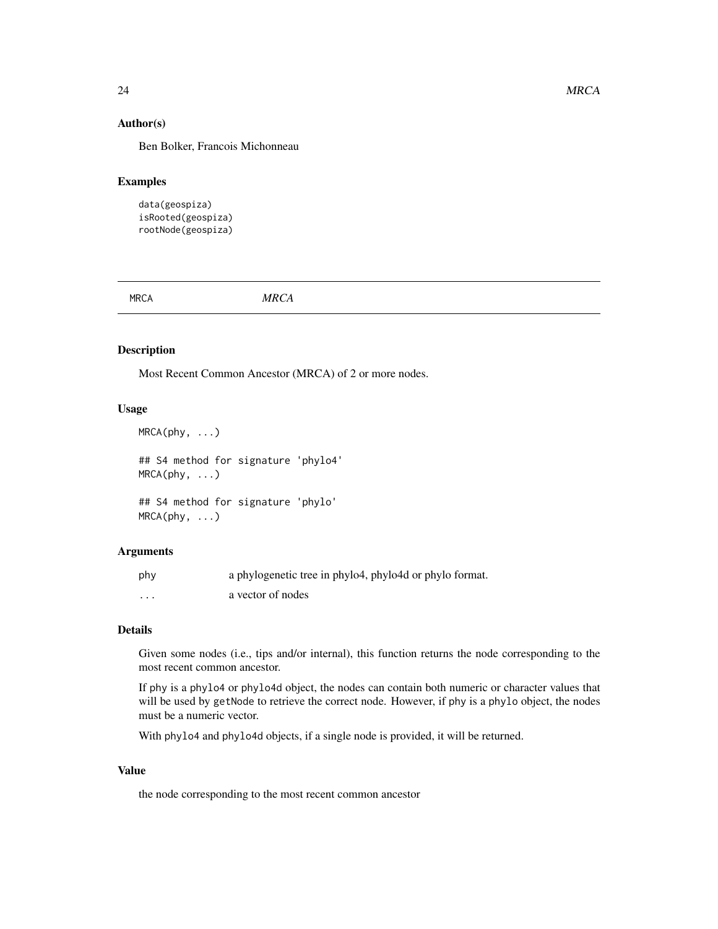#### <span id="page-23-0"></span>Author(s)

Ben Bolker, Francois Michonneau

### Examples

```
data(geospiza)
isRooted(geospiza)
rootNode(geospiza)
```
MRCA *MRCA*

#### Description

Most Recent Common Ancestor (MRCA) of 2 or more nodes.

#### Usage

```
MRCA(phy, ...)
```
## S4 method for signature 'phylo4'  $MRCA(phy, \ldots)$ 

## S4 method for signature 'phylo'  $MRCA(phy, \ldots)$ 

### Arguments

| phy | a phylogenetic tree in phylo4, phylo4d or phylo format. |
|-----|---------------------------------------------------------|
| .   | a vector of nodes                                       |

### Details

Given some nodes (i.e., tips and/or internal), this function returns the node corresponding to the most recent common ancestor.

If phy is a phylo4 or phylo4d object, the nodes can contain both numeric or character values that will be used by getNode to retrieve the correct node. However, if phy is a phylo object, the nodes must be a numeric vector.

With phylo4 and phylo4d objects, if a single node is provided, it will be returned.

#### Value

the node corresponding to the most recent common ancestor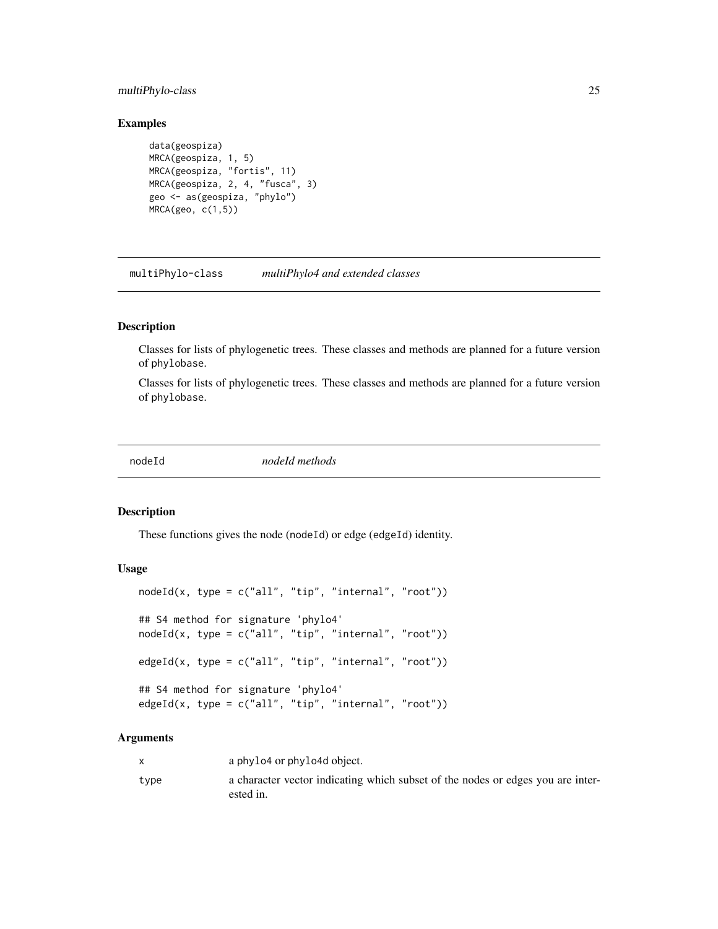### <span id="page-24-0"></span>multiPhylo-class 25

### Examples

```
data(geospiza)
MRCA(geospiza, 1, 5)
MRCA(geospiza, "fortis", 11)
MRCA(geospiza, 2, 4, "fusca", 3)
geo <- as(geospiza, "phylo")
MRCA(geo, c(1,5))
```
multiPhylo-class *multiPhylo4 and extended classes*

#### Description

Classes for lists of phylogenetic trees. These classes and methods are planned for a future version of phylobase.

Classes for lists of phylogenetic trees. These classes and methods are planned for a future version of phylobase.

nodeId *nodeId methods*

#### Description

These functions gives the node (nodeId) or edge (edgeId) identity.

#### Usage

```
nodeId(x, type = c("all", "tip", "internal", "root"))## S4 method for signature 'phylo4'
nodeId(x, type = c("all", "tip", "internal", "root")edgeId(x, type = c("all", "tip", "internal", "root")## S4 method for signature 'phylo4'
edgeId(x, type = c("all", "tip", "internal", "root")
```
### Arguments

|      | a phylo4 or phylo4d object.                                                                  |
|------|----------------------------------------------------------------------------------------------|
| type | a character vector indicating which subset of the nodes or edges you are inter-<br>ested in. |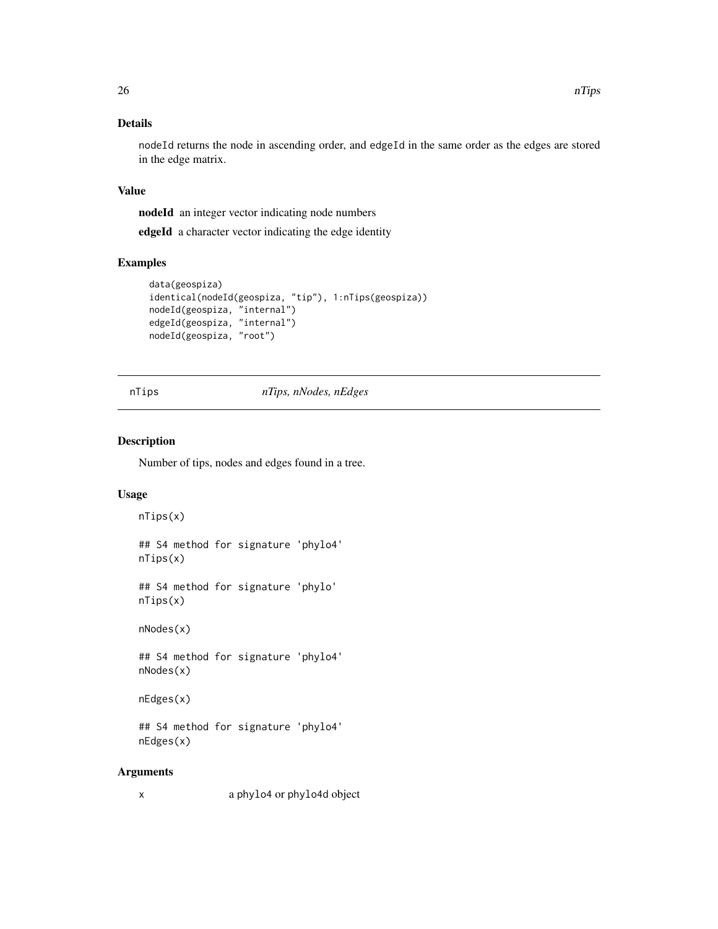### <span id="page-25-0"></span>Details

nodeId returns the node in ascending order, and edgeId in the same order as the edges are stored in the edge matrix.

### Value

nodeId an integer vector indicating node numbers

edgeId a character vector indicating the edge identity

#### Examples

```
data(geospiza)
identical(nodeId(geospiza, "tip"), 1:nTips(geospiza))
nodeId(geospiza, "internal")
edgeId(geospiza, "internal")
nodeId(geospiza, "root")
```
### nTips *nTips, nNodes, nEdges*

#### Description

Number of tips, nodes and edges found in a tree.

#### Usage

```
nTips(x)
```
## S4 method for signature 'phylo4' nTips(x)

## S4 method for signature 'phylo' nTips(x)

nNodes(x)

## S4 method for signature 'phylo4' nNodes(x)

nEdges(x)

## S4 method for signature 'phylo4' nEdges(x)

#### Arguments

x a phylo4 or phylo4d object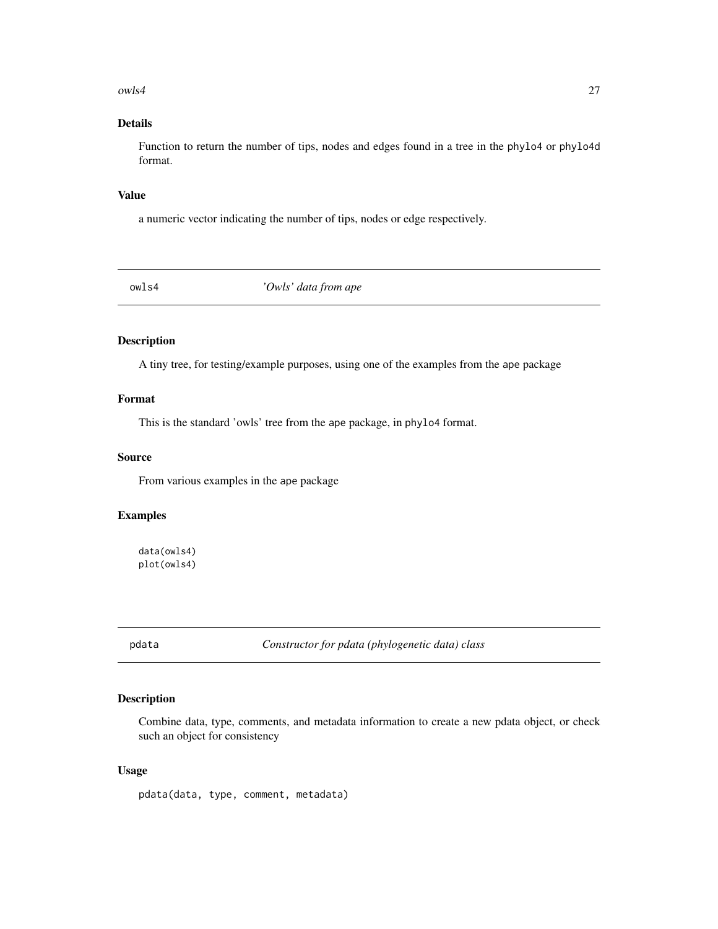#### <span id="page-26-0"></span> $owls4$  27

### Details

Function to return the number of tips, nodes and edges found in a tree in the phylo4 or phylo4d format.

#### Value

a numeric vector indicating the number of tips, nodes or edge respectively.

owls4 *'Owls' data from ape*

### Description

A tiny tree, for testing/example purposes, using one of the examples from the ape package

### Format

This is the standard 'owls' tree from the ape package, in phylo4 format.

### Source

From various examples in the ape package

### Examples

data(owls4) plot(owls4)

pdata *Constructor for pdata (phylogenetic data) class*

### Description

Combine data, type, comments, and metadata information to create a new pdata object, or check such an object for consistency

### Usage

pdata(data, type, comment, metadata)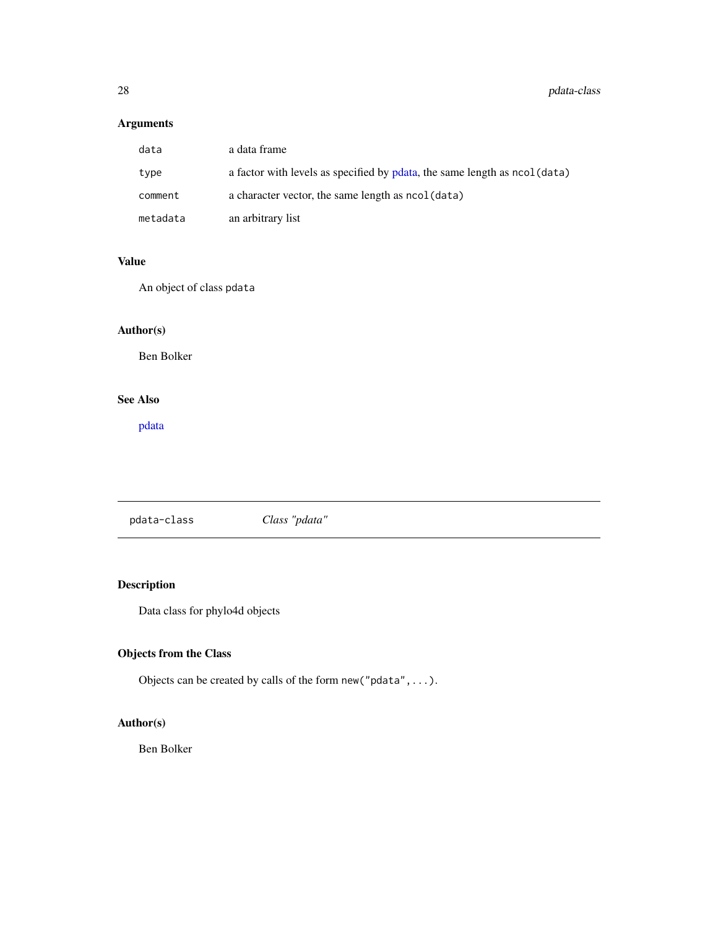### <span id="page-27-0"></span>Arguments

| data     | a data frame                                                               |
|----------|----------------------------------------------------------------------------|
| type     | a factor with levels as specified by pdata, the same length as ncol (data) |
| comment  | a character vector, the same length as $ncol(data)$                        |
| metadata | an arbitrary list                                                          |

### Value

An object of class pdata

### Author(s)

Ben Bolker

### See Also

[pdata](#page-27-1)

<span id="page-27-1"></span>pdata-class *Class "pdata"*

## Description

Data class for phylo4d objects

### Objects from the Class

Objects can be created by calls of the form new("pdata",...).

### Author(s)

Ben Bolker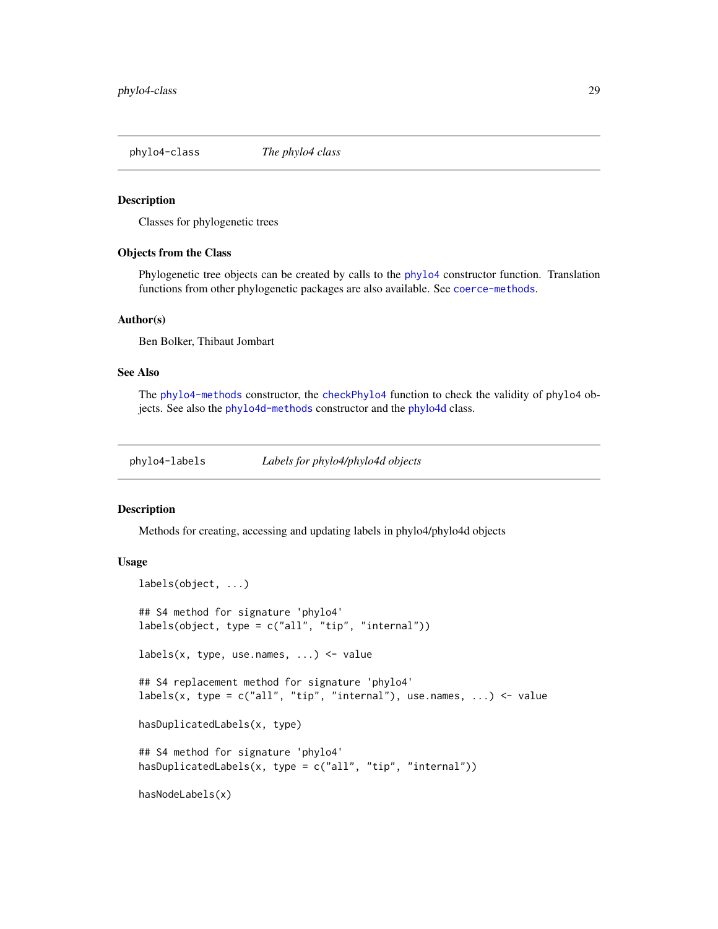<span id="page-28-1"></span><span id="page-28-0"></span>phylo4-class *The phylo4 class*

#### Description

Classes for phylogenetic trees

#### Objects from the Class

Phylogenetic tree objects can be created by calls to the [phylo4](#page-31-1) constructor function. Translation functions from other phylogenetic packages are also available. See [coerce-methods](#page-0-0).

#### Author(s)

Ben Bolker, Thibaut Jombart

#### See Also

The [phylo4-methods](#page-31-2) constructor, the [checkPhylo4](#page-6-1) function to check the validity of phylo4 objects. See also the [phylo4d-methods](#page-34-1) constructor and the [phylo4d](#page-33-1) class.

phylo4-labels *Labels for phylo4/phylo4d objects*

### Description

Methods for creating, accessing and updating labels in phylo4/phylo4d objects

#### Usage

```
labels(object, ...)
## S4 method for signature 'phylo4'
labels(object, type = c("all", "tip", "internal"))
labels(x, type, use.names, \dots) <- value
## S4 replacement method for signature 'phylo4'
labels(x, type = c("all", "tip", "internal"), use names, ... <- value
hasDuplicatedLabels(x, type)
## S4 method for signature 'phylo4'
hasDuplicatedLabels(x, type = c("all", "tip", "internal"))
hasNodeLabels(x)
```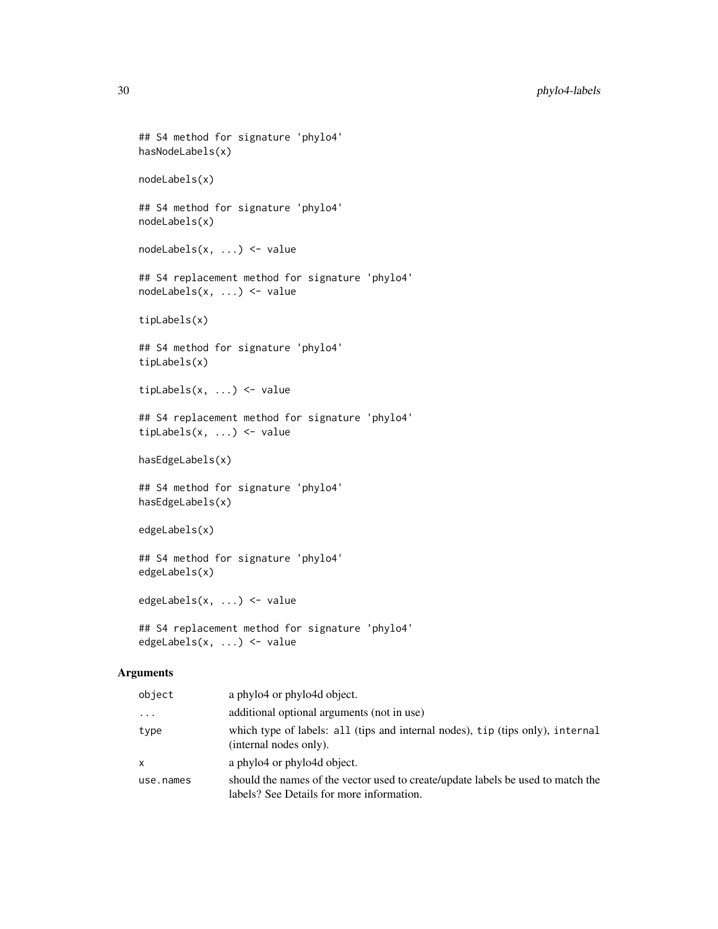```
## S4 method for signature 'phylo4'
hasNodeLabels(x)
nodeLabels(x)
## S4 method for signature 'phylo4'
nodeLabels(x)
nodeLabels(x, ...) <- value
## S4 replacement method for signature 'phylo4'
nodeLabels(x, ...) <- value
tipLabels(x)
## S4 method for signature 'phylo4'
tipLabels(x)
tipLabels(x, ...) <- value
## S4 replacement method for signature 'phylo4'
tipLabels(x, ...) <- value
hasEdgeLabels(x)
## S4 method for signature 'phylo4'
hasEdgeLabels(x)
edgeLabels(x)
## S4 method for signature 'phylo4'
edgeLabels(x)
edgeLabels(x, ...) <- value
## S4 replacement method for signature 'phylo4'
edgeLabels(x, ...) <- value
```
### Arguments

| object    | a phylo4 or phylo4d object.                                                                                                   |
|-----------|-------------------------------------------------------------------------------------------------------------------------------|
| $\cdots$  | additional optional arguments (not in use)                                                                                    |
| type      | which type of labels: all (tips and internal nodes), tip (tips only), internal<br>(internal nodes only).                      |
| x         | a phylo4 or phylo4d object.                                                                                                   |
| use.names | should the names of the vector used to create/update labels be used to match the<br>labels? See Details for more information. |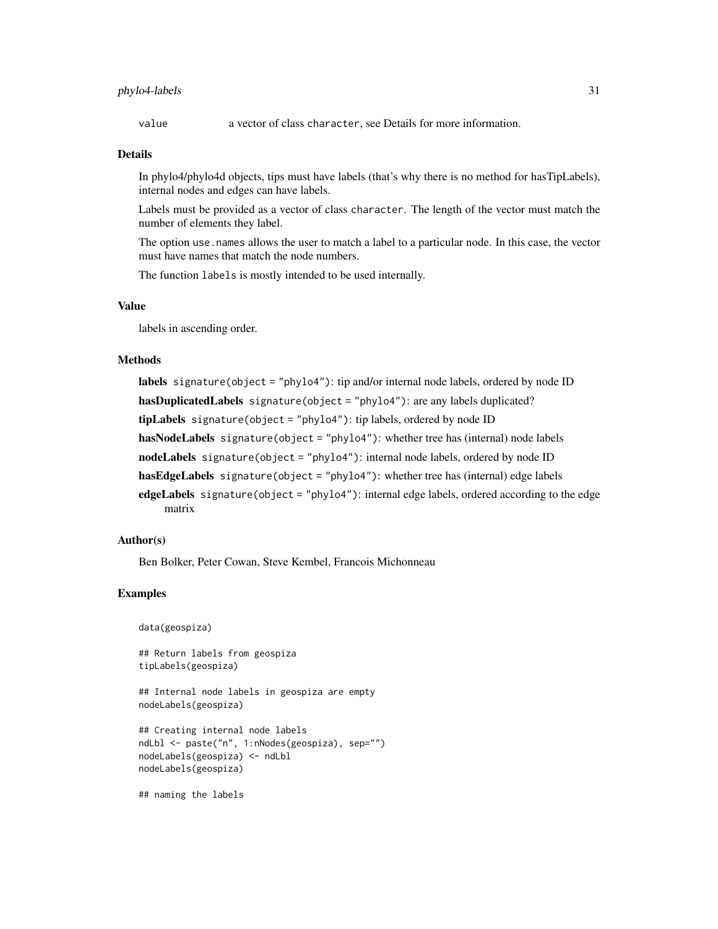### phylo4-labels 31

value a vector of class character, see Details for more information.

#### Details

In phylo4/phylo4d objects, tips must have labels (that's why there is no method for hasTipLabels), internal nodes and edges can have labels.

Labels must be provided as a vector of class character. The length of the vector must match the number of elements they label.

The option use names allows the user to match a label to a particular node. In this case, the vector must have names that match the node numbers.

The function labels is mostly intended to be used internally.

#### Value

labels in ascending order.

#### Methods

labels signature(object = "phylo4"): tip and/or internal node labels, ordered by node ID hasDuplicatedLabels signature(object = "phylo4"): are any labels duplicated? tipLabels signature(object = "phylo4"): tip labels, ordered by node ID hasNodeLabels signature(object = "phylo4"): whether tree has (internal) node labels nodeLabels signature(object = "phylo4"): internal node labels, ordered by node ID hasEdgeLabels signature(object = "phylo4"): whether tree has (internal) edge labels edgeLabels signature(object = "phylo4"): internal edge labels, ordered according to the edge matrix

### Author(s)

Ben Bolker, Peter Cowan, Steve Kembel, Francois Michonneau

#### Examples

```
data(geospiza)
```
## Return labels from geospiza tipLabels(geospiza)

## Internal node labels in geospiza are empty nodeLabels(geospiza)

```
## Creating internal node labels
ndLbl <- paste("n", 1:nNodes(geospiza), sep="")
nodeLabels(geospiza) <- ndLbl
nodeLabels(geospiza)
```
## naming the labels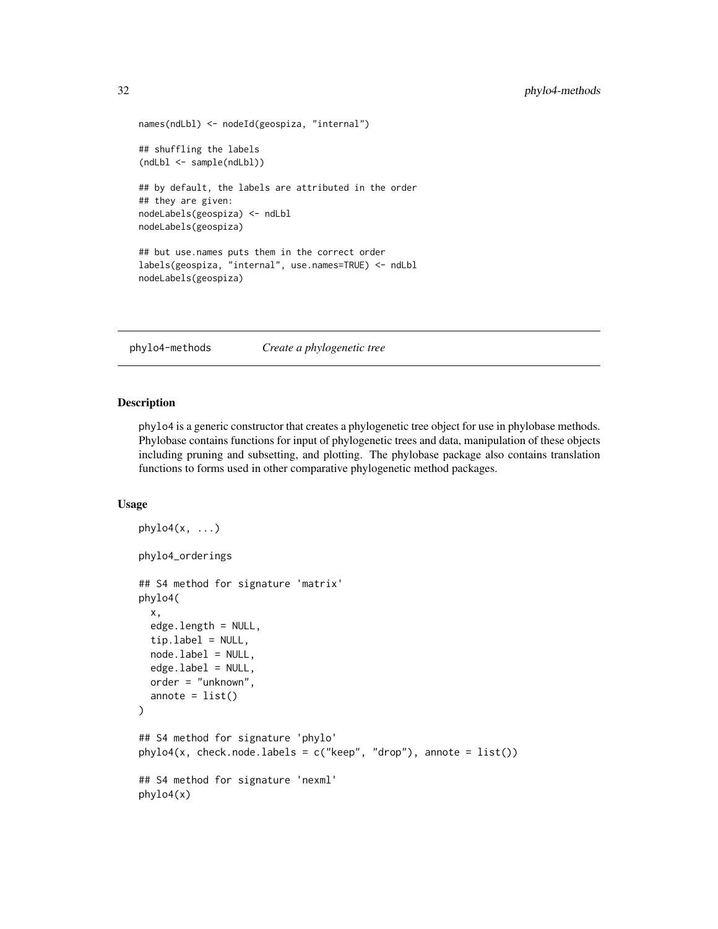```
names(ndLbl) <- nodeId(geospiza, "internal")
## shuffling the labels
(ndLbl <- sample(ndLbl))
## by default, the labels are attributed in the order
## they are given:
nodeLabels(geospiza) <- ndLbl
nodeLabels(geospiza)
## but use.names puts them in the correct order
labels(geospiza, "internal", use.names=TRUE) <- ndLbl
nodeLabels(geospiza)
```
<span id="page-31-2"></span>phylo4-methods *Create a phylogenetic tree*

#### <span id="page-31-1"></span>Description

phylo4 is a generic constructor that creates a phylogenetic tree object for use in phylobase methods. Phylobase contains functions for input of phylogenetic trees and data, manipulation of these objects including pruning and subsetting, and plotting. The phylobase package also contains translation functions to forms used in other comparative phylogenetic method packages.

#### Usage

```
phylo4(x, \ldots)phylo4_orderings
## S4 method for signature 'matrix'
phylo4(
  x,
  edge.length = NULL,
  tiprlabel = NULL,node.label = NULL,
  edgeu.label = NULL,
  order = "unknown",
  annote = list()\lambda## S4 method for signature 'phylo'
phylo4(x, check.node.labels = c("keep", "drop"), annote = list())
## S4 method for signature 'nexml'
phylo4(x)
```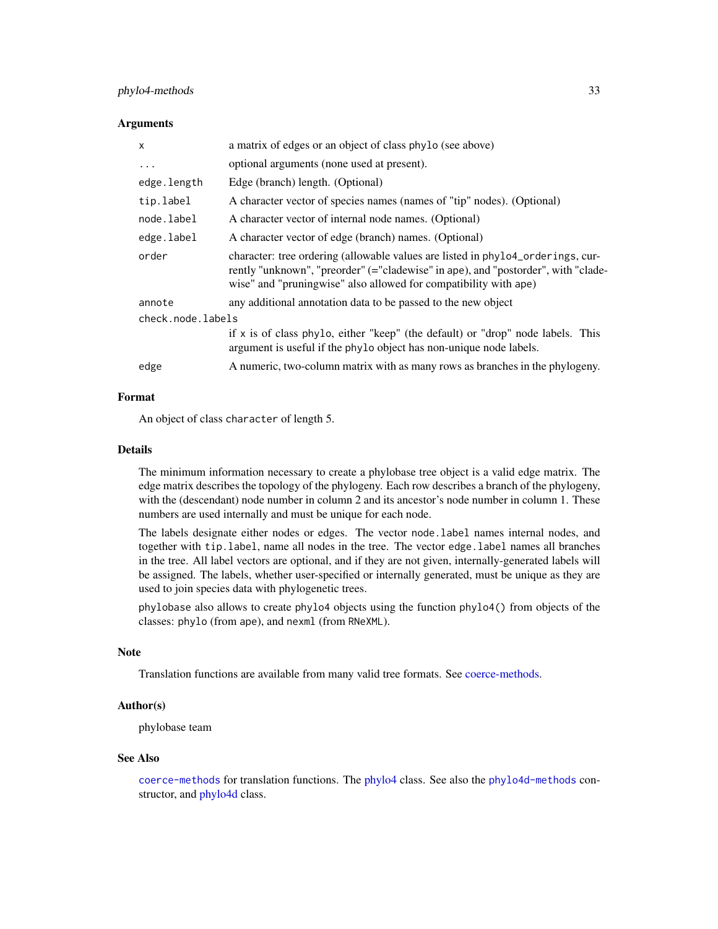### <span id="page-32-0"></span>phylo4-methods 33

#### **Arguments**

| $\mathsf{x}$      | a matrix of edges or an object of class phylo (see above)                                                                                                                                                                                |  |
|-------------------|------------------------------------------------------------------------------------------------------------------------------------------------------------------------------------------------------------------------------------------|--|
| .                 | optional arguments (none used at present).                                                                                                                                                                                               |  |
| edge.length       | Edge (branch) length. (Optional)                                                                                                                                                                                                         |  |
| tip.label         | A character vector of species names (names of "tip" nodes). (Optional)                                                                                                                                                                   |  |
| node.label        | A character vector of internal node names. (Optional)                                                                                                                                                                                    |  |
| edge.label        | A character vector of edge (branch) names. (Optional)                                                                                                                                                                                    |  |
| order             | character: tree ordering (allowable values are listed in phylo4_orderings, cur-<br>rently "unknown", "preorder" (="cladewise" in ape), and "postorder", with "clade-<br>wise" and "pruningwise" also allowed for compatibility with ape) |  |
| annote            | any additional annotation data to be passed to the new object                                                                                                                                                                            |  |
| check.node.labels |                                                                                                                                                                                                                                          |  |
|                   | if $x$ is of class phylo, either "keep" (the default) or "drop" node labels. This<br>argument is useful if the phylo object has non-unique node labels.                                                                                  |  |
| edge              | A numeric, two-column matrix with as many rows as branches in the phylogeny.                                                                                                                                                             |  |

#### Format

An object of class character of length 5.

#### Details

The minimum information necessary to create a phylobase tree object is a valid edge matrix. The edge matrix describes the topology of the phylogeny. Each row describes a branch of the phylogeny, with the (descendant) node number in column 2 and its ancestor's node number in column 1. These numbers are used internally and must be unique for each node.

The labels designate either nodes or edges. The vector node.label names internal nodes, and together with tip.label, name all nodes in the tree. The vector edge.label names all branches in the tree. All label vectors are optional, and if they are not given, internally-generated labels will be assigned. The labels, whether user-specified or internally generated, must be unique as they are used to join species data with phylogenetic trees.

phylobase also allows to create phylo4 objects using the function phylo4() from objects of the classes: phylo (from ape), and nexml (from RNeXML).

#### Note

Translation functions are available from many valid tree formats. See [coerce-methods.](#page-0-0)

#### Author(s)

phylobase team

#### See Also

[coerce-methods](#page-0-0) for translation functions. The [phylo4](#page-28-1) class. See also the [phylo4d-methods](#page-34-1) constructor, and [phylo4d](#page-33-1) class.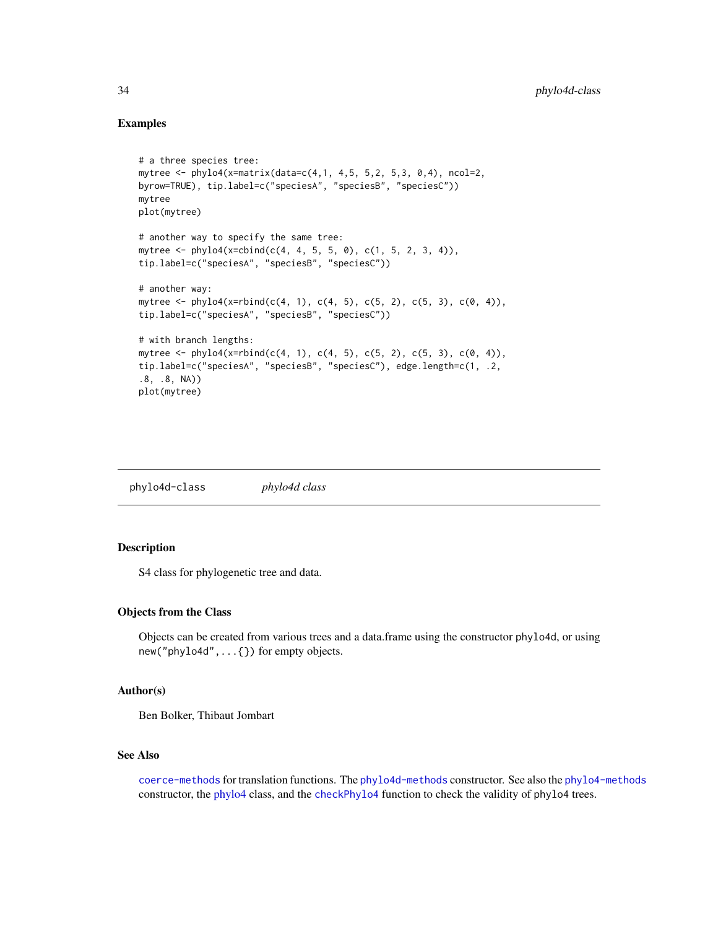### Examples

```
# a three species tree:
mytree <- phylo4(x=matrix(data=c(4,1, 4,5, 5,2, 5,3, 0,4), ncol=2,
byrow=TRUE), tip.label=c("speciesA", "speciesB", "speciesC"))
mytree
plot(mytree)
# another way to specify the same tree:
mytree <- phylo4(x=cbind(c(4, 4, 5, 5, 0), c(1, 5, 2, 3, 4)),
tip.label=c("speciesA", "speciesB", "speciesC"))
# another way:
mytree <- phylo4(x=rbind(c(4, 1), c(4, 5), c(5, 2), c(5, 3), c(0, 4)),
tip.label=c("speciesA", "speciesB", "speciesC"))
# with branch lengths:
mytree <- phylo4(x=rbind(c(4, 1), c(4, 5), c(5, 2), c(5, 3), c(0, 4)),
tip.label=c("speciesA", "speciesB", "speciesC"), edge.length=c(1, .2,
.8, .8, NA))
plot(mytree)
```
<span id="page-33-1"></span>phylo4d-class *phylo4d class*

#### Description

S4 class for phylogenetic tree and data.

### Objects from the Class

Objects can be created from various trees and a data.frame using the constructor phylo4d, or using new("phylo4d",...{}) for empty objects.

### Author(s)

Ben Bolker, Thibaut Jombart

#### See Also

[coerce-methods](#page-0-0) for translation functions. The [phylo4d-methods](#page-34-1) constructor. See also the [phylo4-methods](#page-31-2) constructor, the [phylo4](#page-28-1) class, and the [checkPhylo4](#page-6-1) function to check the validity of phylo4 trees.

<span id="page-33-0"></span>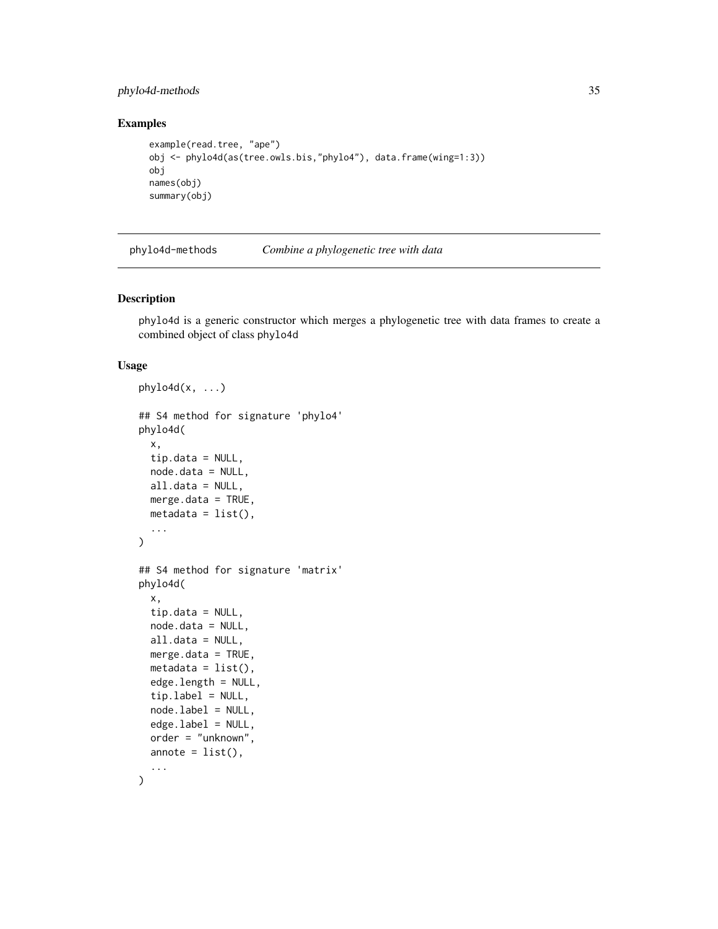### <span id="page-34-0"></span>phylo4d-methods 35

### Examples

```
example(read.tree, "ape")
obj <- phylo4d(as(tree.owls.bis,"phylo4"), data.frame(wing=1:3))
obj
names(obj)
summary(obj)
```
<span id="page-34-1"></span>phylo4d-methods *Combine a phylogenetic tree with data*

### Description

phylo4d is a generic constructor which merges a phylogenetic tree with data frames to create a combined object of class phylo4d

#### Usage

```
phylo4d(x, ...)## S4 method for signature 'phylo4'
phylo4d(
  x,
  tip.data = NULL,
 node.data = NULL,
 all.data = NULL,
 merge.data = TRUE,
 metadata = list(),
  ...
)
## S4 method for signature 'matrix'
phylo4d(
  x,
  tip.data = NULL,
  node.data = NULL,
  all.data = NULL,
 merge.data = TRUE,
  metadata = list(),edge.length = NULL,
  tip.label = NULL,
  node.label = NULL,
  edge.label = NULL,
  order = "unknown",
  annote = list(),
  ...
)
```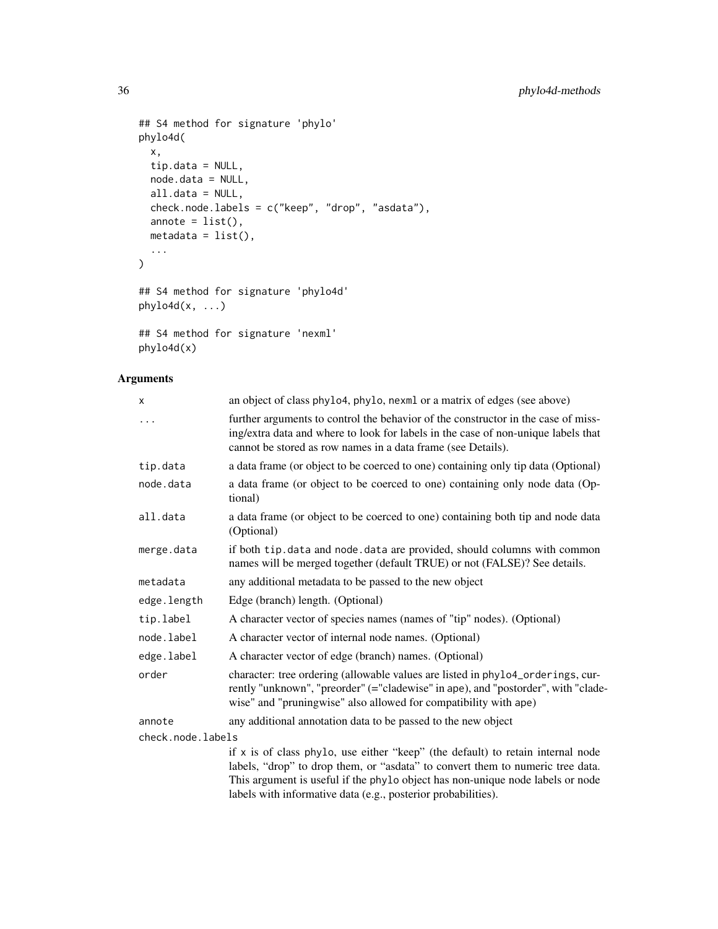```
## S4 method for signature 'phylo'
phylo4d(
 x,
 tip.data = NULL,
 node.data = NULL,
 all.data = NULL,
 check.node.labels = c("keep", "drop", "asdata"),
 annote = list(),metadata = list(),...
\mathcal{L}## S4 method for signature 'phylo4d'
phylo4d(x, ...)## S4 method for signature 'nexml'
```
### Arguments

phylo4d(x)

| X                 | an object of class phylo4, phylo, nexml or a matrix of edges (see above)                                                                                                                                                                 |
|-------------------|------------------------------------------------------------------------------------------------------------------------------------------------------------------------------------------------------------------------------------------|
| .                 | further arguments to control the behavior of the constructor in the case of miss-<br>ing/extra data and where to look for labels in the case of non-unique labels that<br>cannot be stored as row names in a data frame (see Details).   |
| tip.data          | a data frame (or object to be coerced to one) containing only tip data (Optional)                                                                                                                                                        |
| node.data         | a data frame (or object to be coerced to one) containing only node data (Op-<br>tional)                                                                                                                                                  |
| all.data          | a data frame (or object to be coerced to one) containing both tip and node data<br>(Optional)                                                                                                                                            |
| merge.data        | if both tip.data and node.data are provided, should columns with common<br>names will be merged together (default TRUE) or not (FALSE)? See details.                                                                                     |
| metadata          | any additional metadata to be passed to the new object                                                                                                                                                                                   |
| edge.length       | Edge (branch) length. (Optional)                                                                                                                                                                                                         |
| tip.label         | A character vector of species names (names of "tip" nodes). (Optional)                                                                                                                                                                   |
| node.label        | A character vector of internal node names. (Optional)                                                                                                                                                                                    |
| edge.label        | A character vector of edge (branch) names. (Optional)                                                                                                                                                                                    |
| order             | character: tree ordering (allowable values are listed in phylo4_orderings, cur-<br>rently "unknown", "preorder" (="cladewise" in ape), and "postorder", with "clade-<br>wise" and "pruningwise" also allowed for compatibility with ape) |
| annote            | any additional annotation data to be passed to the new object                                                                                                                                                                            |
| check.node.labels |                                                                                                                                                                                                                                          |
|                   | if $x$ is of class phylo, use either "keep" (the default) to retain internal node                                                                                                                                                        |
|                   | labels, "drop" to drop them, or "asdata" to convert them to numeric tree data.                                                                                                                                                           |
|                   | This argument is useful if the phylo object has non-unique node labels or node                                                                                                                                                           |

labels with informative data (e.g., posterior probabilities).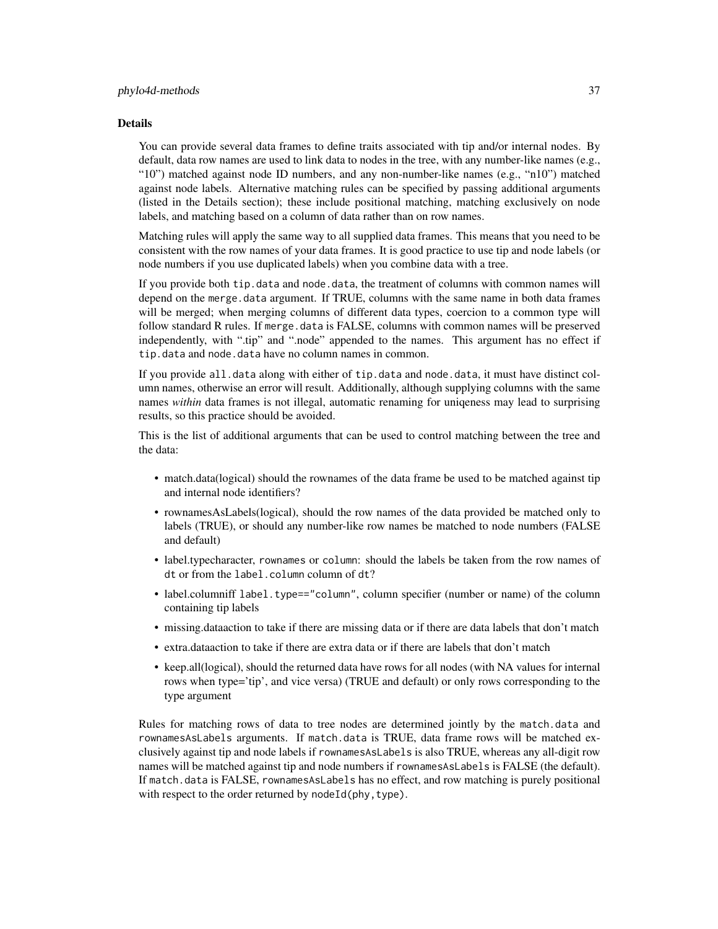#### Details

You can provide several data frames to define traits associated with tip and/or internal nodes. By default, data row names are used to link data to nodes in the tree, with any number-like names (e.g., "10") matched against node ID numbers, and any non-number-like names (e.g., "n10") matched against node labels. Alternative matching rules can be specified by passing additional arguments (listed in the Details section); these include positional matching, matching exclusively on node labels, and matching based on a column of data rather than on row names.

Matching rules will apply the same way to all supplied data frames. This means that you need to be consistent with the row names of your data frames. It is good practice to use tip and node labels (or node numbers if you use duplicated labels) when you combine data with a tree.

If you provide both tip.data and node.data, the treatment of columns with common names will depend on the merge.data argument. If TRUE, columns with the same name in both data frames will be merged; when merging columns of different data types, coercion to a common type will follow standard R rules. If merge.data is FALSE, columns with common names will be preserved independently, with ".tip" and ".node" appended to the names. This argument has no effect if tip.data and node.data have no column names in common.

If you provide all.data along with either of tip.data and node.data, it must have distinct column names, otherwise an error will result. Additionally, although supplying columns with the same names *within* data frames is not illegal, automatic renaming for uniqeness may lead to surprising results, so this practice should be avoided.

This is the list of additional arguments that can be used to control matching between the tree and the data:

- match.data(logical) should the rownames of the data frame be used to be matched against tip and internal node identifiers?
- rownamesAsLabels(logical), should the row names of the data provided be matched only to labels (TRUE), or should any number-like row names be matched to node numbers (FALSE and default)
- label.typecharacter, rownames or column: should the labels be taken from the row names of dt or from the label.column column of dt?
- label.columniff label.type=="column", column specifier (number or name) of the column containing tip labels
- missing.dataaction to take if there are missing data or if there are data labels that don't match
- extra.dataaction to take if there are extra data or if there are labels that don't match
- keep.all(logical), should the returned data have rows for all nodes (with NA values for internal rows when type='tip', and vice versa) (TRUE and default) or only rows corresponding to the type argument

Rules for matching rows of data to tree nodes are determined jointly by the match.data and rownamesAsLabels arguments. If match.data is TRUE, data frame rows will be matched exclusively against tip and node labels if rownamesAsLabels is also TRUE, whereas any all-digit row names will be matched against tip and node numbers if rownamesAsLabels is FALSE (the default). If match.data is FALSE, rownamesAsLabels has no effect, and row matching is purely positional with respect to the order returned by nodeId(phy, type).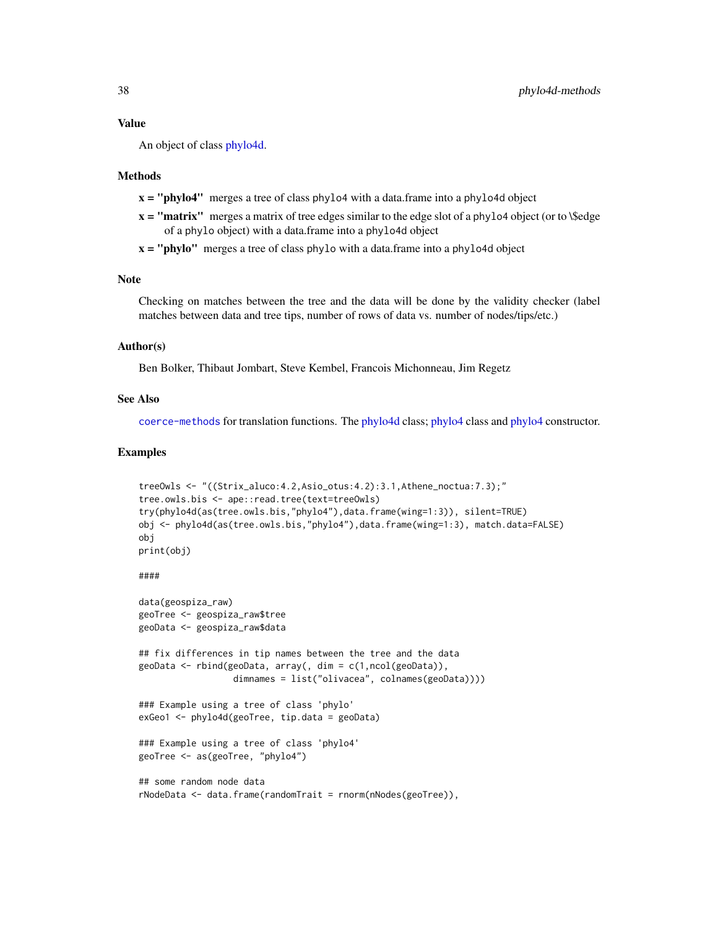#### <span id="page-37-0"></span>Value

An object of class [phylo4d.](#page-33-1)

#### Methods

- $x =$ "phylo4" merges a tree of class phylo4 with a data.frame into a phylo4d object
- $x =$  "matrix" merges a matrix of tree edges similar to the edge slot of a phylo4 object (or to \\$edge of a phylo object) with a data.frame into a phylo4d object
- $x = "phylo"$  merges a tree of class phylo with a data.frame into a phylo4d object

### Note

Checking on matches between the tree and the data will be done by the validity checker (label matches between data and tree tips, number of rows of data vs. number of nodes/tips/etc.)

#### Author(s)

Ben Bolker, Thibaut Jombart, Steve Kembel, Francois Michonneau, Jim Regetz

#### See Also

[coerce-methods](#page-0-0) for translation functions. The [phylo4d](#page-33-1) class; [phylo4](#page-28-1) class and [phylo4](#page-31-1) constructor.

#### Examples

```
treeOwls <- "((Strix_aluco:4.2,Asio_otus:4.2):3.1,Athene_noctua:7.3);"
tree.owls.bis <- ape::read.tree(text=treeOwls)
try(phylo4d(as(tree.owls.bis,"phylo4"),data.frame(wing=1:3)), silent=TRUE)
obj <- phylo4d(as(tree.owls.bis,"phylo4"),data.frame(wing=1:3), match.data=FALSE)
obj
print(obj)
```
### ####

```
data(geospiza_raw)
geoTree <- geospiza_raw$tree
geoData <- geospiza_raw$data
## fix differences in tip names between the tree and the data
geoData <- rbind(geoData, array(, dim = c(1,ncol(geoData)),
                  dimnames = list("olivacea", colnames(geoData))))
### Example using a tree of class 'phylo'
exGeo1 <- phylo4d(geoTree, tip.data = geoData)
### Example using a tree of class 'phylo4'
geoTree <- as(geoTree, "phylo4")
## some random node data
rNodeData <- data.frame(randomTrait = rnorm(nNodes(geoTree)),
```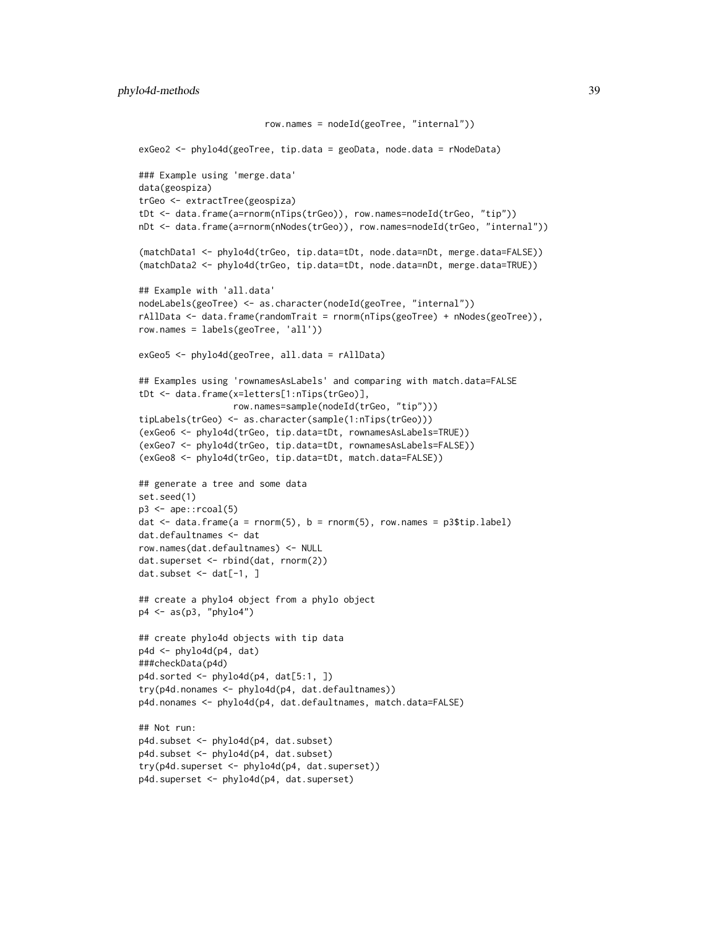```
row.names = nodeId(geoTree, "internal"))
exGeo2 <- phylo4d(geoTree, tip.data = geoData, node.data = rNodeData)
### Example using 'merge.data'
data(geospiza)
trGeo <- extractTree(geospiza)
tDt <- data.frame(a=rnorm(nTips(trGeo)), row.names=nodeId(trGeo, "tip"))
nDt <- data.frame(a=rnorm(nNodes(trGeo)), row.names=nodeId(trGeo, "internal"))
(matchData1 <- phylo4d(trGeo, tip.data=tDt, node.data=nDt, merge.data=FALSE))
(matchData2 <- phylo4d(trGeo, tip.data=tDt, node.data=nDt, merge.data=TRUE))
## Example with 'all.data'
nodeLabels(geoTree) <- as.character(nodeId(geoTree, "internal"))
rAllData <- data.frame(randomTrait = rnorm(nTips(geoTree) + nNodes(geoTree)),
row.names = labels(geoTree, 'all'))
exGeo5 <- phylo4d(geoTree, all.data = rAllData)
## Examples using 'rownamesAsLabels' and comparing with match.data=FALSE
tDt <- data.frame(x=letters[1:nTips(trGeo)],
                 row.names=sample(nodeId(trGeo, "tip")))
tipLabels(trGeo) <- as.character(sample(1:nTips(trGeo)))
(exGeo6 <- phylo4d(trGeo, tip.data=tDt, rownamesAsLabels=TRUE))
(exGeo7 <- phylo4d(trGeo, tip.data=tDt, rownamesAsLabels=FALSE))
(exGeo8 <- phylo4d(trGeo, tip.data=tDt, match.data=FALSE))
## generate a tree and some data
set.seed(1)
p3 \leq ape::rcoal(5)dat \leq data.frame(a = rnorm(5), b = rnorm(5), row.names = p3$tip.label)
dat.defaultnames <- dat
row.names(dat.defaultnames) <- NULL
dat.superset <- rbind(dat, rnorm(2))
dat.subset \leq dat[-1, ]
## create a phylo4 object from a phylo object
p4 <- as(p3, "phylo4")
## create phylo4d objects with tip data
p4d <- phylo4d(p4, dat)
###checkData(p4d)
p4d.sorted \leftarrow phylo4d(p4, dat[5:1, ])try(p4d.nonames <- phylo4d(p4, dat.defaultnames))
p4d.nonames <- phylo4d(p4, dat.defaultnames, match.data=FALSE)
## Not run:
p4d.subset <- phylo4d(p4, dat.subset)
p4d.subset <- phylo4d(p4, dat.subset)
try(p4d.superset <- phylo4d(p4, dat.superset))
p4d.superset <- phylo4d(p4, dat.superset)
```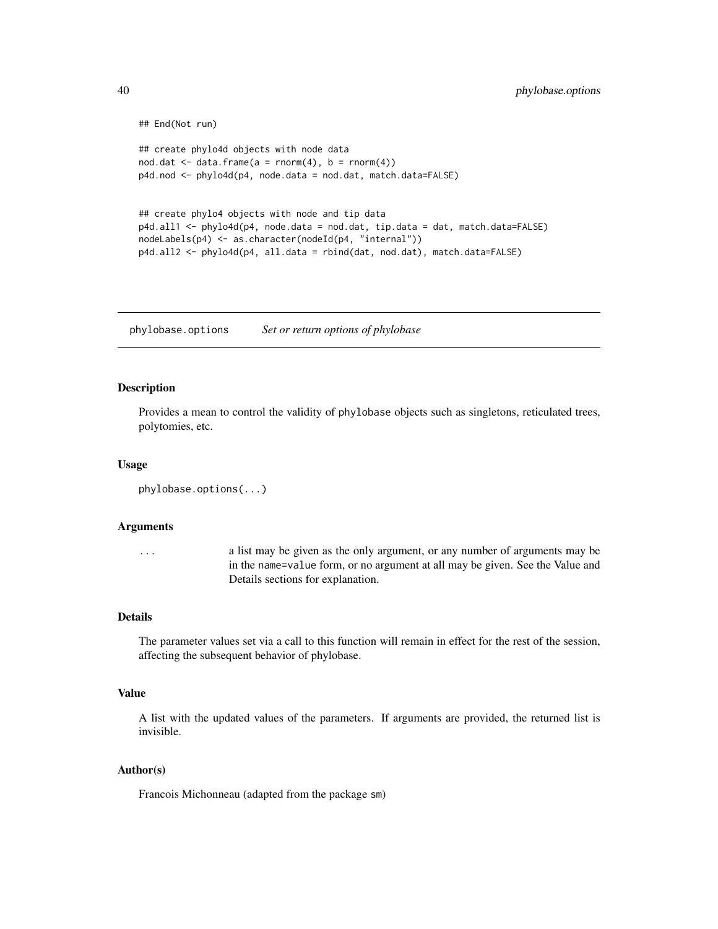```
## End(Not run)
## create phylo4d objects with node data
nod.dat \leq data.frame(a = rnorm(4), b = rnorm(4))
p4d.nod <- phylo4d(p4, node.data = nod.dat, match.data=FALSE)
## create phylo4 objects with node and tip data
p4d.all1 <- phylo4d(p4, node.data = nod.dat, tip.data = dat, match.data=FALSE)
nodeLabels(p4) <- as.character(nodeId(p4, "internal"))
p4d.all2 <- phylo4d(p4, all.data = rbind(dat, nod.dat), match.data=FALSE)
```
<span id="page-39-1"></span>phylobase.options *Set or return options of phylobase*

### Description

Provides a mean to control the validity of phylobase objects such as singletons, reticulated trees, polytomies, etc.

#### Usage

```
phylobase.options(...)
```
### Arguments

... a list may be given as the only argument, or any number of arguments may be in the name=value form, or no argument at all may be given. See the Value and Details sections for explanation.

#### Details

The parameter values set via a call to this function will remain in effect for the rest of the session, affecting the subsequent behavior of phylobase.

#### Value

A list with the updated values of the parameters. If arguments are provided, the returned list is invisible.

### Author(s)

Francois Michonneau (adapted from the package sm)

<span id="page-39-0"></span>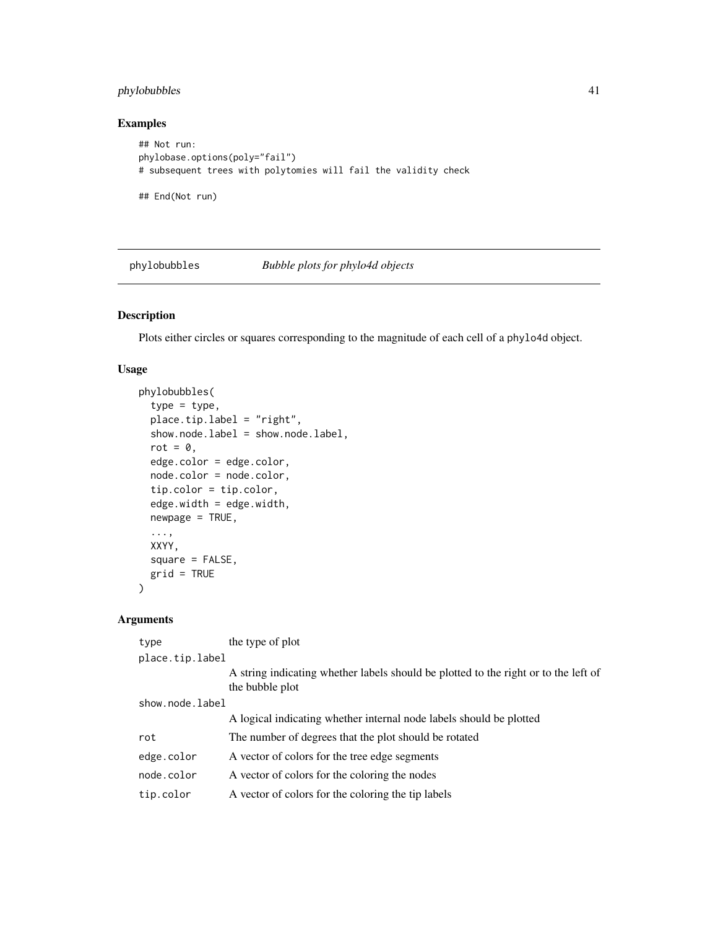### <span id="page-40-0"></span>phylobubbles 41

### Examples

```
## Not run:
phylobase.options(poly="fail")
# subsequent trees with polytomies will fail the validity check
```
## End(Not run)

<span id="page-40-1"></span>phylobubbles *Bubble plots for phylo4d objects*

### Description

Plots either circles or squares corresponding to the magnitude of each cell of a phylo4d object.

### Usage

```
phylobubbles(
  type = type,
  place.tip.label = "right",
  show.node.label = show.node.label,
  rot = \theta,
  edge.color = edge.color,
  node.color = node.color,
  tip.color = tip.color,
  edge.width = edge.width,
  newpage = TRUE,...,
  XXYY,
  square = FALSE,grid = TRUE
\overline{\phantom{0}}
```
### Arguments

| type            | the type of plot                                                                                       |  |  |
|-----------------|--------------------------------------------------------------------------------------------------------|--|--|
| place.tip.label |                                                                                                        |  |  |
|                 | A string indicating whether labels should be plotted to the right or to the left of<br>the bubble plot |  |  |
| show.node.label |                                                                                                        |  |  |
|                 | A logical indicating whether internal node labels should be plotted                                    |  |  |
| rot             | The number of degrees that the plot should be rotated                                                  |  |  |
| edge.color      | A vector of colors for the tree edge segments                                                          |  |  |
| node.color      | A vector of colors for the coloring the nodes                                                          |  |  |
| tip.color       | A vector of colors for the coloring the tip labels                                                     |  |  |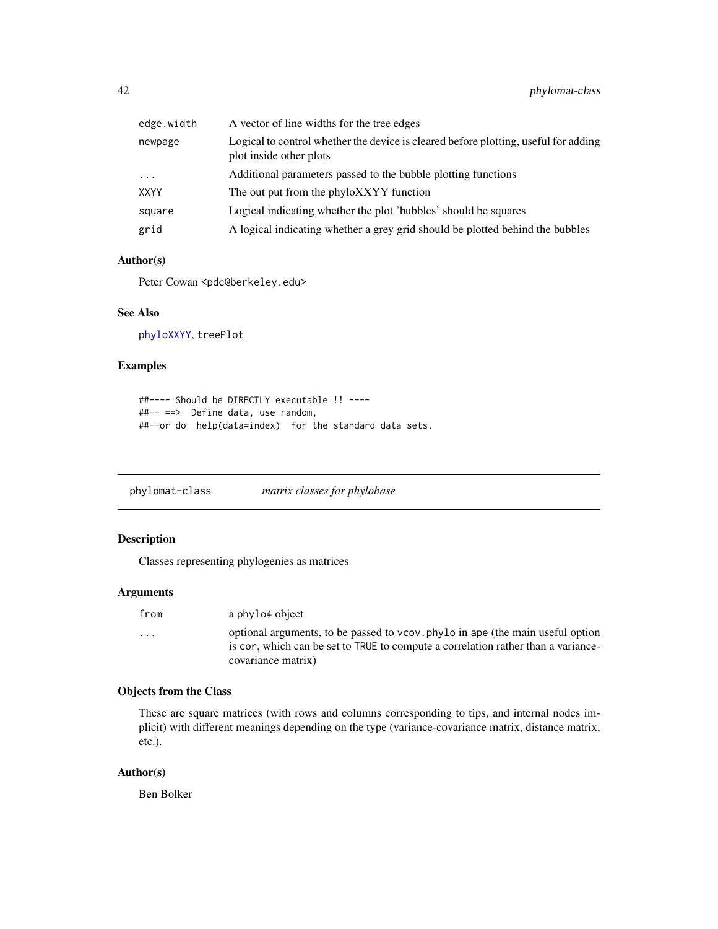<span id="page-41-0"></span>

| edge.width  | A vector of line widths for the tree edges                                                                     |
|-------------|----------------------------------------------------------------------------------------------------------------|
| newpage     | Logical to control whether the device is cleared before plotting, useful for adding<br>plot inside other plots |
| $\cdots$    | Additional parameters passed to the bubble plotting functions                                                  |
| <b>XXYY</b> | The out put from the phyloXXYY function                                                                        |
| square      | Logical indicating whether the plot 'bubbles' should be squares                                                |
| grid        | A logical indicating whether a grey grid should be plotted behind the bubbles                                  |

### Author(s)

Peter Cowan <pdc@berkeley.edu>

#### See Also

[phyloXXYY](#page-42-1), treePlot

### Examples

```
##---- Should be DIRECTLY executable !! ----
##-- ==> Define data, use random,
##--or do help(data=index) for the standard data sets.
```
phylomat-class *matrix classes for phylobase*

### Description

Classes representing phylogenies as matrices

#### Arguments

| from                    | a phylo4 object                                                                                                                                                                           |
|-------------------------|-------------------------------------------------------------------------------------------------------------------------------------------------------------------------------------------|
| $\cdot$ $\cdot$ $\cdot$ | optional arguments, to be passed to vcov. phylo in ape (the main useful option<br>is cor, which can be set to TRUE to compute a correlation rather than a variance-<br>covariance matrix) |
|                         |                                                                                                                                                                                           |

### Objects from the Class

These are square matrices (with rows and columns corresponding to tips, and internal nodes implicit) with different meanings depending on the type (variance-covariance matrix, distance matrix, etc.).

### Author(s)

Ben Bolker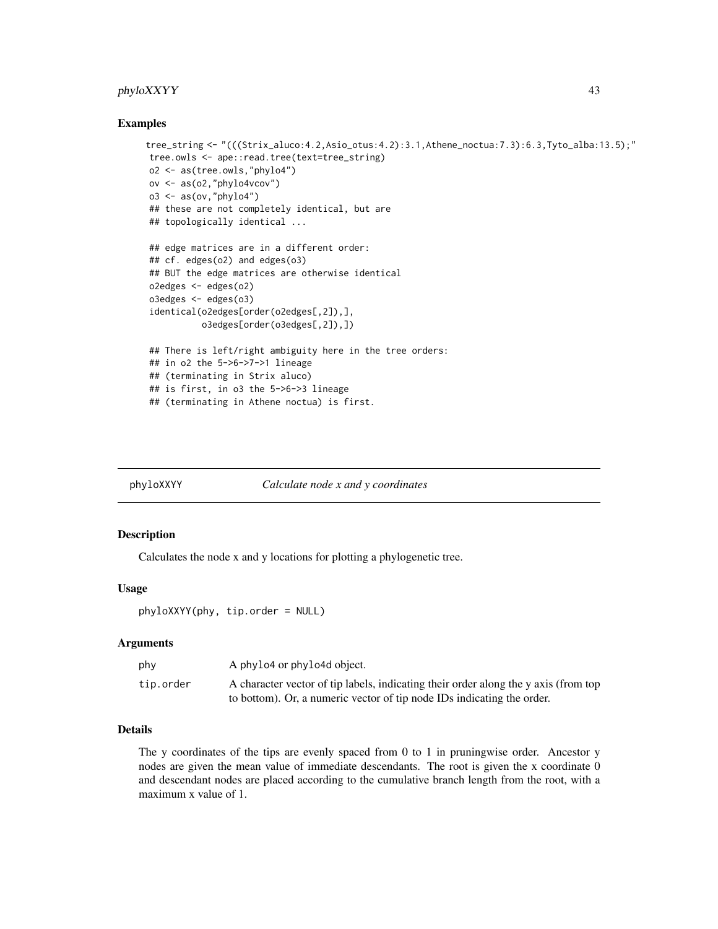### <span id="page-42-0"></span>phyloXXYY 43

#### Examples

```
tree_string <- "(((Strix_aluco:4.2,Asio_otus:4.2):3.1,Athene_noctua:7.3):6.3,Tyto_alba:13.5);"
tree.owls <- ape::read.tree(text=tree_string)
o2 <- as(tree.owls,"phylo4")
ov <- as(o2,"phylo4vcov")
o3 \leftarrow as(ov, "phylo4")## these are not completely identical, but are
## topologically identical ...
## edge matrices are in a different order:
## cf. edges(o2) and edges(o3)
## BUT the edge matrices are otherwise identical
o2edges <- edges(o2)
o3edges <- edges(o3)
identical(o2edges[order(o2edges[,2]),],
          o3edges[order(o3edges[,2]),])
## There is left/right ambiguity here in the tree orders:
## in o2 the 5->6->7->1 lineage
## (terminating in Strix aluco)
## is first, in o3 the 5->6->3 lineage
## (terminating in Athene noctua) is first.
```
<span id="page-42-1"></span>

phyloXXYY *Calculate node x and y coordinates*

#### Description

Calculates the node x and y locations for plotting a phylogenetic tree.

#### Usage

phyloXXYY(phy, tip.order = NULL)

#### Arguments

| phy       | A phylo4 or phylo4d object.                                                         |
|-----------|-------------------------------------------------------------------------------------|
| tip.order | A character vector of tip labels, indicating their order along the y axis (from top |
|           | to bottom). Or, a numeric vector of tip node IDs indicating the order.              |

### Details

The y coordinates of the tips are evenly spaced from 0 to 1 in pruningwise order. Ancestor y nodes are given the mean value of immediate descendants. The root is given the x coordinate 0 and descendant nodes are placed according to the cumulative branch length from the root, with a maximum x value of 1.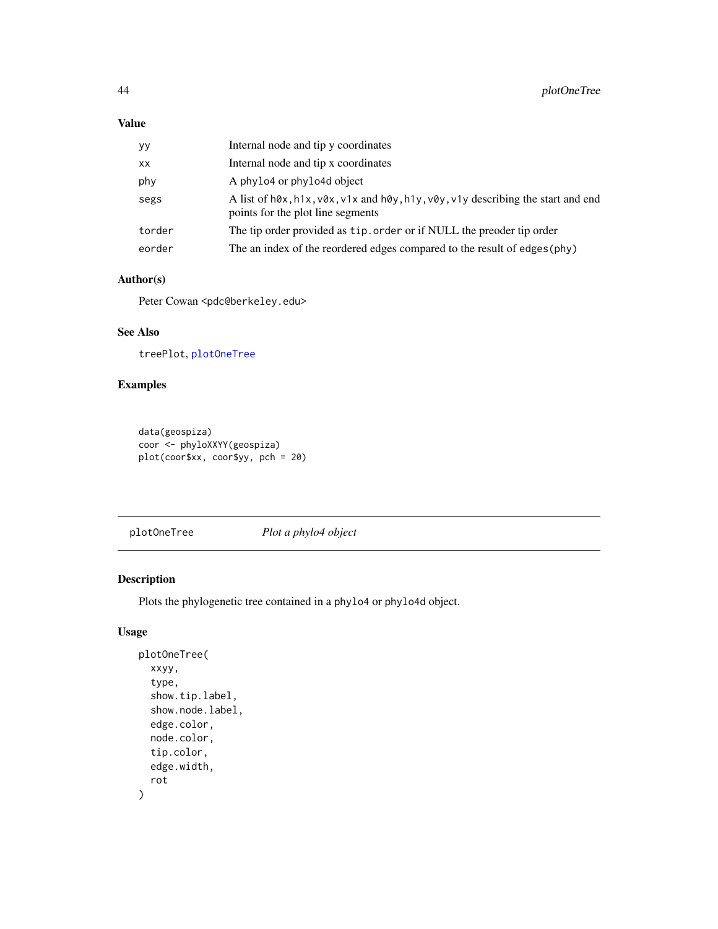### <span id="page-43-0"></span>Value

| уу     | Internal node and tip y coordinates                                                                                                                 |
|--------|-----------------------------------------------------------------------------------------------------------------------------------------------------|
| XX     | Internal node and tip x coordinates                                                                                                                 |
| phy    | A phylo4 or phylo4d object                                                                                                                          |
| segs   | A list of $h\&0x$ , $h1x$ , $v\&0x$ , $v1x$ and $h\&0y$ , $h1y$ , $v\&0y$ , $v1y$ describing the start and end<br>points for the plot line segments |
| torder | The tip order provided as tip. order or if NULL the preoder tip order                                                                               |
| eorder | The an index of the reordered edges compared to the result of edges (phy)                                                                           |

### Author(s)

Peter Cowan <pdc@berkeley.edu>

### See Also

treePlot, [plotOneTree](#page-43-1)

### Examples

```
data(geospiza)
coor <- phyloXXYY(geospiza)
plot(coor$xx, coor$yy, pch = 20)
```
<span id="page-43-1"></span>plotOneTree *Plot a phylo4 object*

### Description

Plots the phylogenetic tree contained in a phylo4 or phylo4d object.

### Usage

```
plotOneTree(
  xxyy,
  type,
  show.tip.label,
  show.node.label,
  edge.color,
  node.color,
  tip.color,
  edge.width,
  rot
)
```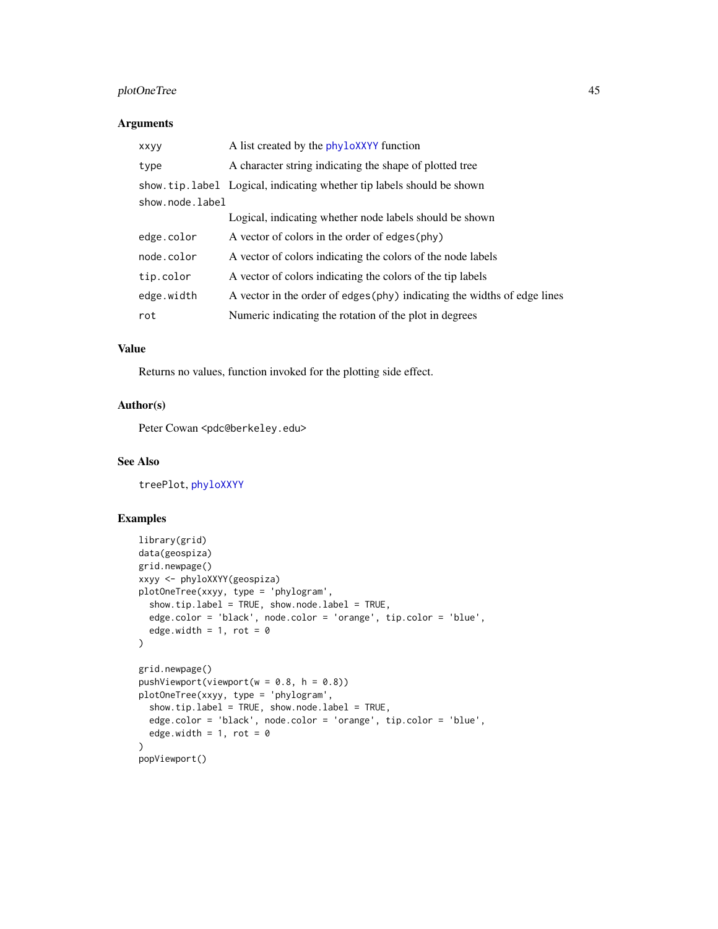### <span id="page-44-0"></span>plotOneTree 45

### Arguments

| <b>XXVV</b>     | A list created by the phyloXXYY function                                 |
|-----------------|--------------------------------------------------------------------------|
| type            | A character string indicating the shape of plotted tree                  |
|                 | show, tip, label Logical, indicating whether tip labels should be shown  |
| show.node.label |                                                                          |
|                 | Logical, indicating whether node labels should be shown                  |
| edge.color      | A vector of colors in the order of edges (phy)                           |
| node.color      | A vector of colors indicating the colors of the node labels              |
| tip.color       | A vector of colors indicating the colors of the tip labels               |
| edge.width      | A vector in the order of edges (phy) indicating the widths of edge lines |
| rot             | Numeric indicating the rotation of the plot in degrees                   |

### Value

Returns no values, function invoked for the plotting side effect.

### Author(s)

Peter Cowan <pdc@berkeley.edu>

#### See Also

treePlot, [phyloXXYY](#page-42-1)

### Examples

```
library(grid)
data(geospiza)
grid.newpage()
xxyy <- phyloXXYY(geospiza)
plotOneTree(xxyy, type = 'phylogram',
  show.tip.label = TRUE, show.node.label = TRUE,
  edge.color = 'black', node.color = 'orange', tip.color = 'blue',
  edge.width = 1, rot = 0
)
grid.newpage()
pushViewport(viewport(w = 0.8, h = 0.8))
plotOneTree(xxyy, type = 'phylogram',
  show.tip.label = TRUE, show.node.label = TRUE,
  edge.color = 'black', node.color = 'orange', tip.color = 'blue',
  edge.width = 1, rot = 0
)
popViewport()
```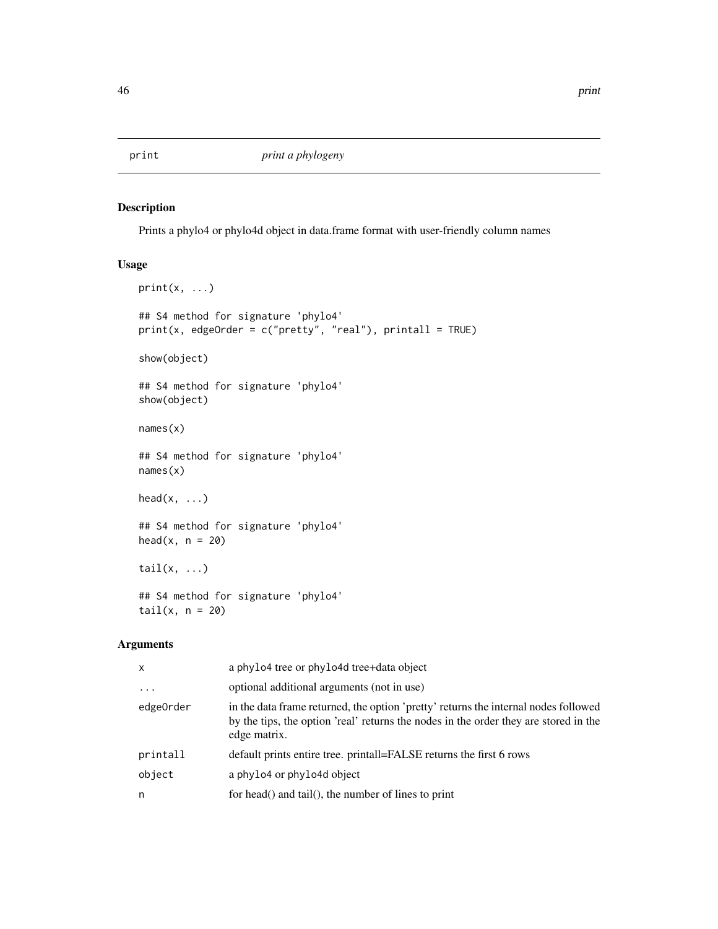<span id="page-45-0"></span>

### Description

Prints a phylo4 or phylo4d object in data.frame format with user-friendly column names

### Usage

```
print(x, \ldots)## S4 method for signature 'phylo4'
print(x, edgeOrder = c("pretty", "real"), printall = TRUE)show(object)
## S4 method for signature 'phylo4'
show(object)
names(x)
## S4 method for signature 'phylo4'
names(x)
head(x, \ldots)## S4 method for signature 'phylo4'
head(x, n = 20)tail(x, \ldots)## S4 method for signature 'phylo4'
tail(x, n = 20)
```
### Arguments

| $\mathsf{x}$ | a phylo4 tree or phylo4d tree+data object                                                                                                                                                   |
|--------------|---------------------------------------------------------------------------------------------------------------------------------------------------------------------------------------------|
| $\cdots$     | optional additional arguments (not in use)                                                                                                                                                  |
| edge0rder    | in the data frame returned, the option 'pretty' returns the internal nodes followed<br>by the tips, the option 'real' returns the nodes in the order they are stored in the<br>edge matrix. |
| printall     | default prints entire tree. printall=FALSE returns the first 6 rows                                                                                                                         |
| object       | a phylo4 or phylo4d object                                                                                                                                                                  |
| n            | for head() and tail(), the number of lines to print                                                                                                                                         |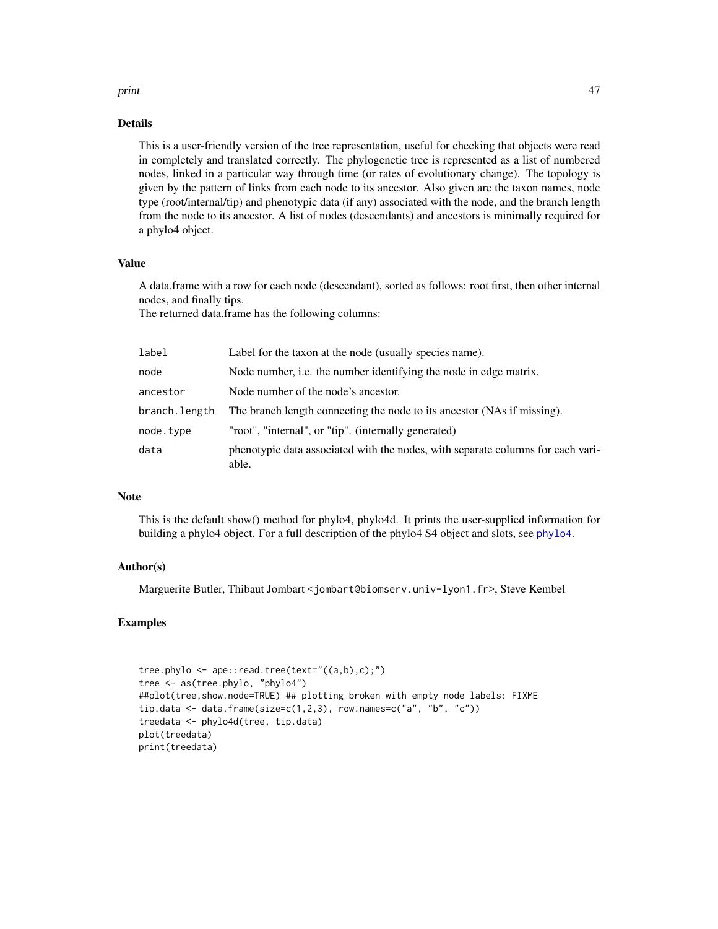#### <span id="page-46-0"></span>print the contract of the contract of the contract of the contract of the contract of the contract of the contract of the contract of the contract of the contract of the contract of the contract of the contract of the cont

#### Details

This is a user-friendly version of the tree representation, useful for checking that objects were read in completely and translated correctly. The phylogenetic tree is represented as a list of numbered nodes, linked in a particular way through time (or rates of evolutionary change). The topology is given by the pattern of links from each node to its ancestor. Also given are the taxon names, node type (root/internal/tip) and phenotypic data (if any) associated with the node, and the branch length from the node to its ancestor. A list of nodes (descendants) and ancestors is minimally required for a phylo4 object.

#### Value

A data.frame with a row for each node (descendant), sorted as follows: root first, then other internal nodes, and finally tips.

The returned data.frame has the following columns:

| label         | Label for the taxon at the node (usually species name).                                  |
|---------------|------------------------------------------------------------------------------------------|
| node          | Node number, i.e. the number identifying the node in edge matrix.                        |
| ancestor      | Node number of the node's ancestor.                                                      |
| branch.length | The branch length connecting the node to its ancestor (NAs if missing).                  |
| node.tvpe     | "root", "internal", or "tip". (internally generated)                                     |
| data          | phenotypic data associated with the nodes, with separate columns for each vari-<br>able. |

### Note

This is the default show() method for phylo4, phylo4d. It prints the user-supplied information for building a phylo4 object. For a full description of the phylo4 S4 object and slots, see [phylo4](#page-31-1).

#### Author(s)

Marguerite Butler, Thibaut Jombart <jombart@biomserv.univ-lyon1.fr>, Steve Kembel

#### Examples

```
tree.phylo <- ape::read.tree(text="((a,b),c);")
tree <- as(tree.phylo, "phylo4")
##plot(tree,show.node=TRUE) ## plotting broken with empty node labels: FIXME
tip.data <- data.frame(size=c(1,2,3), row.names=c("a", "b", "c"))
treedata <- phylo4d(tree, tip.data)
plot(treedata)
print(treedata)
```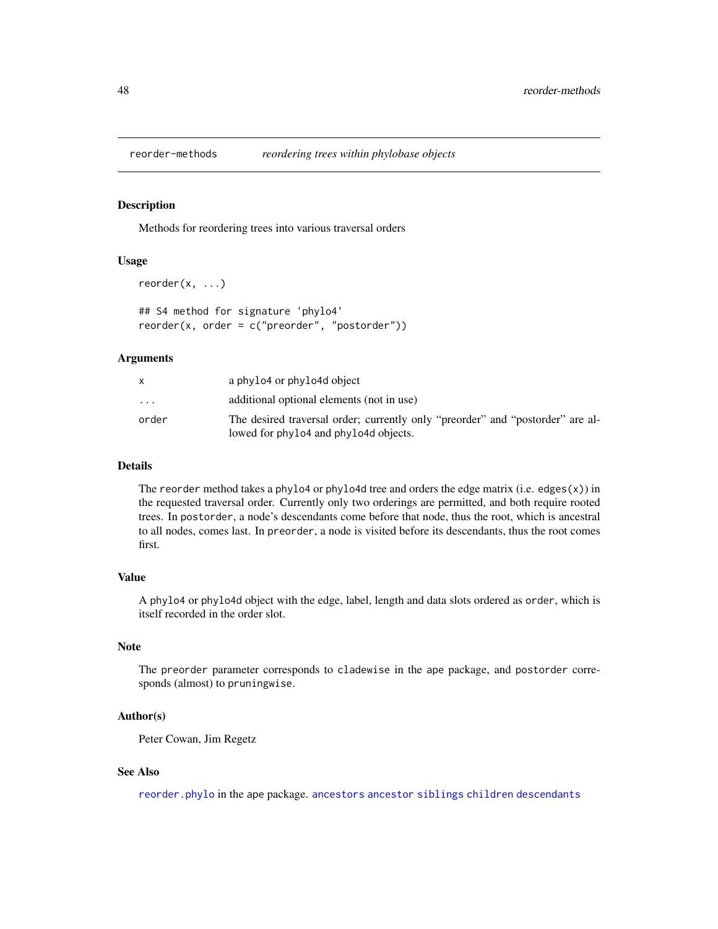<span id="page-47-0"></span>

### Description

Methods for reordering trees into various traversal orders

#### Usage

```
reorder(x, ...)
```
## S4 method for signature 'phylo4'  $reorder(x, order = c("preorder", "postorder"))$ 

#### Arguments

|           | a phylo4 or phylo4d object                                                                                              |
|-----------|-------------------------------------------------------------------------------------------------------------------------|
| $\ddotsc$ | additional optional elements (not in use)                                                                               |
| order     | The desired traversal order; currently only "preorder" and "postorder" are al-<br>lowed for phylo4 and phylo4d objects. |

### Details

The reorder method takes a phylo4 or phylo4d tree and orders the edge matrix (i.e. edges $(x)$ ) in the requested traversal order. Currently only two orderings are permitted, and both require rooted trees. In postorder, a node's descendants come before that node, thus the root, which is ancestral to all nodes, comes last. In preorder, a node is visited before its descendants, thus the root comes first.

### Value

A phylo4 or phylo4d object with the edge, label, length and data slots ordered as order, which is itself recorded in the order slot.

#### Note

The preorder parameter corresponds to cladewise in the ape package, and postorder corresponds (almost) to pruningwise.

### Author(s)

Peter Cowan, Jim Regetz

### See Also

[reorder.phylo](#page-0-0) in the ape package. [ancestors](#page-4-1) [ancestor](#page-4-2) [siblings](#page-4-1) [children](#page-4-1) [descendants](#page-4-1)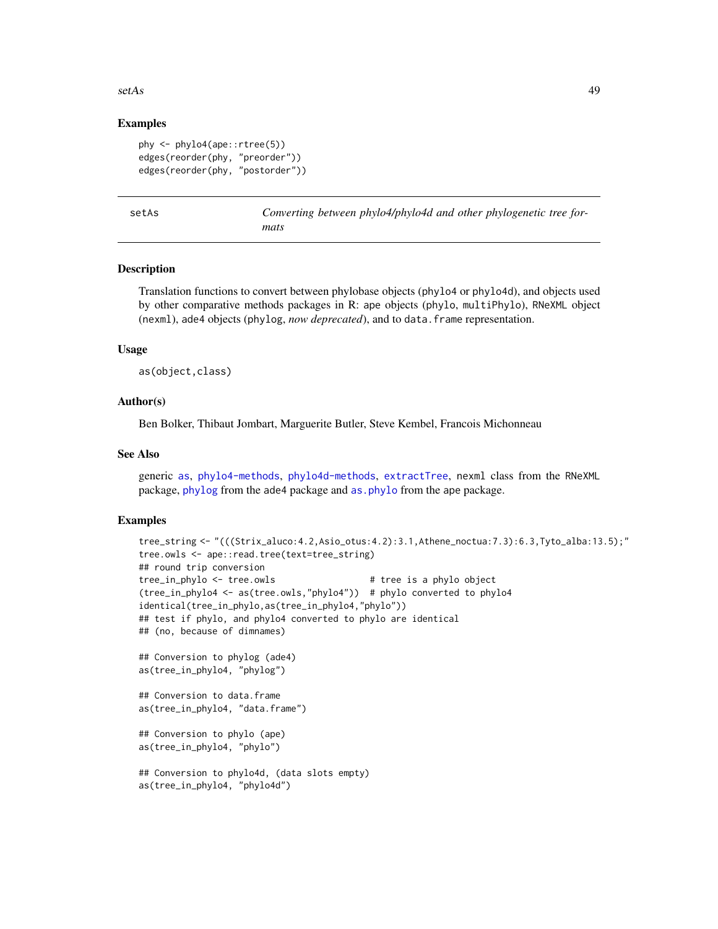#### <span id="page-48-0"></span> $\text{setAs}$  49

### Examples

```
phy <- phylo4(ape::rtree(5))
edges(reorder(phy, "preorder"))
edges(reorder(phy, "postorder"))
```
setAs *Converting between phylo4/phylo4d and other phylogenetic tree formats*

### <span id="page-48-1"></span>**Description**

Translation functions to convert between phylobase objects (phylo4 or phylo4d), and objects used by other comparative methods packages in R: ape objects (phylo, multiPhylo), RNeXML object (nexml), ade4 objects (phylog, *now deprecated*), and to data.frame representation.

#### Usage

as(object,class)

#### Author(s)

Ben Bolker, Thibaut Jombart, Marguerite Butler, Steve Kembel, Francois Michonneau

### See Also

generic [as](#page-48-1), [phylo4-methods](#page-31-2), [phylo4d-methods](#page-34-1), [extractTree](#page-8-1), nexml class from the RNeXML package, [phylog](#page-0-0) from the ade4 package and [as.phylo](#page-0-0) from the ape package.

#### Examples

```
tree_string <- "(((Strix_aluco:4.2,Asio_otus:4.2):3.1,Athene_noctua:7.3):6.3,Tyto_alba:13.5);"
tree.owls <- ape::read.tree(text=tree_string)
## round trip conversion
tree_in_phylo <- tree.owls # tree is a phylo object
(tree_in_phylo4 <- as(tree.owls,"phylo4")) # phylo converted to phylo4
identical(tree_in_phylo,as(tree_in_phylo4,"phylo"))
## test if phylo, and phylo4 converted to phylo are identical
## (no, because of dimnames)
## Conversion to phylog (ade4)
as(tree_in_phylo4, "phylog")
## Conversion to data.frame
as(tree_in_phylo4, "data.frame")
## Conversion to phylo (ape)
as(tree_in_phylo4, "phylo")
## Conversion to phylo4d, (data slots empty)
as(tree_in_phylo4, "phylo4d")
```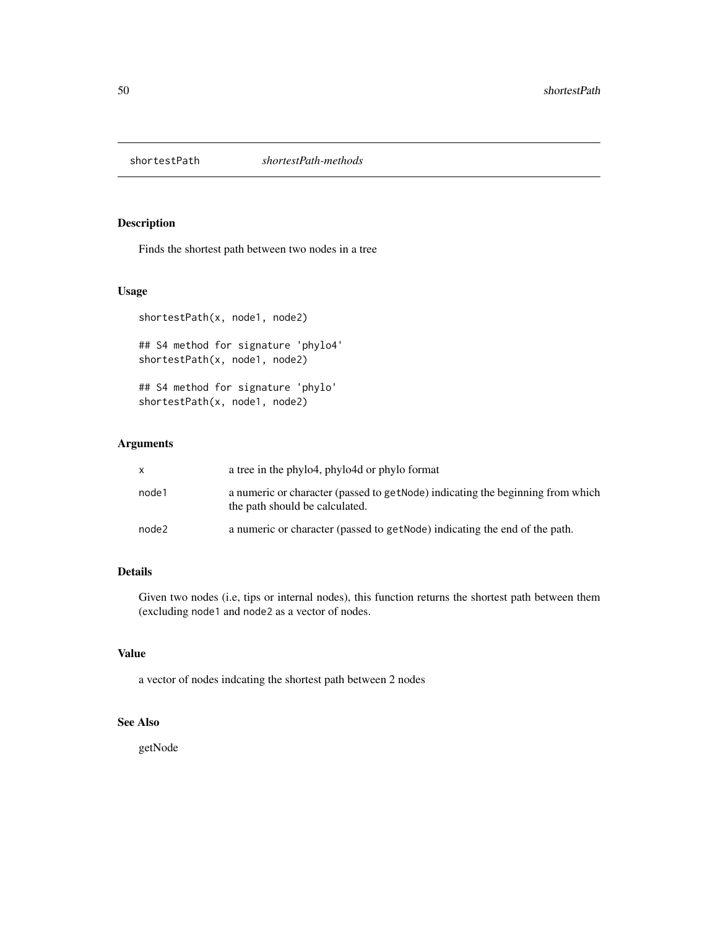<span id="page-49-0"></span>

### Description

Finds the shortest path between two nodes in a tree

### Usage

```
shortestPath(x, node1, node2)
## S4 method for signature 'phylo4'
shortestPath(x, node1, node2)
## S4 method for signature 'phylo'
shortestPath(x, node1, node2)
```
### Arguments

| X     | a tree in the phylo4, phylo4d or phylo format                                                                     |
|-------|-------------------------------------------------------------------------------------------------------------------|
| node1 | a numeric or character (passed to get Node) indicating the beginning from which<br>the path should be calculated. |
| node2 | a numeric or character (passed to getNode) indicating the end of the path.                                        |

### Details

Given two nodes (i.e, tips or internal nodes), this function returns the shortest path between them (excluding node1 and node2 as a vector of nodes.

### Value

a vector of nodes indcating the shortest path between 2 nodes

### See Also

getNode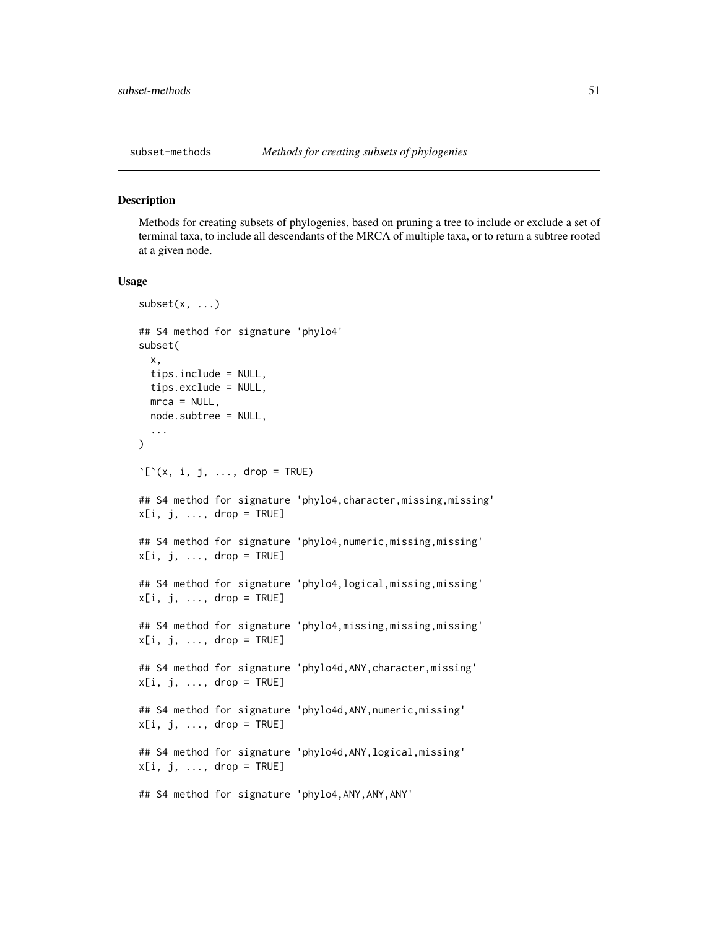<span id="page-50-0"></span>

#### Description

Methods for creating subsets of phylogenies, based on pruning a tree to include or exclude a set of terminal taxa, to include all descendants of the MRCA of multiple taxa, or to return a subtree rooted at a given node.

#### Usage

```
subset(x, ...)
## S4 method for signature 'phylo4'
subset(
  x,
  tips.include = NULL,
  tips.exclude = NULL,
  mca = NULL,node.subtree = NULL,
  ...
)
'\lbrack'(x, i, j, \ldots, drop = TRUE)## S4 method for signature 'phylo4, character, missing, missing'
x[i, j, ..., drop = TRUE]## S4 method for signature 'phylo4,numeric,missing,missing'
x[i, j, \ldots, drop = TRUE]## S4 method for signature 'phylo4,logical,missing,missing'
x[i, j, \ldots, drop = TRUE]## S4 method for signature 'phylo4,missing,missing,missing'
x[i, j, \ldots, drop = TRUE]## S4 method for signature 'phylo4d,ANY,character,missing'
x[i, j, ..., drop = TRUE]## S4 method for signature 'phylo4d,ANY,numeric,missing'
x[i, j, \ldots, drop = TRUE]## S4 method for signature 'phylo4d, ANY, logical, missing'
x[i, j, ..., drop = TRUE]## S4 method for signature 'phylo4,ANY,ANY,ANY'
```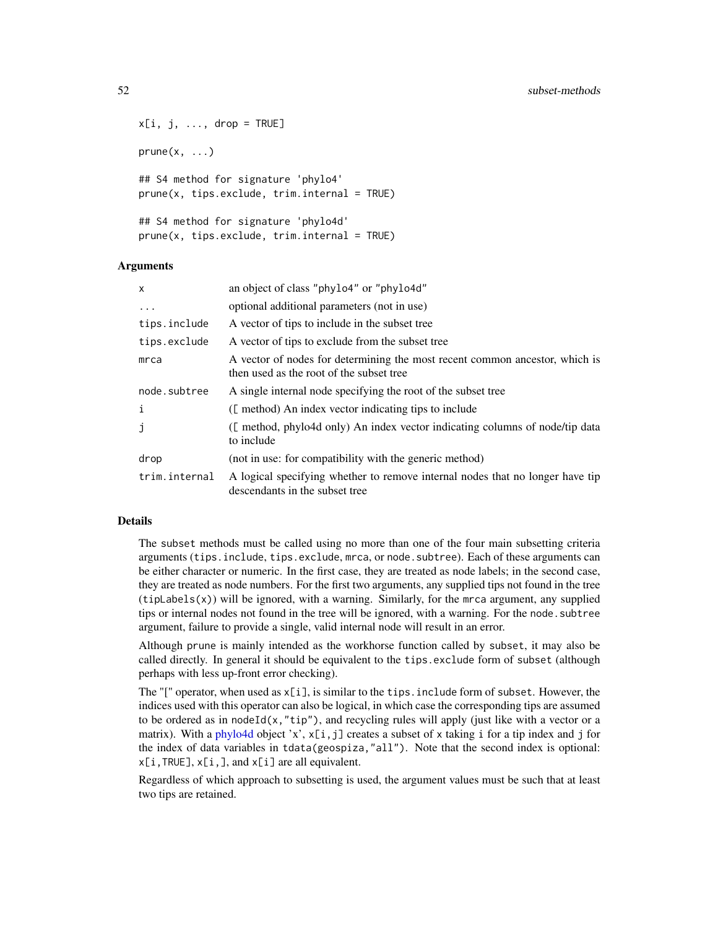```
x[i, j, ..., drop = TRUE]prune(x, \ldots)## S4 method for signature 'phylo4'
prune(x, tips.exclude, trim.internal = TRUE)
## S4 method for signature 'phylo4d'
prune(x, tips.execute, trim.internal = TRUE)
```
#### **Arguments**

| $\mathsf{x}$  | an object of class "phylo4" or "phylo4d"                                                                                |
|---------------|-------------------------------------------------------------------------------------------------------------------------|
| $\ddots$      | optional additional parameters (not in use)                                                                             |
| tips.include  | A vector of tips to include in the subset tree                                                                          |
| tips.exclude  | A vector of tips to exclude from the subset tree                                                                        |
| mca           | A vector of nodes for determining the most recent common ancestor, which is<br>then used as the root of the subset tree |
| node.subtree  | A single internal node specifying the root of the subset tree                                                           |
| i             | ([method) An index vector indicating tips to include                                                                    |
| J             | ([ method, phylo4d only) An index vector indicating columns of node/tip data<br>to include                              |
| drop          | (not in use: for compatibility with the generic method)                                                                 |
| trim.internal | A logical specifying whether to remove internal nodes that no longer have tip<br>descendants in the subset tree         |

### Details

The subset methods must be called using no more than one of the four main subsetting criteria arguments (tips.include, tips.exclude, mrca, or node.subtree). Each of these arguments can be either character or numeric. In the first case, they are treated as node labels; in the second case, they are treated as node numbers. For the first two arguments, any supplied tips not found in the tree  $(tipLabels(x))$  will be ignored, with a warning. Similarly, for the mrca argument, any supplied tips or internal nodes not found in the tree will be ignored, with a warning. For the node.subtree argument, failure to provide a single, valid internal node will result in an error.

Although prune is mainly intended as the workhorse function called by subset, it may also be called directly. In general it should be equivalent to the tips.exclude form of subset (although perhaps with less up-front error checking).

The "[" operator, when used as  $x[i]$ , is similar to the tips. include form of subset. However, the indices used with this operator can also be logical, in which case the corresponding tips are assumed to be ordered as in nodeId(x,"tip"), and recycling rules will apply (just like with a vector or a matrix). With a [phylo4d](#page-33-1) object 'x',  $x[i, j]$  creates a subset of x taking i for a tip index and j for the index of data variables in tdata(geospiza,"all"). Note that the second index is optional:  $x[i,TRUE], x[i,],$  and  $x[i]$  are all equivalent.

Regardless of which approach to subsetting is used, the argument values must be such that at least two tips are retained.

<span id="page-51-0"></span>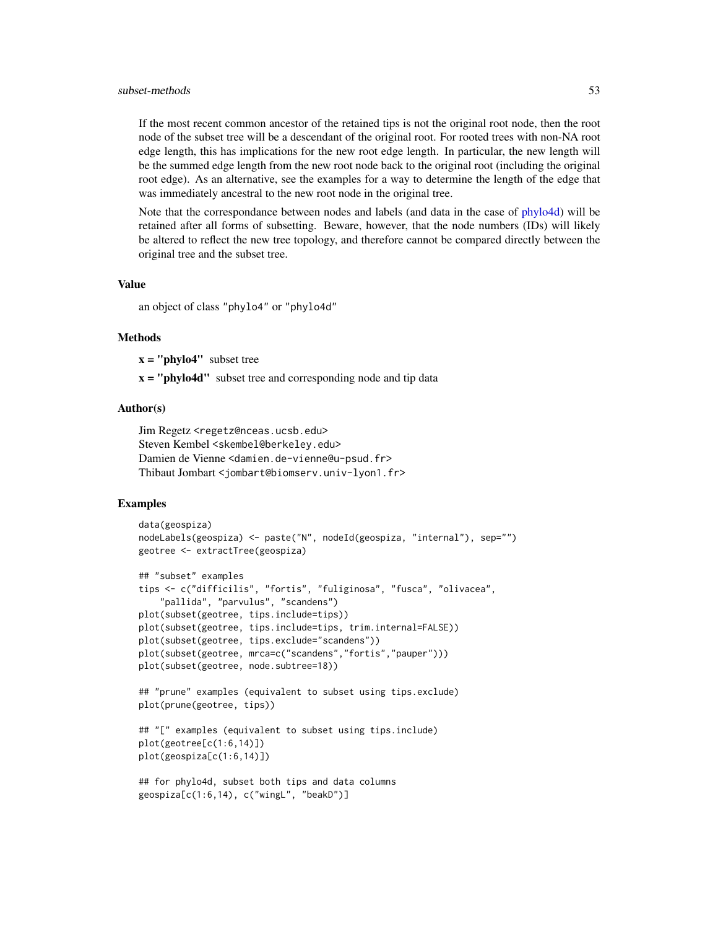#### <span id="page-52-0"></span>subset-methods 53

If the most recent common ancestor of the retained tips is not the original root node, then the root node of the subset tree will be a descendant of the original root. For rooted trees with non-NA root edge length, this has implications for the new root edge length. In particular, the new length will be the summed edge length from the new root node back to the original root (including the original root edge). As an alternative, see the examples for a way to determine the length of the edge that was immediately ancestral to the new root node in the original tree.

Note that the correspondance between nodes and labels (and data in the case of [phylo4d\)](#page-33-1) will be retained after all forms of subsetting. Beware, however, that the node numbers (IDs) will likely be altered to reflect the new tree topology, and therefore cannot be compared directly between the original tree and the subset tree.

#### Value

an object of class "phylo4" or "phylo4d"

#### Methods

 $x = "phylo4"$  subset tree

 $x =$  "phylo4d" subset tree and corresponding node and tip data

### Author(s)

```
Jim Regetz <regetz@nceas.ucsb.edu>
Steven Kembel <skembel@berkeley.edu>
Damien de Vienne <damien.de-vienne@u-psud.fr>
Thibaut Jombart <jombart@biomserv.univ-lyon1.fr>
```
### Examples

```
data(geospiza)
nodeLabels(geospiza) <- paste("N", nodeId(geospiza, "internal"), sep="")
geotree <- extractTree(geospiza)
## "subset" examples
tips <- c("difficilis", "fortis", "fuliginosa", "fusca", "olivacea",
    "pallida", "parvulus", "scandens")
plot(subset(geotree, tips.include=tips))
plot(subset(geotree, tips.include=tips, trim.internal=FALSE))
plot(subset(geotree, tips.exclude="scandens"))
plot(subset(geotree, mrca=c("scandens","fortis","pauper")))
plot(subset(geotree, node.subtree=18))
## "prune" examples (equivalent to subset using tips.exclude)
plot(prune(geotree, tips))
```

```
## "[" examples (equivalent to subset using tips.include)
plot(geotree[c(1:6,14)])
plot(geospiza[c(1:6,14)])
```

```
## for phylo4d, subset both tips and data columns
geospiza[c(1:6,14), c("wingL", "beakD")]
```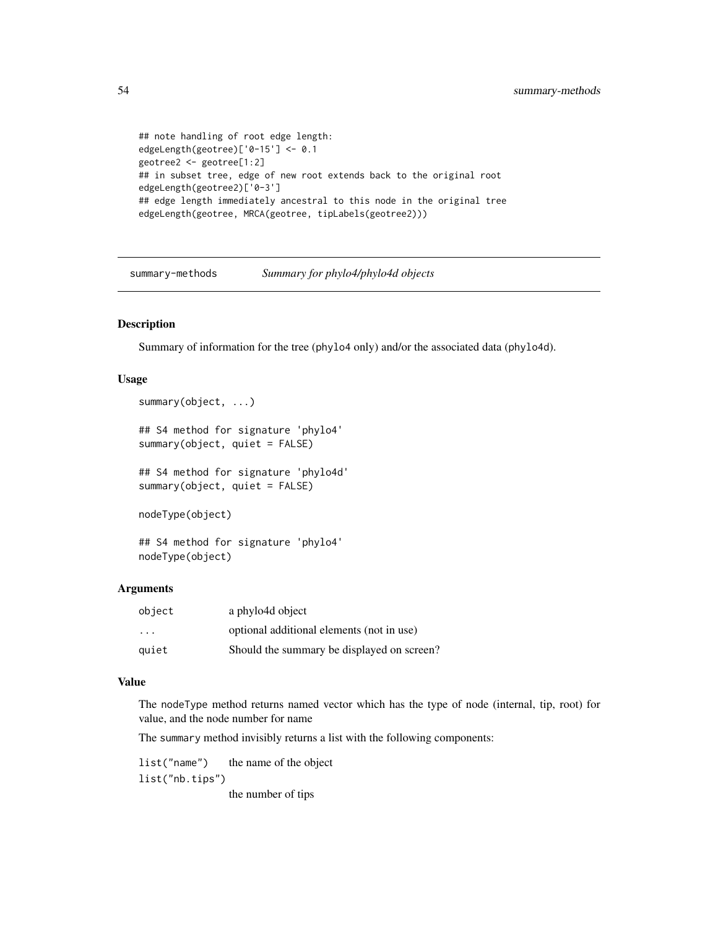```
## note handling of root edge length:
edgeLength(geotree)['0-15'] <- 0.1
geotree2 <- geotree[1:2]
## in subset tree, edge of new root extends back to the original root
edgeLength(geotree2)['0-3']
## edge length immediately ancestral to this node in the original tree
edgeLength(geotree, MRCA(geotree, tipLabels(geotree2)))
```
summary-methods *Summary for phylo4/phylo4d objects*

#### Description

Summary of information for the tree (phylo4 only) and/or the associated data (phylo4d).

### Usage

```
summary(object, ...)
```
## S4 method for signature 'phylo4' summary(object, quiet = FALSE)

## S4 method for signature 'phylo4d' summary(object, quiet = FALSE)

nodeType(object)

## S4 method for signature 'phylo4' nodeType(object)

### Arguments

| object | a phylo4d object                           |
|--------|--------------------------------------------|
| .      | optional additional elements (not in use)  |
| auiet  | Should the summary be displayed on screen? |

#### Value

The nodeType method returns named vector which has the type of node (internal, tip, root) for value, and the node number for name

The summary method invisibly returns a list with the following components:

list("name") the name of the object list("nb.tips") the number of tips

<span id="page-53-0"></span>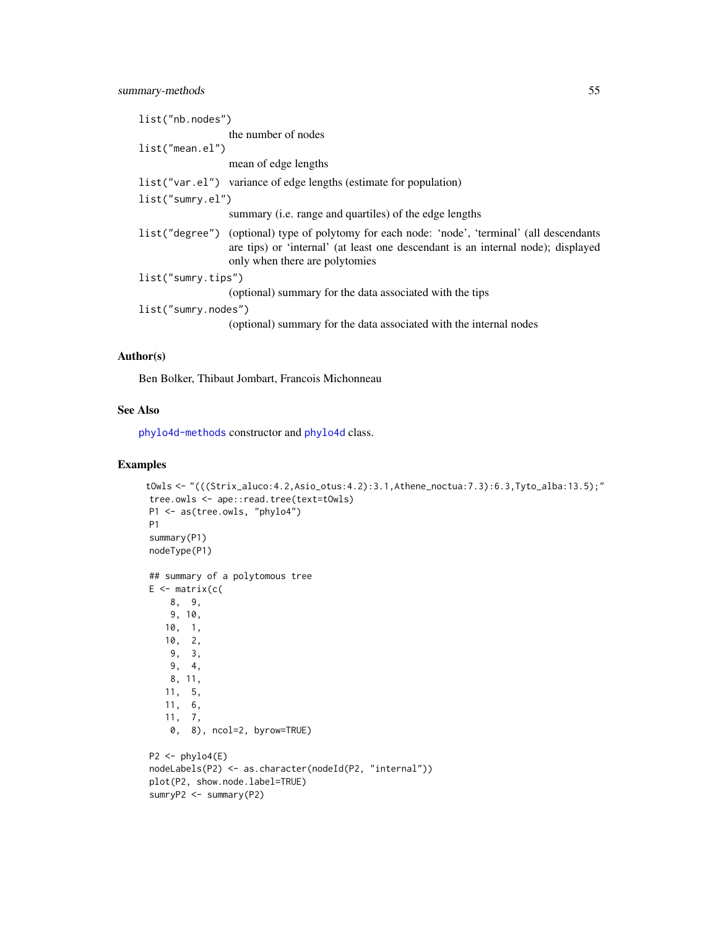<span id="page-54-0"></span>

| list("nb.nodes")    |                                                                                                                                                                                                                      |  |
|---------------------|----------------------------------------------------------------------------------------------------------------------------------------------------------------------------------------------------------------------|--|
|                     | the number of nodes                                                                                                                                                                                                  |  |
| $list("mean-el")$   |                                                                                                                                                                                                                      |  |
|                     | mean of edge lengths                                                                                                                                                                                                 |  |
|                     | list ("var.el") variance of edge lengths (estimate for population)                                                                                                                                                   |  |
| list("sumry.el")    |                                                                                                                                                                                                                      |  |
|                     | summary ( <i>i.e.</i> range and quartiles) of the edge lengths                                                                                                                                                       |  |
|                     | list ("degree") (optional) type of polytomy for each node: 'node', 'terminal' (all descendants<br>are tips) or 'internal' (at least one descendant is an internal node); displayed<br>only when there are polytomies |  |
| list("sumry.tips")  |                                                                                                                                                                                                                      |  |
|                     | (optional) summary for the data associated with the tips                                                                                                                                                             |  |
| list("sumry.nodes") |                                                                                                                                                                                                                      |  |
|                     | (optional) summary for the data associated with the internal nodes                                                                                                                                                   |  |

### Author(s)

Ben Bolker, Thibaut Jombart, Francois Michonneau

### See Also

[phylo4d-methods](#page-34-1) constructor and [phylo4d](#page-33-1) class.

### Examples

```
tOwls <- "(((Strix_aluco:4.2,Asio_otus:4.2):3.1,Athene_noctua:7.3):6.3,Tyto_alba:13.5);"
tree.owls <- ape::read.tree(text=tOwls)
P1 <- as(tree.owls, "phylo4")
P1
summary(P1)
nodeType(P1)
## summary of a polytomous tree
E \leq - matrix(c(
    8, 9,
   9, 10,
   10, 1,
   10, 2,
    9, 3,
    9, 4,
   8, 11,
   11, 5,
   11, 6,
   11, 7,0, 8), ncol=2, byrow=TRUE)
P2 \leq -phylo4(E)nodeLabels(P2) <- as.character(nodeId(P2, "internal"))
plot(P2, show.node.label=TRUE)
sumryP2 <- summary(P2)
```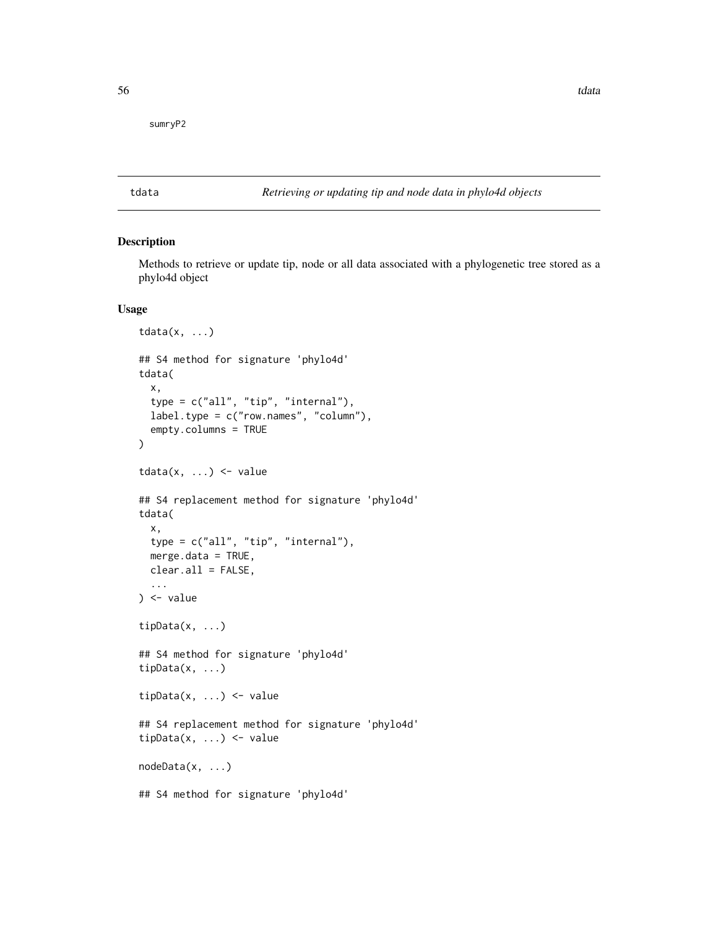<span id="page-55-0"></span>sumryP2

<span id="page-55-1"></span>tdata *Retrieving or updating tip and node data in phylo4d objects*

#### Description

Methods to retrieve or update tip, node or all data associated with a phylogenetic tree stored as a phylo4d object

### Usage

```
tdata(x, \ldots)## S4 method for signature 'phylo4d'
tdata(
  x,
  type = c("all", "tip", "internal"),
 label.type = c("row.names", "column"),
 empty.columns = TRUE
)
tdata(x, ...) \leftarrow value## S4 replacement method for signature 'phylo4d'
tdata(
 x,
  type = c("all", "tip", "internal"),
 merge.data = TRUE,
 clear.all = FALSE,
  ...
) <- value
tipData(x, ...)
## S4 method for signature 'phylo4d'
tipData(x, ...)
tipData(x, ...) <- value
## S4 replacement method for signature 'phylo4d'
tipData(x, ...) <- value
nodeData(x, ...)
## S4 method for signature 'phylo4d'
```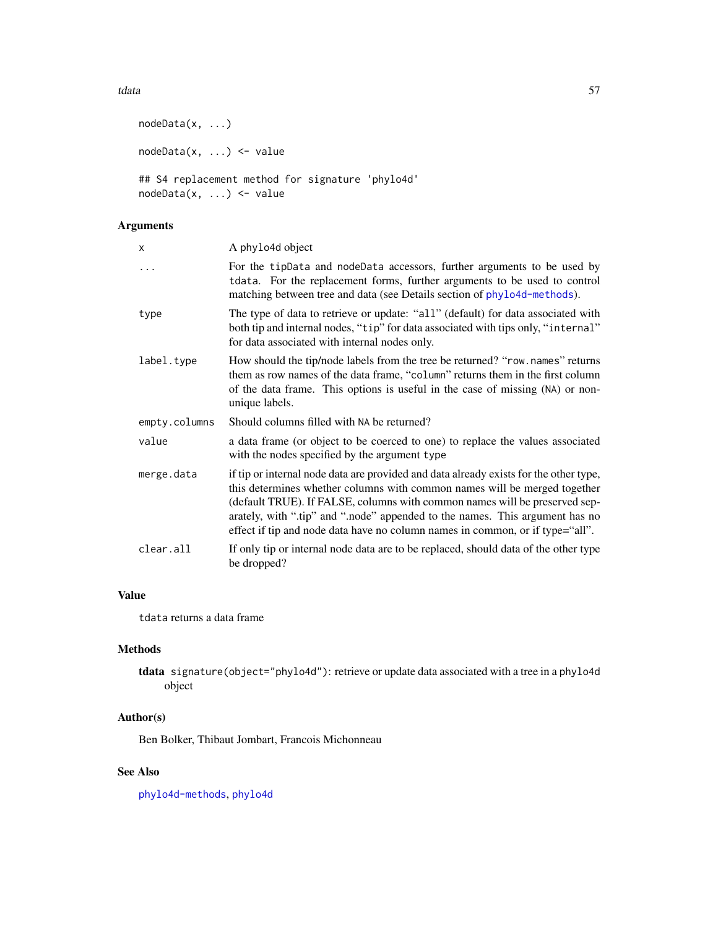#### <span id="page-56-0"></span>tdata 57 anisotrophysics and the set of the set of the set of the set of the set of the set of the set of the set of the set of the set of the set of the set of the set of the set of the set of the set of the set of the se

nodeData(x, ...) nodeData(x, ...) <- value ## S4 replacement method for signature 'phylo4d' nodeData(x, ...) <- value

### Arguments

| X             | A phylo4d object                                                                                                                                                                                                                                                                                                                                                                                                  |
|---------------|-------------------------------------------------------------------------------------------------------------------------------------------------------------------------------------------------------------------------------------------------------------------------------------------------------------------------------------------------------------------------------------------------------------------|
|               | For the tipData and nodeData accessors, further arguments to be used by<br>tdata. For the replacement forms, further arguments to be used to control<br>matching between tree and data (see Details section of phylo4d-methods).                                                                                                                                                                                  |
| type          | The type of data to retrieve or update: "all" (default) for data associated with<br>both tip and internal nodes, "tip" for data associated with tips only, "internal"<br>for data associated with internal nodes only.                                                                                                                                                                                            |
| label.type    | How should the tip/node labels from the tree be returned? "row.names" returns<br>them as row names of the data frame, "column" returns them in the first column<br>of the data frame. This options is useful in the case of missing (NA) or non-<br>unique labels.                                                                                                                                                |
| empty.columns | Should columns filled with NA be returned?                                                                                                                                                                                                                                                                                                                                                                        |
| value         | a data frame (or object to be coerced to one) to replace the values associated<br>with the nodes specified by the argument type                                                                                                                                                                                                                                                                                   |
| merge.data    | if tip or internal node data are provided and data already exists for the other type,<br>this determines whether columns with common names will be merged together<br>(default TRUE). If FALSE, columns with common names will be preserved sep-<br>arately, with ".tip" and ".node" appended to the names. This argument has no<br>effect if tip and node data have no column names in common, or if type="all". |
| clear.all     | If only tip or internal node data are to be replaced, should data of the other type<br>be dropped?                                                                                                                                                                                                                                                                                                                |

### Value

tdata returns a data frame

### Methods

tdata signature(object="phylo4d"): retrieve or update data associated with a tree in a phylo4d object

### Author(s)

Ben Bolker, Thibaut Jombart, Francois Michonneau

### See Also

[phylo4d-methods](#page-34-1), [phylo4d](#page-33-1)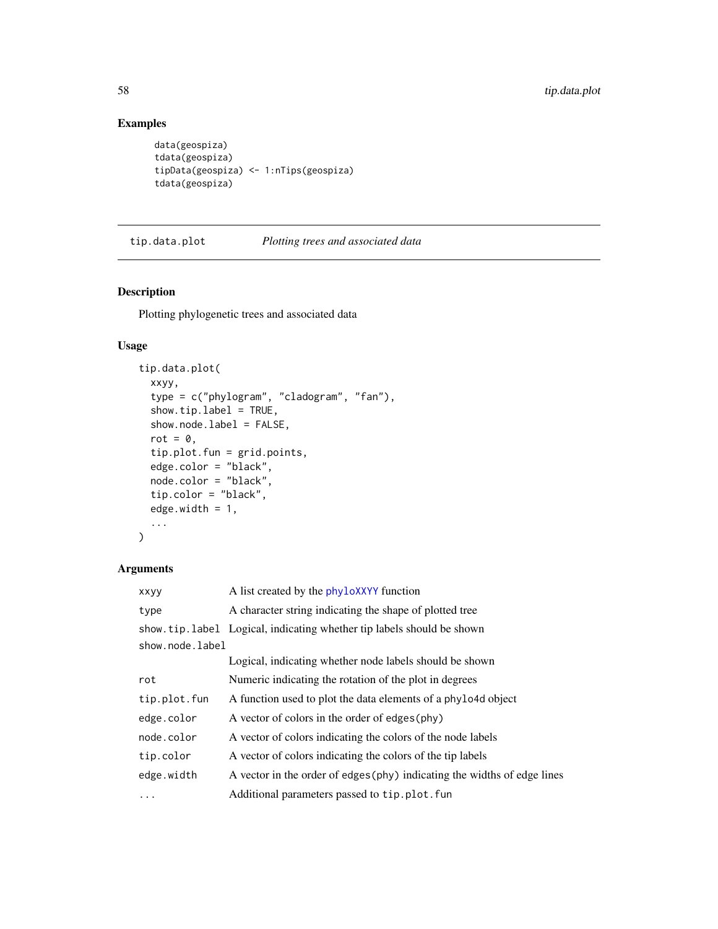### Examples

```
data(geospiza)
tdata(geospiza)
tipData(geospiza) <- 1:nTips(geospiza)
tdata(geospiza)
```
tip.data.plot *Plotting trees and associated data*

### Description

Plotting phylogenetic trees and associated data

#### Usage

```
tip.data.plot(
  xxyy,
  type = c("phylogram", "cladogram", "fan"),
  show.tip.label = TRUE,
  show.node.label = FALSE,
  rot = 0,
  tip.plot.fun = grid.points,
 edge.color = "black",
 node.color = "black",
  tip.color = "black",
  edge.width = 1,
  ...
\mathcal{L}
```
### Arguments

| xxyy            | A list created by the phyloXXYY function                                 |  |
|-----------------|--------------------------------------------------------------------------|--|
| type            | A character string indicating the shape of plotted tree                  |  |
|                 | show.tip.label Logical, indicating whether tip labels should be shown    |  |
| show.node.label |                                                                          |  |
|                 | Logical, indicating whether node labels should be shown                  |  |
| rot             | Numeric indicating the rotation of the plot in degrees                   |  |
| tip.plot.fun    | A function used to plot the data elements of a phylo4d object            |  |
| edge.color      | A vector of colors in the order of edges (phy)                           |  |
| node.color      | A vector of colors indicating the colors of the node labels              |  |
| tip.color       | A vector of colors indicating the colors of the tip labels               |  |
| edge.width      | A vector in the order of edges (phy) indicating the widths of edge lines |  |
| $\cdots$        | Additional parameters passed to tip.plot.fun                             |  |

<span id="page-57-0"></span>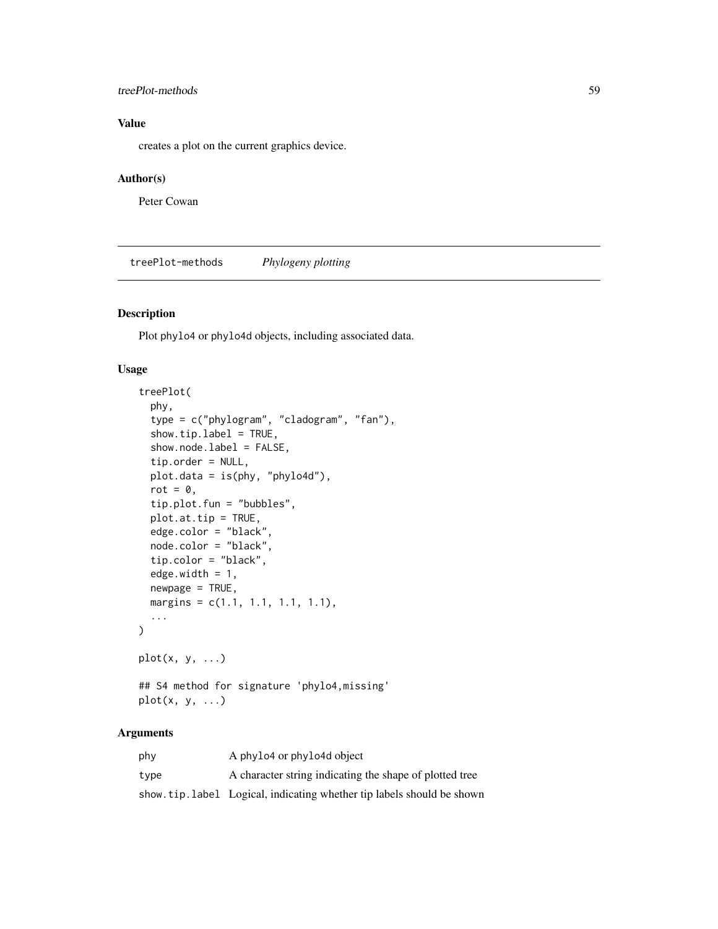### <span id="page-58-0"></span>treePlot-methods 59

### Value

creates a plot on the current graphics device.

### Author(s)

Peter Cowan

treePlot-methods *Phylogeny plotting*

### Description

Plot phylo4 or phylo4d objects, including associated data.

### Usage

```
treePlot(
 phy,
  type = c("phylogram", "cladogram", "fan"),
  show.tip.label = TRUE,
  show.node.label = FALSE,
  tip.order = NULL,
 plot.data = is(phy, "phylo4d"),
  rot = \theta,
  tip.plot.fun = "bubbles",
 plot.at.tip = TRUE,
  edge.color = "black",
 node.color = "black",
  tip.color = "black",
  edge.width = 1,
 newpage = TRUE,margins = c(1.1, 1.1, 1.1, 1.1),
  ...
\lambdaplot(x, y, ...)## S4 method for signature 'phylo4,missing'
plot(x, y, ...)
```
### Arguments

| phy  | A phylo4 or phylo4d object                                             |
|------|------------------------------------------------------------------------|
| tvpe | A character string indicating the shape of plotted tree                |
|      | show tip. label Logical, indicating whether tip labels should be shown |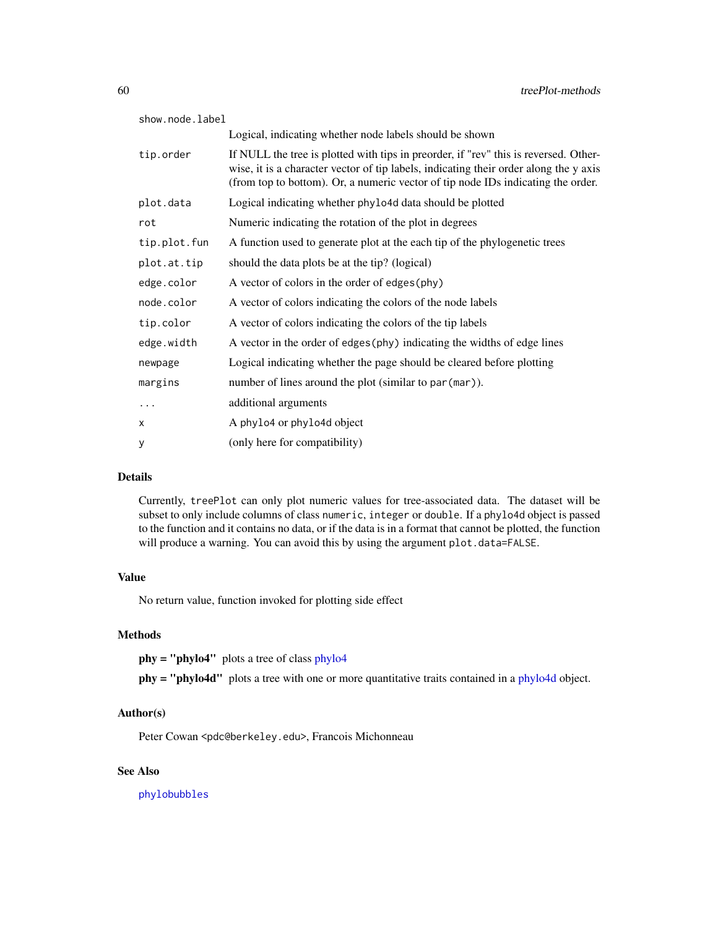<span id="page-59-0"></span>

| show.node.label |                                                                                                                                                                                                                                                                   |  |
|-----------------|-------------------------------------------------------------------------------------------------------------------------------------------------------------------------------------------------------------------------------------------------------------------|--|
|                 | Logical, indicating whether node labels should be shown                                                                                                                                                                                                           |  |
| tip.order       | If NULL the tree is plotted with tips in preorder, if "rev" this is reversed. Other-<br>wise, it is a character vector of tip labels, indicating their order along the y axis<br>(from top to bottom). Or, a numeric vector of tip node IDs indicating the order. |  |
| plot.data       | Logical indicating whether phylo4d data should be plotted                                                                                                                                                                                                         |  |
| rot             | Numeric indicating the rotation of the plot in degrees                                                                                                                                                                                                            |  |
| tip.plot.fun    | A function used to generate plot at the each tip of the phylogenetic trees                                                                                                                                                                                        |  |
| plot.at.tip     | should the data plots be at the tip? (logical)                                                                                                                                                                                                                    |  |
| edge.color      | A vector of colors in the order of edges (phy)                                                                                                                                                                                                                    |  |
| node.color      | A vector of colors indicating the colors of the node labels                                                                                                                                                                                                       |  |
| tip.color       | A vector of colors indicating the colors of the tip labels                                                                                                                                                                                                        |  |
| edge.width      | A vector in the order of edges (phy) indicating the widths of edge lines                                                                                                                                                                                          |  |
| newpage         | Logical indicating whether the page should be cleared before plotting                                                                                                                                                                                             |  |
| margins         | number of lines around the plot (similar to par (mar)).                                                                                                                                                                                                           |  |
| $\cdots$        | additional arguments                                                                                                                                                                                                                                              |  |
| X               | A phylo4 or phylo4d object                                                                                                                                                                                                                                        |  |
| у               | (only here for compatibility)                                                                                                                                                                                                                                     |  |

### Details

Currently, treePlot can only plot numeric values for tree-associated data. The dataset will be subset to only include columns of class numeric, integer or double. If a phylo4d object is passed to the function and it contains no data, or if the data is in a format that cannot be plotted, the function will produce a warning. You can avoid this by using the argument plot.data=FALSE.

### Value

No return value, function invoked for plotting side effect

#### Methods

phy = "phylo4" plots a tree of class [phylo4](#page-28-1)

phy = "phylo4d" plots a tree with one or more quantitative traits contained in a [phylo4d](#page-33-1) object.

### Author(s)

Peter Cowan <pdc@berkeley.edu>, Francois Michonneau

### See Also

[phylobubbles](#page-40-1)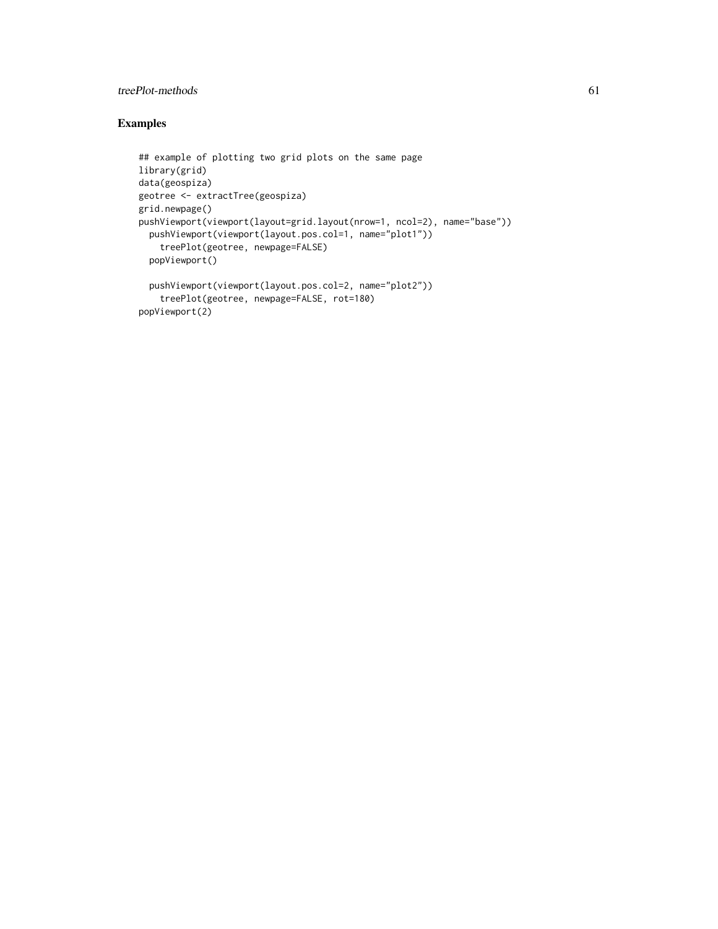### treePlot-methods 61

### Examples

```
## example of plotting two grid plots on the same page
library(grid)
data(geospiza)
geotree <- extractTree(geospiza)
grid.newpage()
pushViewport(viewport(layout=grid.layout(nrow=1, ncol=2), name="base"))
  pushViewport(viewport(layout.pos.col=1, name="plot1"))
    treePlot(geotree, newpage=FALSE)
  popViewport()
  pushViewport(viewport(layout.pos.col=2, name="plot2"))
    treePlot(geotree, newpage=FALSE, rot=180)
popViewport(2)
```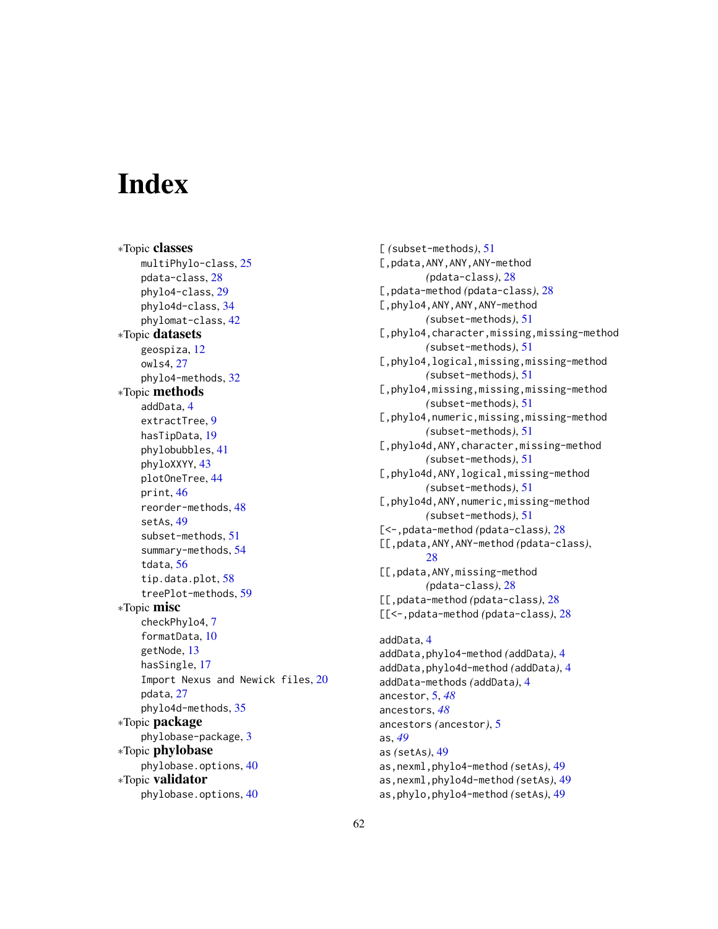# <span id="page-61-0"></span>**Index**

∗Topic classes multiPhylo-class, [25](#page-24-0) pdata-class, [28](#page-27-0) phylo4-class, [29](#page-28-0) phylo4d-class, [34](#page-33-0) phylomat-class, [42](#page-41-0) ∗Topic datasets geospiza, [12](#page-11-0) owls4, [27](#page-26-0) phylo4-methods, [32](#page-31-0) ∗Topic methods addData, [4](#page-3-0) extractTree, [9](#page-8-0) hasTipData, [19](#page-18-0) phylobubbles, [41](#page-40-0) phyloXXYY, [43](#page-42-0) plotOneTree, [44](#page-43-0) print, [46](#page-45-0) reorder-methods, [48](#page-47-0) setAs, [49](#page-48-0) subset-methods, [51](#page-50-0) summary-methods, [54](#page-53-0) tdata, [56](#page-55-0) tip.data.plot, [58](#page-57-0) treePlot-methods, [59](#page-58-0) ∗Topic misc checkPhylo4, [7](#page-6-0) formatData, [10](#page-9-0) getNode, [13](#page-12-0) hasSingle, [17](#page-16-0) Import Nexus and Newick files, [20](#page-19-0) pdata, [27](#page-26-0) phylo4d-methods, [35](#page-34-0) ∗Topic package phylobase-package, [3](#page-2-0) ∗Topic phylobase phylobase.options, [40](#page-39-0) ∗Topic validator phylobase.options, [40](#page-39-0)

[ *(*subset-methods*)*, [51](#page-50-0) [,pdata,ANY,ANY,ANY-method *(*pdata-class*)*, [28](#page-27-0) [,pdata-method *(*pdata-class*)*, [28](#page-27-0) [,phylo4,ANY,ANY,ANY-method *(*subset-methods*)*, [51](#page-50-0) [,phylo4,character,missing,missing-method *(*subset-methods*)*, [51](#page-50-0) [,phylo4,logical,missing,missing-method *(*subset-methods*)*, [51](#page-50-0) [,phylo4,missing,missing,missing-method *(*subset-methods*)*, [51](#page-50-0) [,phylo4,numeric,missing,missing-method *(*subset-methods*)*, [51](#page-50-0) [,phylo4d,ANY,character,missing-method *(*subset-methods*)*, [51](#page-50-0) [,phylo4d,ANY,logical,missing-method *(*subset-methods*)*, [51](#page-50-0) [,phylo4d,ANY,numeric,missing-method *(*subset-methods*)*, [51](#page-50-0) [<-,pdata-method *(*pdata-class*)*, [28](#page-27-0) [[,pdata,ANY,ANY-method *(*pdata-class*)*, [28](#page-27-0) [[,pdata,ANY,missing-method *(*pdata-class*)*, [28](#page-27-0) [[,pdata-method *(*pdata-class*)*, [28](#page-27-0) [[<-,pdata-method *(*pdata-class*)*, [28](#page-27-0) addData, [4](#page-3-0)

```
addData,phylo4-method (addData), 4
addData,phylo4d-method (addData), 4
addData-methods (addData), 4
ancestor, 5, 48
ancestors, 48
ancestors (ancestor), 5
as, 49
as (setAs), 49
as,nexml,phylo4-method (setAs), 49
as,nexml,phylo4d-method (setAs), 49
as,phylo,phylo4-method (setAs), 49
```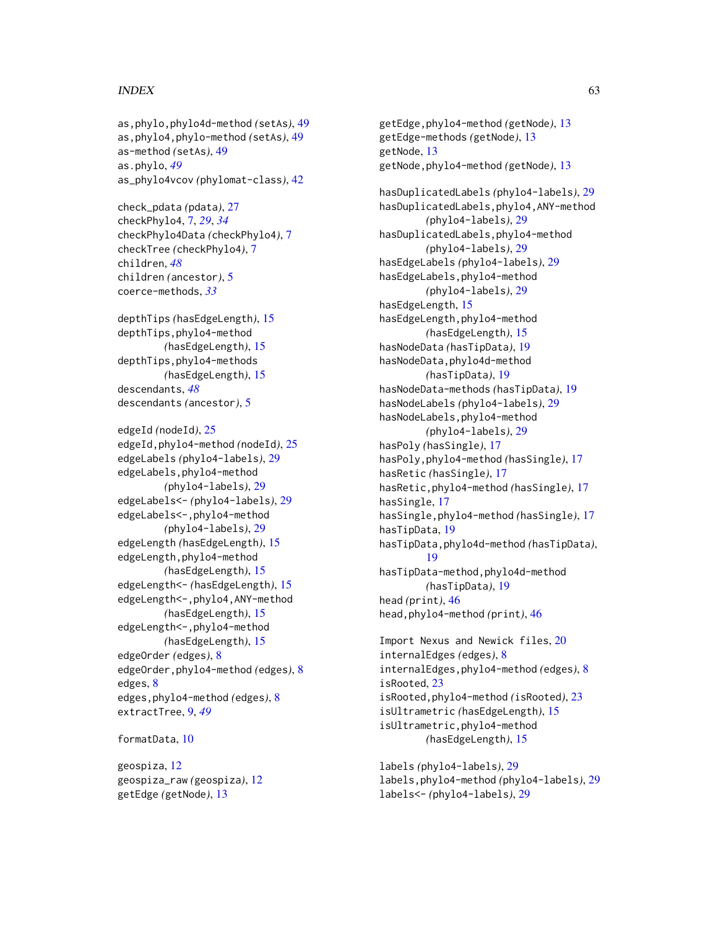#### $I<sub>N</sub>DEX$  63

```
as,phylo,phylo4d-method (setAs), 49
as,phylo4,phylo-method (setAs), 49
as-method (setAs), 49
as.phylo, 49
as_phylo4vcov (phylomat-class), 42
```
check\_pdata *(*pdata*)*, [27](#page-26-0) checkPhylo4, [7,](#page-6-0) *[29](#page-28-0)*, *[34](#page-33-0)* checkPhylo4Data *(*checkPhylo4*)*, [7](#page-6-0) checkTree *(*checkPhylo4*)*, [7](#page-6-0) children, *[48](#page-47-0)* children *(*ancestor*)*, [5](#page-4-0) coerce-methods, *[33](#page-32-0)*

depthTips *(*hasEdgeLength*)*, [15](#page-14-0) depthTips,phylo4-method *(*hasEdgeLength*)*, [15](#page-14-0) depthTips,phylo4-methods *(*hasEdgeLength*)*, [15](#page-14-0) descendants, *[48](#page-47-0)* descendants *(*ancestor*)*, [5](#page-4-0)

edgeId *(*nodeId*)*, [25](#page-24-0) edgeId,phylo4-method *(*nodeId*)*, [25](#page-24-0) edgeLabels *(*phylo4-labels*)*, [29](#page-28-0) edgeLabels,phylo4-method *(*phylo4-labels*)*, [29](#page-28-0) edgeLabels<- *(*phylo4-labels*)*, [29](#page-28-0) edgeLabels<-,phylo4-method *(*phylo4-labels*)*, [29](#page-28-0) edgeLength *(*hasEdgeLength*)*, [15](#page-14-0) edgeLength,phylo4-method *(*hasEdgeLength*)*, [15](#page-14-0) edgeLength<- *(*hasEdgeLength*)*, [15](#page-14-0) edgeLength<-,phylo4,ANY-method *(*hasEdgeLength*)*, [15](#page-14-0) edgeLength<-,phylo4-method *(*hasEdgeLength*)*, [15](#page-14-0) edgeOrder *(*edges*)*, [8](#page-7-0) edgeOrder,phylo4-method *(*edges*)*, [8](#page-7-0) edges, [8](#page-7-0) edges,phylo4-method *(*edges*)*, [8](#page-7-0) extractTree, [9,](#page-8-0) *[49](#page-48-0)*

#### formatData, [10](#page-9-0)

geospiza, [12](#page-11-0) geospiza\_raw *(*geospiza*)*, [12](#page-11-0) getEdge *(*getNode*)*, [13](#page-12-0)

getEdge,phylo4-method *(*getNode*)*, [13](#page-12-0) getEdge-methods *(*getNode*)*, [13](#page-12-0) getNode, [13](#page-12-0) getNode,phylo4-method *(*getNode*)*, [13](#page-12-0) hasDuplicatedLabels *(*phylo4-labels*)*, [29](#page-28-0) hasDuplicatedLabels,phylo4,ANY-method *(*phylo4-labels*)*, [29](#page-28-0) hasDuplicatedLabels,phylo4-method *(*phylo4-labels*)*, [29](#page-28-0) hasEdgeLabels *(*phylo4-labels*)*, [29](#page-28-0) hasEdgeLabels,phylo4-method *(*phylo4-labels*)*, [29](#page-28-0) hasEdgeLength, [15](#page-14-0) hasEdgeLength,phylo4-method *(*hasEdgeLength*)*, [15](#page-14-0) hasNodeData *(*hasTipData*)*, [19](#page-18-0) hasNodeData,phylo4d-method *(*hasTipData*)*, [19](#page-18-0) hasNodeData-methods *(*hasTipData*)*, [19](#page-18-0) hasNodeLabels *(*phylo4-labels*)*, [29](#page-28-0) hasNodeLabels,phylo4-method *(*phylo4-labels*)*, [29](#page-28-0) hasPoly *(*hasSingle*)*, [17](#page-16-0) hasPoly,phylo4-method *(*hasSingle*)*, [17](#page-16-0) hasRetic *(*hasSingle*)*, [17](#page-16-0) hasRetic,phylo4-method *(*hasSingle*)*, [17](#page-16-0) hasSingle, [17](#page-16-0) hasSingle,phylo4-method *(*hasSingle*)*, [17](#page-16-0) hasTipData, [19](#page-18-0) hasTipData,phylo4d-method *(*hasTipData*)*, [19](#page-18-0) hasTipData-method,phylo4d-method *(*hasTipData*)*, [19](#page-18-0) head *(*print*)*, [46](#page-45-0) head,phylo4-method *(*print*)*, [46](#page-45-0)

Import Nexus and Newick files, [20](#page-19-0) internalEdges *(*edges*)*, [8](#page-7-0) internalEdges,phylo4-method *(*edges*)*, [8](#page-7-0) isRooted, [23](#page-22-0) isRooted,phylo4-method *(*isRooted*)*, [23](#page-22-0) isUltrametric *(*hasEdgeLength*)*, [15](#page-14-0) isUltrametric,phylo4-method *(*hasEdgeLength*)*, [15](#page-14-0)

labels *(*phylo4-labels*)*, [29](#page-28-0) labels,phylo4-method *(*phylo4-labels*)*, [29](#page-28-0) labels<- *(*phylo4-labels*)*, [29](#page-28-0)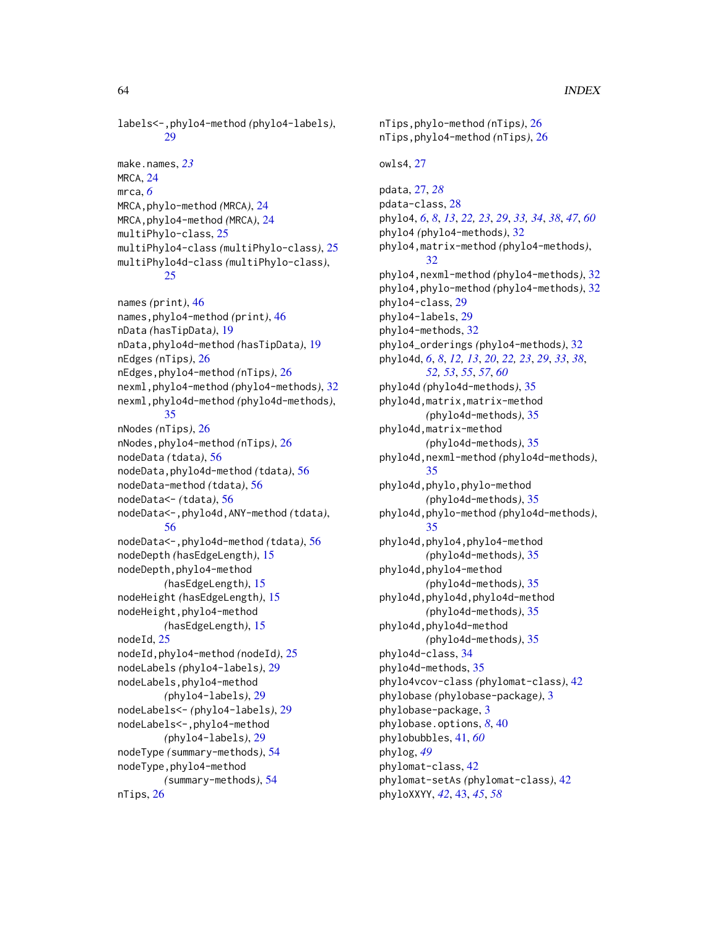labels<-,phylo4-method *(*phylo4-labels*)*,  $29$ 

make.names, *[23](#page-22-0)* MRCA, [24](#page-23-0) mrca, *[6](#page-5-0)* MRCA,phylo-method *(*MRCA*)*, [24](#page-23-0) MRCA,phylo4-method *(*MRCA*)*, [24](#page-23-0) multiPhylo-class, [25](#page-24-0) multiPhylo4-class *(*multiPhylo-class*)*, [25](#page-24-0) multiPhylo4d-class *(*multiPhylo-class*)*, [25](#page-24-0)

names *(*print*)*, [46](#page-45-0) names,phylo4-method *(*print*)*, [46](#page-45-0) nData *(*hasTipData*)*, [19](#page-18-0) nData,phylo4d-method *(*hasTipData*)*, [19](#page-18-0) nEdges *(*nTips*)*, [26](#page-25-0) nEdges,phylo4-method *(*nTips*)*, [26](#page-25-0) nexml,phylo4-method *(*phylo4-methods*)*, [32](#page-31-0) nexml,phylo4d-method *(*phylo4d-methods*)*, [35](#page-34-0) nNodes *(*nTips*)*, [26](#page-25-0) nNodes,phylo4-method *(*nTips*)*, [26](#page-25-0) nodeData *(*tdata*)*, [56](#page-55-0) nodeData,phylo4d-method *(*tdata*)*, [56](#page-55-0) nodeData-method *(*tdata*)*, [56](#page-55-0) nodeData<- *(*tdata*)*, [56](#page-55-0) nodeData<-,phylo4d,ANY-method *(*tdata*)*, [56](#page-55-0) nodeData<-,phylo4d-method *(*tdata*)*, [56](#page-55-0) nodeDepth *(*hasEdgeLength*)*, [15](#page-14-0) nodeDepth,phylo4-method *(*hasEdgeLength*)*, [15](#page-14-0) nodeHeight *(*hasEdgeLength*)*, [15](#page-14-0) nodeHeight,phylo4-method *(*hasEdgeLength*)*, [15](#page-14-0) nodeId, [25](#page-24-0) nodeId,phylo4-method *(*nodeId*)*, [25](#page-24-0) nodeLabels *(*phylo4-labels*)*, [29](#page-28-0) nodeLabels,phylo4-method *(*phylo4-labels*)*, [29](#page-28-0) nodeLabels<- *(*phylo4-labels*)*, [29](#page-28-0) nodeLabels<-,phylo4-method *(*phylo4-labels*)*, [29](#page-28-0) nodeType *(*summary-methods*)*, [54](#page-53-0) nodeType,phylo4-method *(*summary-methods*)*, [54](#page-53-0) nTips, [26](#page-25-0)

nTips,phylo-method *(*nTips*)*, [26](#page-25-0) nTips,phylo4-method *(*nTips*)*, [26](#page-25-0) owls4, [27](#page-26-0) pdata, [27,](#page-26-0) *[28](#page-27-0)* pdata-class, [28](#page-27-0) phylo4, *[6](#page-5-0)*, *[8](#page-7-0)*, *[13](#page-12-0)*, *[22,](#page-21-0) [23](#page-22-0)*, *[29](#page-28-0)*, *[33,](#page-32-0) [34](#page-33-0)*, *[38](#page-37-0)*, *[47](#page-46-0)*, *[60](#page-59-0)* phylo4 *(*phylo4-methods*)*, [32](#page-31-0) phylo4,matrix-method *(*phylo4-methods*)*, [32](#page-31-0) phylo4,nexml-method *(*phylo4-methods*)*, [32](#page-31-0) phylo4,phylo-method *(*phylo4-methods*)*, [32](#page-31-0) phylo4-class, [29](#page-28-0) phylo4-labels, [29](#page-28-0) phylo4-methods, [32](#page-31-0) phylo4\_orderings *(*phylo4-methods*)*, [32](#page-31-0) phylo4d, *[6](#page-5-0)*, *[8](#page-7-0)*, *[12,](#page-11-0) [13](#page-12-0)*, *[20](#page-19-0)*, *[22,](#page-21-0) [23](#page-22-0)*, *[29](#page-28-0)*, *[33](#page-32-0)*, *[38](#page-37-0)*, *[52,](#page-51-0) [53](#page-52-0)*, *[55](#page-54-0)*, *[57](#page-56-0)*, *[60](#page-59-0)* phylo4d *(*phylo4d-methods*)*, [35](#page-34-0) phylo4d,matrix,matrix-method *(*phylo4d-methods*)*, [35](#page-34-0) phylo4d,matrix-method *(*phylo4d-methods*)*, [35](#page-34-0) phylo4d,nexml-method *(*phylo4d-methods*)*, [35](#page-34-0) phylo4d,phylo,phylo-method *(*phylo4d-methods*)*, [35](#page-34-0) phylo4d,phylo-method *(*phylo4d-methods*)*, [35](#page-34-0) phylo4d,phylo4,phylo4-method *(*phylo4d-methods*)*, [35](#page-34-0) phylo4d,phylo4-method *(*phylo4d-methods*)*, [35](#page-34-0) phylo4d,phylo4d,phylo4d-method *(*phylo4d-methods*)*, [35](#page-34-0) phylo4d,phylo4d-method *(*phylo4d-methods*)*, [35](#page-34-0) phylo4d-class, [34](#page-33-0) phylo4d-methods, [35](#page-34-0) phylo4vcov-class *(*phylomat-class*)*, [42](#page-41-0) phylobase *(*phylobase-package*)*, [3](#page-2-0) phylobase-package, [3](#page-2-0) phylobase.options, *[8](#page-7-0)*, [40](#page-39-0) phylobubbles, [41,](#page-40-0) *[60](#page-59-0)* phylog, *[49](#page-48-0)* phylomat-class, [42](#page-41-0) phylomat-setAs *(*phylomat-class*)*, [42](#page-41-0) phyloXXYY, *[42](#page-41-0)*, [43,](#page-42-0) *[45](#page-44-0)*, *[58](#page-57-0)*